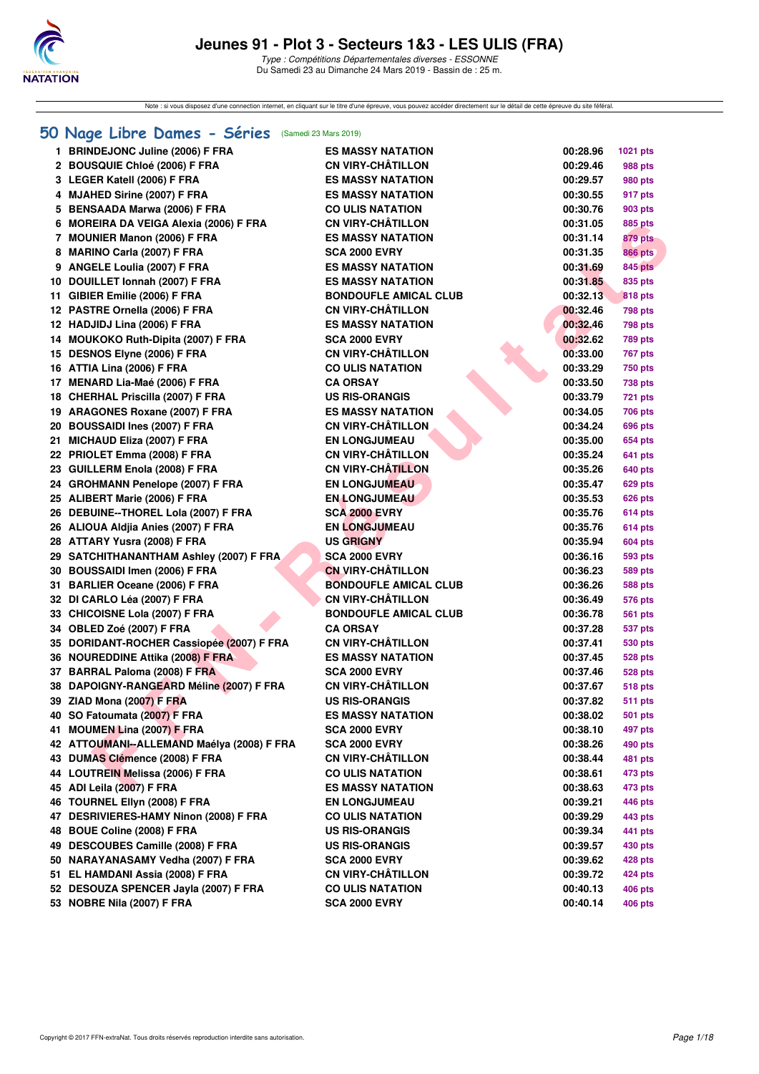

Note : si vous disposez d'une connection internet, en cliquant sur le titre d'une épreuve, vous pouvez accéder directement sur le détail de cette épreuve du site féféral.

# **[50 Nage Libre Dames - Séries](http://www.ffnatation.fr/webffn/resultats.php?idact=nat&go=epr&idcpt=59529&idepr=1)** (Samedi 23 Mars 2019)

|     | <b>BRINDEJONC Juline (2006) F FRA</b>                       | <b>ES MASSY NATATION</b>     | 00:28.96 | 1021 pts                  |
|-----|-------------------------------------------------------------|------------------------------|----------|---------------------------|
|     | 2 BOUSQUIE Chloé (2006) F FRA                               | <b>CN VIRY-CHATILLON</b>     | 00:29.46 | 988 pts                   |
|     | 3 LEGER Katell (2006) F FRA                                 | <b>ES MASSY NATATION</b>     | 00:29.57 | 980 pts                   |
|     | 4 MJAHED Sirine (2007) F FRA                                | <b>ES MASSY NATATION</b>     | 00:30.55 | 917 pts                   |
|     | 5 BENSAADA Marwa (2006) F FRA                               | <b>CO ULIS NATATION</b>      | 00:30.76 | 903 pts                   |
|     | 6 MOREIRA DA VEIGA Alexia (2006) F FRA                      | <b>CN VIRY-CHÂTILLON</b>     | 00:31.05 | 885 pts                   |
|     |                                                             | <b>ES MASSY NATATION</b>     | 00:31.14 |                           |
|     | 7 MOUNIER Manon (2006) F FRA<br>8 MARINO Carla (2007) F FRA | <b>SCA 2000 EVRY</b>         |          | 879 pts<br><b>866 pts</b> |
|     |                                                             | <b>ES MASSY NATATION</b>     | 00:31.35 | <b>845 pts</b>            |
|     | 9 ANGELE Loulia (2007) F FRA                                |                              | 00:31.69 |                           |
|     | 10 DOUILLET Ionnah (2007) F FRA                             | <b>ES MASSY NATATION</b>     | 00:31.85 | 835 pts                   |
|     | 11 GIBIER Emilie (2006) F FRA                               | <b>BONDOUFLE AMICAL CLUB</b> | 00:32.13 | <b>818 pts</b>            |
|     | 12 PASTRE Ornella (2006) F FRA                              | <b>CN VIRY-CHÂTILLON</b>     | 00:32.46 | 798 pts                   |
|     | 12 HADJIDJ Lina (2006) F FRA                                | <b>ES MASSY NATATION</b>     | 00:32.46 | <b>798 pts</b>            |
|     | 14 MOUKOKO Ruth-Dipita (2007) F FRA                         | <b>SCA 2000 EVRY</b>         | 00:32.62 | 789 pts                   |
|     | 15 DESNOS Elyne (2006) F FRA                                | <b>CN VIRY-CHÂTILLON</b>     | 00:33.00 | 767 pts                   |
|     | 16 ATTIA Lina (2006) F FRA                                  | <b>CO ULIS NATATION</b>      | 00:33.29 | 750 pts                   |
|     | 17 MENARD Lia-Maé (2006) F FRA                              | <b>CA ORSAY</b>              | 00:33.50 | 738 pts                   |
|     | 18 CHERHAL Priscilla (2007) F FRA                           | <b>US RIS-ORANGIS</b>        | 00:33.79 | 721 pts                   |
|     | 19 ARAGONES Roxane (2007) F FRA                             | <b>ES MASSY NATATION</b>     | 00:34.05 | 706 pts                   |
|     | 20 BOUSSAIDI Ines (2007) F FRA                              | <b>CN VIRY-CHATILLON</b>     | 00:34.24 | 696 pts                   |
|     | 21 MICHAUD Eliza (2007) F FRA                               | <b>EN LONGJUMEAU</b>         | 00:35.00 | 654 pts                   |
|     | 22 PRIOLET Emma (2008) F FRA                                | <b>CN VIRY-CHÂTILLON</b>     | 00:35.24 | 641 pts                   |
|     | 23 GUILLERM Enola (2008) F FRA                              | <b>CN VIRY-CHÂTILLON</b>     | 00:35.26 | 640 pts                   |
|     | 24 GROHMANN Penelope (2007) F FRA                           | <b>EN LONGJUMEAU</b>         | 00:35.47 | 629 pts                   |
|     | 25 ALIBERT Marie (2006) F FRA                               | <b>EN LONGJUMEAU</b>         | 00:35.53 | 626 pts                   |
|     | 26 DEBUINE--THOREL Lola (2007) F FRA                        | <b>SCA 2000 EVRY</b>         | 00:35.76 | <b>614 pts</b>            |
|     | 26 ALIOUA Aldjia Anies (2007) F FRA                         | <b>EN LONGJUMEAU</b>         | 00:35.76 | <b>614 pts</b>            |
|     | 28 ATTARY Yusra (2008) F FRA                                | <b>US GRIGNY</b>             | 00:35.94 | 604 pts                   |
|     | 29 SATCHITHANANTHAM Ashley (2007) F FRA                     | <b>SCA 2000 EVRY</b>         | 00:36.16 | 593 pts                   |
|     | 30 BOUSSAIDI Imen (2006) F FRA                              | <b>CN VIRY-CHÂTILLON</b>     | 00:36.23 | 589 pts                   |
|     | 31 BARLIER Oceane (2006) F FRA                              | <b>BONDOUFLE AMICAL CLUB</b> | 00:36.26 | 588 pts                   |
|     | 32 DI CARLO Léa (2007) F FRA                                | <b>CN VIRY-CHÂTILLON</b>     | 00:36.49 | 576 pts                   |
|     | 33 CHICOISNE Lola (2007) F FRA                              | <b>BONDOUFLE AMICAL CLUB</b> | 00:36.78 | 561 pts                   |
|     | 34 OBLED Zoé (2007) F FRA                                   | <b>CA ORSAY</b>              | 00:37.28 | 537 pts                   |
|     | 35 DORIDANT-ROCHER Cassiopée (2007) F FRA                   | <b>CN VIRY-CHÂTILLON</b>     | 00:37.41 | 530 pts                   |
|     | 36 NOUREDDINE Attika (2008) F FRA                           | <b>ES MASSY NATATION</b>     | 00:37.45 | <b>528 pts</b>            |
|     | 37 BARRAL Paloma (2008) F FRA                               | <b>SCA 2000 EVRY</b>         | 00:37.46 | <b>528 pts</b>            |
|     | 38 DAPOIGNY-RANGEARD Méline (2007) F FRA                    | <b>CN VIRY-CHÂTILLON</b>     | 00:37.67 | <b>518 pts</b>            |
|     | 39 ZIAD Mona (2007) F FRA                                   | <b>US RIS-ORANGIS</b>        | 00:37.82 | 511 pts                   |
|     | 40 SO Fatoumata (2007) F FRA                                | <b>ES MASSY NATATION</b>     | 00:38.02 | <b>501 pts</b>            |
|     | 41 MOUMEN Lina (2007) F FRA                                 | <b>SCA 2000 EVRY</b>         | 00:38.10 | 497 pts                   |
|     | 42 ATTOUMANI-ALLEMAND Maélya (2008) F FRA                   | <b>SCA 2000 EVRY</b>         | 00:38.26 | 490 pts                   |
|     | 43 DUMAS Clémence (2008) F FRA                              | <b>CN VIRY-CHÂTILLON</b>     | 00:38.44 | 481 pts                   |
| 44  | <b>LOUTREIN Melissa (2006) F FRA</b>                        | <b>CO ULIS NATATION</b>      | 00:38.61 | 473 pts                   |
|     | 45 ADI Leila (2007) F FRA                                   | <b>ES MASSY NATATION</b>     | 00:38.63 | 473 pts                   |
|     | 46 TOURNEL Ellyn (2008) F FRA                               | <b>EN LONGJUMEAU</b>         | 00:39.21 | 446 pts                   |
|     | 47 DESRIVIERES-HAMY Ninon (2008) F FRA                      | <b>CO ULIS NATATION</b>      | 00:39.29 | 443 pts                   |
| 48  | BOUE Coline (2008) F FRA                                    | <b>US RIS-ORANGIS</b>        | 00:39.34 | 441 pts                   |
| 49  | DESCOUBES Camille (2008) F FRA                              | <b>US RIS-ORANGIS</b>        | 00:39.57 | 430 pts                   |
|     | 50 NARAYANASAMY Vedha (2007) F FRA                          | <b>SCA 2000 EVRY</b>         | 00:39.62 | 428 pts                   |
| 51. | EL HAMDANI Assia (2008) F FRA                               | <b>CN VIRY-CHÂTILLON</b>     | 00:39.72 | 424 pts                   |
|     | 52 DESOUZA SPENCER Jayla (2007) F FRA                       | <b>CO ULIS NATATION</b>      | 00:40.13 | 406 pts                   |
|     | 53 NOBRE Nila (2007) F FRA                                  | <b>SCA 2000 EVRY</b>         | 00:40.14 | 406 pts                   |
|     |                                                             |                              |          |                           |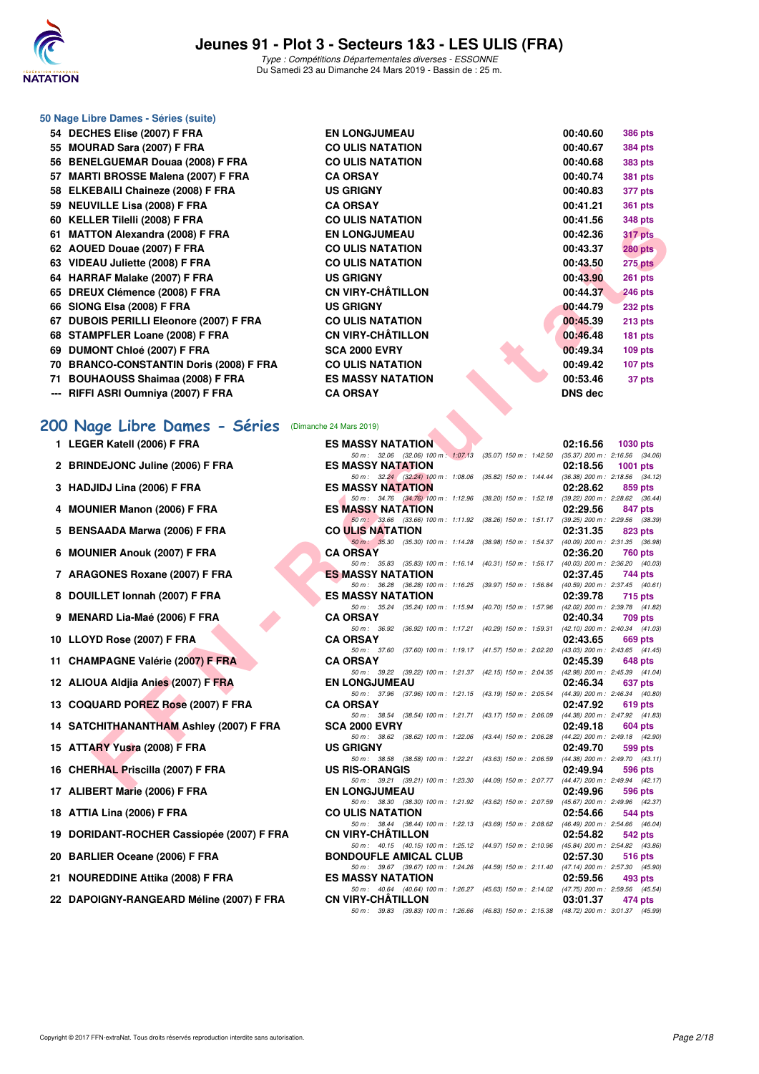

#### **50 Nage Libre Dames - Séries (suite)**

| 54   DECHES Elise (2007) F FRA                           | <b>EN LONGJUMEAU</b><br>00:40.60                                                                                                         | <b>386 pts</b>  |
|----------------------------------------------------------|------------------------------------------------------------------------------------------------------------------------------------------|-----------------|
| 55 MOURAD Sara (2007) F FRA                              | <b>CO ULIS NATATION</b><br>00:40.67                                                                                                      | 384 pts         |
| 56 BENELGUEMAR Douaa (2008) F FRA                        | <b>CO ULIS NATATION</b><br>00:40.68                                                                                                      | 383 pts         |
| 57 MARTI BROSSE Malena (2007) F FRA                      | <b>CA ORSAY</b><br>00:40.74                                                                                                              | <b>381 pts</b>  |
| 58 ELKEBAILI Chaineze (2008) F FRA                       | <b>US GRIGNY</b><br>00:40.83                                                                                                             | 377 pts         |
| 59 NEUVILLE Lisa (2008) F FRA                            | <b>CA ORSAY</b><br>00:41.21                                                                                                              | <b>361 pts</b>  |
| 60 KELLER Tilelli (2008) F FRA                           | <b>CO ULIS NATATION</b><br>00:41.56                                                                                                      | <b>348 pts</b>  |
| 61 MATTON Alexandra (2008) F FRA                         | <b>EN LONGJUMEAU</b><br>00:42.36                                                                                                         | 317 pts         |
| 62 AOUED Douae (2007) F FRA                              | <b>CO ULIS NATATION</b><br>00:43.37                                                                                                      | <b>280 pts</b>  |
| 63 VIDEAU Juliette (2008) F FRA                          | <b>CO ULIS NATATION</b><br>00:43.50                                                                                                      | 275 pts         |
| 64 HARRAF Malake (2007) F FRA                            | <b>US GRIGNY</b><br>00:43.90                                                                                                             | <b>261 pts</b>  |
| 65 DREUX Clémence (2008) F FRA                           | <b>CN VIRY-CHÂTILLON</b><br>00:44.37                                                                                                     | <b>246 pts</b>  |
| 66 SIONG Elsa (2008) F FRA                               | <b>US GRIGNY</b><br>00:44.79                                                                                                             | <b>232 pts</b>  |
| 67 DUBOIS PERILLI Eleonore (2007) F FRA                  | <b>CO ULIS NATATION</b><br>00:45.39                                                                                                      | 213 pts         |
| 68 STAMPFLER Loane (2008) F FRA                          | <b>CN VIRY-CHÂTILLON</b><br>00:46.48                                                                                                     | <b>181 pts</b>  |
| 69 DUMONT Chloé (2007) F FRA                             | <b>SCA 2000 EVRY</b><br>00:49.34                                                                                                         | $109$ pts       |
| 70 BRANCO-CONSTANTIN Doris (2008) F FRA                  | <b>CO ULIS NATATION</b><br>00:49.42                                                                                                      | 107 pts         |
| 71 BOUHAOUSS Shaimaa (2008) F FRA                        | <b>ES MASSY NATATION</b><br>00:53.46                                                                                                     | 37 pts          |
| --- RIFFI ASRI Oumniya (2007) F FRA                      | <b>CA ORSAY</b><br><b>DNS dec</b>                                                                                                        |                 |
| 00 Nage Libre Dames - Séries (Dimanche 24 Mars 2019)     |                                                                                                                                          |                 |
| 1 LEGER Katell (2006) F FRA                              | <b>ES MASSY NATATION</b><br>02:16.56<br>50 m: 32.06 (32.06) 100 m: 1:07.13 (35.07) 150 m: 1:42.50<br>$(35.37)$ 200 m : 2:16.56 $(34.06)$ | <b>1030 pts</b> |
| 2 BRINDEJONC Juline (2006) F FRA                         | <b>ES MASSY NATATION</b><br>02:18.56                                                                                                     | <b>1001 pts</b> |
|                                                          | 50 m: 32.24 (32.24) 100 m: 1:08.06 (35.82) 150 m: 1:44.44 (36.38) 200 m: 2:18.56 (34.12)                                                 |                 |
| 3 HADJIDJ Lina (2006) F FRA                              | <b>ES MASSY NATATION</b><br>02:28.62<br>50 m: 34.76 (34.76) 100 m: 1:12.96 (38.20) 150 m: 1:52.18 (39.22) 200 m: 2:28.62 (36.44)         | 859 pts         |
| 4 MOUNIER Manon (2006) F FRA                             | <b>ES MASSY NATATION</b><br>02:29.56                                                                                                     | 847 pts         |
| 5 BENSAADA Marwa (2006) F FRA                            | 50 m: 33.66 (33.66) 100 m: 1:11.92 (38.26) 150 m: 1:51.17 (39.25) 200 m: 2:29.56 (38.39)<br><b>CO ULIS NATATION</b><br>02:31.35          | 823 pts         |
|                                                          | 50 m : 35.30 (35.30) 100 m : 1:14.28 (38.98) 150 m : 1:54.37 (40.09) 200 m : 2:31.35 (36.98)                                             |                 |
| 6 MOUNIER Anouk (2007) F FRA                             | <b>CA ORSAY</b><br>02:36.20                                                                                                              | <b>760 pts</b>  |
| 7 ARAGONES Roxane (2007) F FRA                           | 50 m: 35.83 (35.83) 100 m: 1:16.14 (40.31) 150 m: 1:56.17 (40.03) 200 m: 2:36.20 (40.03)<br><b>ES MASSY NATATION</b><br>02:37.45         | 744 pts         |
|                                                          | 50 m: 36.28 (36.28) 100 m: 1:16.25 (39.97) 150 m: 1:56.84 (40.59) 200 m: 2:37.45 (40.61)                                                 |                 |
| 8 DOUILLET Ionnah (2007) F FRA                           | <b>ES MASSY NATATION</b><br>02:39.78                                                                                                     | 715 pts         |
| 9 MENARD Lia-Maé (2006) F FRA                            | 50 m: 35.24 (35.24) 100 m: 1:15.94 (40.70) 150 m: 1:57.96 (42.02) 200 m: 2:39.78 (41.82)<br><b>CA ORSAY</b><br>02:40.34                  | 709 pts         |
|                                                          | 50 m: 36.92 (36.92) 100 m: 1:17.21 (40.29) 150 m: 1:59.31 (42.10) 200 m: 2:40.34 (41.03)                                                 |                 |
| 10 LLOYD Rose (2007) F FRA                               | <b>CA ORSAY</b><br>02:43.65                                                                                                              | 669 pts         |
| 11 CHAMPAGNE Valérie (2007) F FRA                        | 50 m: 37.60 (37.60) 100 m: 1:19.17 (41.57) 150 m: 2:02.20 (43.03) 200 m: 2:43.65 (41.45)<br><b>CA ORSAY</b><br>02:45.39                  | <b>648 pts</b>  |
|                                                          | 50 m: 39.22 (39.22) 100 m: 1:21.37 (42.15) 150 m: 2:04.35 (42.98) 200 m: 2:45.39 (41.04)                                                 |                 |
| 12 ALIOUA Aldjia Anies (2007) F FRA                      | <b>EN LONGJUMEAU</b><br>02:46.34<br>50 m: 37.96 (37.96) 100 m: 1:21.15 (43.19) 150 m: 2:05.54<br>$(44.39)$ 200 m : 2:46.34 $(40.80)$     | 637 pts         |
| 13 COQUARD POREZ Rose (2007) F FRA                       | <b>CA ORSAY</b><br>02:47.92                                                                                                              | 619 pts         |
|                                                          | 50 m: 38.54 (38.54) 100 m: 1:21.71 (43.17) 150 m: 2:06.09 (44.38) 200 m: 2:47.92 (41.83)                                                 |                 |
| 14 SATCHITHANANTHAM Ashley (2007) F FRA                  | <b>SCA 2000 EVRY</b><br>02:49.18<br>50 m: 38.62 (38.62) 100 m: 1:22.06 (43.44) 150 m: 2:06.28 (44.22) 200 m: 2:49.18 (42.90)             | 604 pts         |
| 15 ATTARY Yusra (2008) F FRA                             | <b>US GRIGNY</b><br>02:49.70                                                                                                             | 599 pts         |
|                                                          | 50 m: 38.58 (38.58) 100 m: 1:22.21 (43.63) 150 m: 2:06.59 (44.38) 200 m: 2:49.70 (43.11)                                                 |                 |
| 16 CHERHAL Priscilla (2007) F FRA                        | <b>US RIS-ORANGIS</b><br>02:49.94<br>50 m: 39.21 (39.21) 100 m: 1:23.30 (44.09) 150 m: 2:07.77 (44.47) 200 m: 2:49.94 (42.17)            | 596 pts         |
| $\overline{AB}$ ALIDED TILE $\overline{AB}$ (0000) E EDA | <b>CM LOMO HIMEAU</b><br>00.400<br>$\sim$ $\sim$ $\sim$                                                                                  |                 |

50 m : 38.44 (38.44) 100 m : 1:22.13 (43.69) 150 m : 2:08.62

50 m : 39.21 (39.21) 100 m : 1:23.30 (44.09) 150 m : 2:07.77 (44.47) 200 m : <br>EN LONGJUMEAU (2:49.96

50 m : 38.30 (38.30) 100 m : 1:21.92 (43.62) 150 m : 2:07.59 (45.67) 200 m : 2:49.96 (42.37)

50 m: 40.15 (40.15) 100 m: 1:25.12 (44.97) 150 m: 2:10.96 (45.84) 200 m.<br>**BONDOUFLE AMICAL CLUB** 02:57.30

50 m : 39.67 (39.67) 100 m : 1:24.26 (44.59) 150 m : 2:11.40 (47.14) 200 m : <br>ES MASSY NATATION 02:59.56

#### **[200 Nage Libre Dames - Séries](http://www.ffnatation.fr/webffn/resultats.php?idact=nat&go=epr&idcpt=59529&idepr=3)** (Dimanche 24 Mars 2019)

- **2 BRINDEJONC Juline (2006) F FRA** ES MASSY NATATION **02:18.56 1001 pts**<br>  $\frac{50 \text{ m} \div 324}$  (32.24) 100 m: 1:08.06 (35.82) 150 m: 1:44.44 (36.38) 200 m: 2:18.56 (34.12)
- **3 HADJIDJ Lina (2006) F FRA** ES MASSY NATATION **02:28.62 859 pts**<br>**60 m**: 34.76 (34.76) 100 m: 1:12.96 (38.20) 150 m: 1:12.98 (39.22) 200 m: 2:28.62 (36.44) 100 m)
- **4 MOUNIER Manon (2006) F FRA** ES MASSY NATATION 02:29.56 847 pts 02:29.56 847 pts 02:29.56 847 pts
- **5 BENSAADA Marwa (2006) F FRA CO ULIS NATATION 02:31.35 823 pts**
- **6 MOUNIER Anouk (2007) F FRA CA ORSAY 02:36.20 760 pts**
- **7 ARAGONES Roxane (2007) F FRA ES MASSY NATATION 02:37.45 744 pts**
- **8 DOUILLET Ionnah (2007) F FRA** ES MASSY NATATION **115.94** (40.70) 150 m : 15.796 (42.02) 200 m : 2:39.78 (41.82)
- **9 MENARD Lia-Maé (2006) F FRA CA ORSAY 02:40.34 709 pts**
- **10 LLOYD Rose (2007) F FRA CA ORSAY CA ORSAY 02:43.65 669 pts 02:43.65 669 pts 669 pts 669 pts 669 pts 669 pts 669 pts 669 pts 669 pts 669 pts 669 pts 669 pts 669 pts 669 pts 669 pts**
- **11 CHAMPAGNE Valérie (2007) F FRA CA ORSAY 02:45.39 02:45.39 648 pts 648 pts 648 pts 648 pts 648 pts 648 pts 648 pts 648 pts 648 pts 648 pts 648 pts 648 pts 648 pts 648 pts 648 pts 64**
- **12 ALIOUA Aldjia Anies (2007) F FRA** EN LONGJUMEAU 637 pts<br>
50 m: 37.96 (37.96) 100 m: 1:21.15 (43.19) 150 m: 2:05.54 (44.39) 200 m: 2:46.34 (40.80)
- **13 COQUARD POREZ Rose (2007) F FRA CA ORSAY 619 pts 619 pts 02:47.92 619 pts 619 pts 619 pts 619 pts 619 pts 619 pts 619 pts 619 pts 6188 60m**: 38.54 **(38.54 100m**: 1:21.71 **(43.17**) 150m: 2:
- **14 SATCHITHANANTHAM Ashley (2007) F FRA** SCA 2000 EVRY **604 BY 38.62** (43.44) 150 m: 2:06.28 (44.22) 200 m: 2:49.18 604 pts
- **15 ATTARY Yusra (2008) F FRA 15 ATTARY Yusra (2008) F FRA 15 ATTARY 102:49.70 02:49.70 599 pts 150 m**: 32.21 **14.38 150 m**: 1:22.21 **14.38 150 m**: 2:06.59 **14.38 200 m: 2:49.70 14.131**
- **16 CHERHAL Priscilla (2007) F FRA** US RIS-ORANGIS 02:49.94 **02:49.94** 596 pts<br>
59 m: 39.21 (39.21) 100 m: 1:23.30 (44.09) 150 m: 207.77 (44.47) 200 m: 2:49.94 (42.17)
- **17 ALIBERT Marie (2006) F FRA** EN LONGJUMEAU 02:49.96 596 pts<br>
59 m: 38.30 (38.30) 100 m: 1:21.92 (43.62) 150 m: 2:07.59 (45.67) 200 m: 2:49.96 (42.37)
- **18 ATTIA Lina (2006) F FRA CO ULIS NATATION 02:54.66 544 pts 02:54.66 544 pts 544 186 146.04 69 150 150 150 150 150 150 150 150 150 150 150 150 150 150 150 150 150 150**
- **19 DORIDANT-ROCHER Cassiopée (2007) F FRA** CN VIRY-CHÂTILLON **02:54.82 542 pts**<br>
54.82 **14.97** 150 m : 1:25.12 (44.97) 150 m : 2:10.96 (45.84) 200 m : 2:54.82 (43.86)
- **20 BARLIER Oceane (2006) F FRA** BONDOUFLE AMICAL CLUB 02:57.30 516 pts 02:57.30 516 pts 50 m : 32.67 (39.67) 100 m : 1:24.26 (44.59) 150 m : 2:11.40 (47.14) 200 m : 2:57.30 (45.90)
- **21 NOUREDDINE Attika (2008) F FRA** ES MASSY NATATION **02:59.56 493 pts**<br> **ES MASSY NATATION 60m**: 1:26.27 (45.63) 150m: 2:14.02 (47.75) 200m: 2:54.66 (45.54)
- **22 DAPOIGNY-RANGEARD Méline (2007) F FRA CN VIRY-CHÂTILLON 63:01.37 <b>474 pts**

|  | <b>CN VIRY-CHÂTILLON</b> |  | 50 m: 40.64 (40.64) 100 m: 1:26.27 (45.63) 150 m: 2:14.02 (47.75) 200 m: 2:59.56 (45.54)<br>03:01.37 | 474 pts |  |
|--|--------------------------|--|------------------------------------------------------------------------------------------------------|---------|--|
|  |                          |  | 50 m: 39.83 (39.83) 100 m: 1:26.66 (46.83) 150 m: 2:15.38 (48.72) 200 m: 3:01.37 (45.99)             |         |  |
|  |                          |  |                                                                                                      |         |  |
|  |                          |  |                                                                                                      |         |  |
|  |                          |  |                                                                                                      |         |  |
|  |                          |  |                                                                                                      |         |  |
|  |                          |  |                                                                                                      |         |  |
|  |                          |  |                                                                                                      |         |  |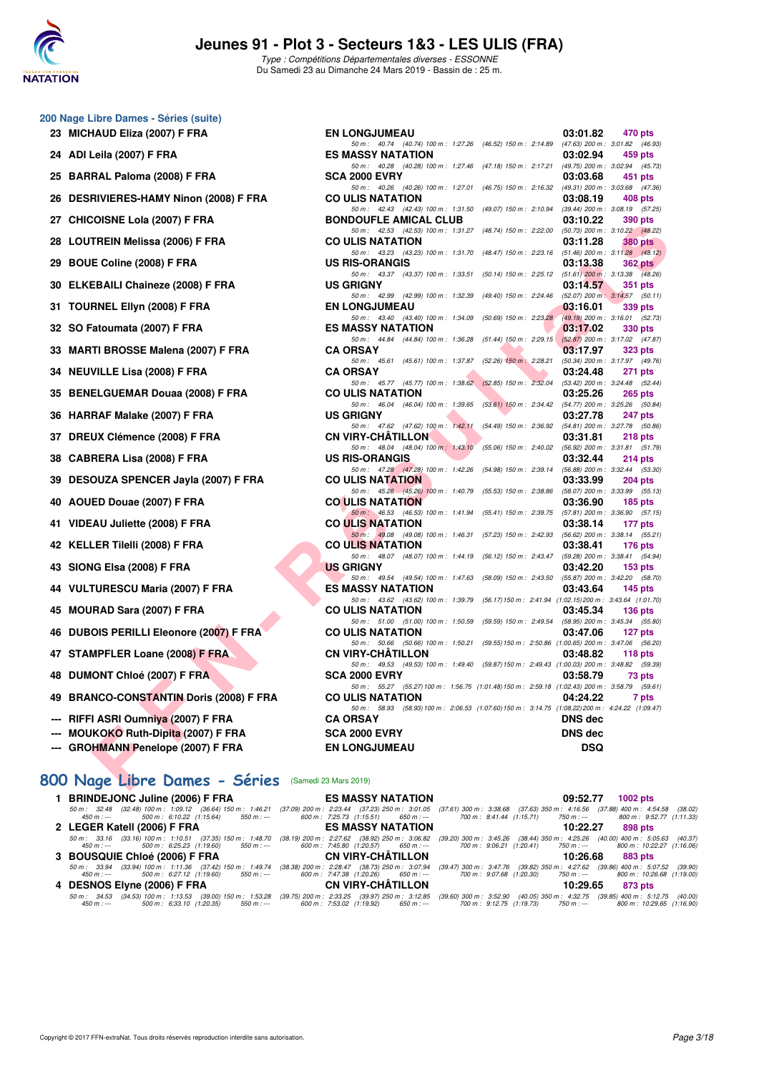

**200 Nage Libre Dames - Séries (suite)**

# **Jeunes 91 - Plot 3 - Secteurs 1&3 - LES ULIS (FRA)**

Type : Compétitions Départementales diverses - ESSONNE Du Samedi 23 au Dimanche 24 Mars 2019 - Bassin de : 25 m.

| 23 MICHAUD Eliza (2007) F FRA           | <b>EN LONGJUMEAU</b><br>03:01.82                                                                                                              | 470 pts            |
|-----------------------------------------|-----------------------------------------------------------------------------------------------------------------------------------------------|--------------------|
| 24 ADI Leila (2007) F FRA               | 50 m: 40.74 (40.74) 100 m: 1:27.26<br>$(46.52)$ 150 m : 2:14.89<br>(47.63) 200 m : 3:01.82 (46.93)<br><b>ES MASSY NATATION</b><br>03:02.94    | 459 pts            |
| 25 BARRAL Paloma (2008) F FRA           | 50 m: 40.28 (40.28) 100 m: 1:27.46<br>$(47.18)$ 150 m : 2:17.21<br>(49.75) 200 m : 3:02.94 (45.73)<br><b>SCA 2000 EVRY</b><br>03:03.68        | 451 pts            |
|                                         | $(46.75)$ 150 m : 2:16.32<br>(49.31) 200 m : 3:03.68 (47.36)<br>50 m: 40.26 (40.26) 100 m: 1:27.01                                            |                    |
| 26 DESRIVIERES-HAMY Ninon (2008) F FRA  | <b>CO ULIS NATATION</b><br>03:08.19<br>50 m: 42.43 (42.43) 100 m: 1:31.50<br>(49.07) 150 m : 2:10.94<br>$(39.44)$ 200 m : 3:08.19 $(57.25)$   | 408 pts            |
| 27 CHICOISNE Lola (2007) F FRA          | <b>BONDOUFLE AMICAL CLUB</b><br>03:10.22                                                                                                      | 390 pts            |
| 28 LOUTREIN Melissa (2006) F FRA        | 50 m: 42.53 (42.53) 100 m: 1:31.27<br>(48.74) 150 m : 2:22.00<br>(50.73) 200 m : 3:10.22 (48.22)<br><b>CO ULIS NATATION</b><br>03:11.28       | <b>380 pts</b>     |
|                                         | 50 m: 43.23 (43.23) 100 m: 1:31.70<br>$(48.47)$ 150 m : 2:23.16<br>$(51.46)$ 200 m : 3:11.28 $(48.12)$                                        |                    |
| 29 BOUE Coline (2008) F FRA             | <b>US RIS-ORANGIS</b><br>03:13.38                                                                                                             | <b>362 pts</b>     |
| 30 ELKEBAILI Chaineze (2008) F FRA      | 50 m: 43.37 (43.37) 100 m: 1:33.51<br>$(50.14)$ 150 m : 2:25.12<br>$(51.61)$ 200 m : 3:13.38 $(48.26)$<br><b>US GRIGNY</b><br>03:14.57        | 351 pts            |
|                                         | 50 m: 42.99 (42.99) 100 m: 1:32.39<br>$(49.40)$ 150 m : 2:24.46<br>$(52.07)$ 200 m : 3:14.57 $(50.11)$                                        |                    |
| 31 TOURNEL Ellyn (2008) F FRA           | <b>EN LONGJUMEAU</b><br>03:16.01<br>50 m: 43.40 (43.40) 100 m: 1:34.09<br>$(50.69)$ 150 m : 2:23.28<br>(49.19) 200 m : 3:16.01 (52.73)        | 339 pts            |
| 32 SO Fatoumata (2007) F FRA            | <b>ES MASSY NATATION</b><br>03:17.02                                                                                                          | 330 pts            |
|                                         | 50 m: 44.84 (44.84) 100 m: 1:36.28<br>$(51.44)$ 150 m : 2:29.15<br>$(52.87)$ 200 m : 3:17.02 (47.87)                                          |                    |
| 33 MARTI BROSSE Malena (2007) F FRA     | <b>CA ORSAY</b><br>03:17.97<br>50 m: 45.61 (45.61) 100 m: 1:37.87<br>$(52.26)$ 150 m : 2:28.21<br>(50.34) 200 m : 3:17.97 (49.76)             | 323 pts            |
| 34 NEUVILLE Lisa (2008) F FRA           | <b>CA ORSAY</b><br>03:24.48                                                                                                                   | 271 pts            |
| 35 BENELGUEMAR Douaa (2008) F FRA       | 50 m: 45.77 (45.77) 100 m: 1:38.62<br>$(52.85)$ 150 m : 2:32.04<br>(53.42) 200 m : 3:24.48 (52.44)<br>03:25.26<br><b>CO ULIS NATATION</b>     | 265 pts            |
|                                         | 50 m: 46.04 (46.04) 100 m: 1:39.65<br>$(53.61)$ 150 m : 2:34.42<br>(54.77) 200 m : 3:25.26 (50.84)                                            |                    |
| 36 HARRAF Malake (2007) F FRA           | <b>US GRIGNY</b><br>03:27.78<br>$(54.49)$ 150 m : 2:36.92                                                                                     | <b>247 pts</b>     |
| 37 DREUX Clémence (2008) F FRA          | 50 m: 47.62 (47.62) 100 m: 1:42.11<br>(54.81) 200 m : 3:27.78 (50.86)<br><b>CN VIRY-CHATILLON</b><br>03:31.81                                 | 218 pts            |
|                                         | 50 m: 48.04 (48.04) 100 m: 1:43.10<br>$(55.06)$ 150 m : 2:40.02<br>$(56.92)$ 200 m : 3:31.81 $(51.79)$                                        |                    |
| 38 CABRERA Lisa (2008) F FRA            | <b>US RIS-ORANGIS</b><br>03:32.44<br>50 m: 47.28 (47.28) 100 m: 1:42.26<br>$(54.98)$ 150 m : 2:39.14<br>$(56.88)$ 200 m : 3:32.44 $(53.30)$   | $214$ pts          |
| 39 DESOUZA SPENCER Jayla (2007) F FRA   | <b>CO ULIS NATATION</b><br>03:33.99                                                                                                           | $204$ pts          |
| 40 AOUED Douae (2007) F FRA             | 50 m: 45.26 (45.26) 100 m: 1:40.79<br>$(55.53)$ 150 m : 2:38.86<br>(58.07) 200 m : 3:33.99 (55.13)<br><b>CO ULIS NATATION</b><br>03:36.90     | $185$ pts          |
|                                         | $(55.41)$ 150 m : 2:39.75<br>50 m: 46.53 (46.53) 100 m: 1:41.94<br>$(57.81)$ 200 m : 3:36.90 $(57.15)$                                        |                    |
| 41 VIDEAU Juliette (2008) F FRA         | <b>CO ULIS NATATION</b><br>03:38.14                                                                                                           | 177 pts            |
| 42 KELLER Tilelli (2008) F FRA          | 50 m: 49.08 (49.08) 100 m: 1:46.31<br>$(57.23)$ 150 m : 2:42.93<br>$(56.62)$ 200 m : 3:38.14 $(55.21)$<br><b>CO ULIS NATATION</b><br>03:38.41 | <b>176 pts</b>     |
|                                         | 50 m: 48.07 (48.07) 100 m: 1:44.19<br>$(56.12)$ 150 m : 2:43.47<br>(59.28) 200 m : 3:38.41 (54.94)                                            |                    |
| 43 SIONG Elsa (2008) F FRA              | US GRIGNY<br>03:42.20<br>50 m: 49.54 (49.54) 100 m: 1:47.63<br>$(58.09)$ 150 m : 2:43.50<br>$(55.87)$ 200 m : 3:42.20 $(58.70)$               | 153 <sub>pts</sub> |
| 44 VULTURESCU Maria (2007) F FRA        | <b>ES MASSY NATATION</b><br>03:43.64                                                                                                          | <b>145 pts</b>     |
| 45 MOURAD Sara (2007) F FRA             | 50 m: 43.62 (43.62) 100 m: 1:39.79<br>(56.17) 150 m : 2:41.94 (1:02.15) 200 m : 3:43.64 (1:01.70)<br>03:45.34<br><b>CO ULIS NATATION</b>      |                    |
|                                         | 50 m: 51.00 (51.00) 100 m: 1:50.59<br>(59.59) 150 m : 2:49.54<br>(58.95) 200 m : 3:45.34 (55.80)                                              | $136$ pts          |
| 46 DUBOIS PERILLI Eleonore (2007) F FRA | <b>CO ULIS NATATION</b><br>03:47.06                                                                                                           | 127 pts            |
| 47 STAMPFLER Loane (2008) F FRA         | 50 m: 50.66 (50.66) 100 m: 1:50.21<br>(59.55) 150 m : 2:50.86 (1:00.65) 200 m : 3:47.06 (56.20)<br><b>CN VIRY-CHATILLON</b><br>03:48.82       | 118 $pts$          |
|                                         | 50 m: 49.53 (49.53) 100 m: 1:49.40 (59.87) 150 m: 2:49.43 (1:00.03) 200 m: 3:48.82 (59.39)                                                    |                    |
| 48 DUMONT Chloé (2007) F FRA            | <b>SCA 2000 EVRY</b><br>03:58.79<br>50 m: 55.27 (55.27) 100 m: 1:56.75 (1:01.48) 150 m: 2:59.18 (1:02.43) 200 m: 3:58.79 (59.61)              | 73 pts             |
| 49 BRANCO-CONSTANTIN Doris (2008) F FRA | 04:24.22<br><b>CO ULIS NATATION</b>                                                                                                           | 7 pts              |
| RIFFI ASRI Oumniya (2007) F FRA         | 50 m: 58.93 (58.93) 100 m: 2:06.53 (1:07.60) 150 m: 3:14.75 (1:08.22) 200 m: 4:24.22 (1:09.47)<br><b>DNS dec</b>                              |                    |
| <b>MOUKOKO Ruth-Dipita (2007) F FRA</b> | <b>CA ORSAY</b><br><b>SCA 2000 EVRY</b><br><b>DNS dec</b>                                                                                     |                    |
| <b>GROHMANN Penelope (2007) F FRA</b>   | <b>DSQ</b><br><b>EN LONGJUMEAU</b>                                                                                                            |                    |
|                                         |                                                                                                                                               |                    |

#### **[800 Nage Libre Dames - Séries](http://www.ffnatation.fr/webffn/resultats.php?idact=nat&go=epr&idcpt=59529&idepr=5)** (Samedi 23 Mars 2019)

| 1 BRINDEJONC Juline (2006) F FRA | ES MASSY NATATION <b>EXAMPLES</b>                                                                              | 09:52.77<br>1002 $pts$                                                                                                                                                                                                                                                                                                                                                                                 |
|----------------------------------|----------------------------------------------------------------------------------------------------------------|--------------------------------------------------------------------------------------------------------------------------------------------------------------------------------------------------------------------------------------------------------------------------------------------------------------------------------------------------------------------------------------------------------|
| 450 m : ---                      | 500 m : 6:10.22 (1:15.64) 550 m :--- 600 m : 7:25.73 (1:15.51) 650 m :--- 700 m : 8:41.44 (1:15.71) 750 m :--- | 50 m: 32.48 (32.48) 100 m: 1:09.12 (36.64) 150 m: 1:46.21 (37.09) 200 m: 2:23.44 (37.23) 250 m: 3:01.05 (37.61) 300 m: 3:38.68 (37.63) 350 m: 4:16.56 (37.88) 400 m: 4:54.58 (38.02)<br>800 m : 9:52.77 (1:11.33)                                                                                                                                                                                      |
| 2 LEGER Katell (2006) F FRA      | <b>ES MASSY NATATION</b>                                                                                       | 10:22.27<br>898 pts                                                                                                                                                                                                                                                                                                                                                                                    |
| 450 m : ---                      |                                                                                                                | 50 m: 33.16 (33.16) 100 m: 1:10.51 (37.35) 150 m: 1:48.70 (38.19) 200 m: 2:27.62 (38.92) 250 m: 3:06.82 (39.20) 300 m: 3:45.26 (38.44) 350 m: 4:25.26 (40.00) 400 m: 5:05.63 (40.37)<br>500 m :  6:25.23   (1:19.60)        550 m : ---               600 m :  7:45.80  (1:20.57)        650 m : ---            700 m :   9:06.21  (1:20.41)       750 m : ---             800 m : 10:22.27  (1:16.06) |
|                                  |                                                                                                                |                                                                                                                                                                                                                                                                                                                                                                                                        |
|                                  |                                                                                                                | 10:26.68 883 pts                                                                                                                                                                                                                                                                                                                                                                                       |
| 450 m : ---                      |                                                                                                                | 50 m : 33.94 (33.94) 100 m : 1:11.36 (37.42) 150 m : 1:49.74 (38.38) 200 m : 2:28.47 (38.73) 250 m : 3:07.94 (39.47) 300 m : 3:47.76 (39.82) 350 m : 4:27.62 (39.86) 400 m : 5:07.52 (39.90)                                                                                                                                                                                                           |
|                                  |                                                                                                                | 500 m : 6:27.12 (1:19.60) 550 m :--- 600 m : 7:47.38 (1:20.26) 650 m :--- 700 m : 9:07.68 (1:20.30) 750 m :--- 800 m : 10:26.68 (1:19.00)<br>10:29.65 873 pts                                                                                                                                                                                                                                          |
| 450 m : ---                      |                                                                                                                | 50 m : 34.53 (34.53) 100 m : 1:13.53 (39.00) 150 m : 1:53.28 (39.75) 200 m : 2:33.25 (39.97) 250 m : 3:12.85 (39.60) 300 m : 3:52.90 (40.05) 350 m : 4:32.75 (39.85) 400 m : 5:12.75 (40.00)<br>500 m : 6:33.10 (1:20.35) 550 m :--- 600 m : 7:53.02 (1:19.92) 650 m :--- 700 m : 9:12.75 (1:19.73) 750 m :--- 800 m : 10:29.65 (1:16.90)                                                              |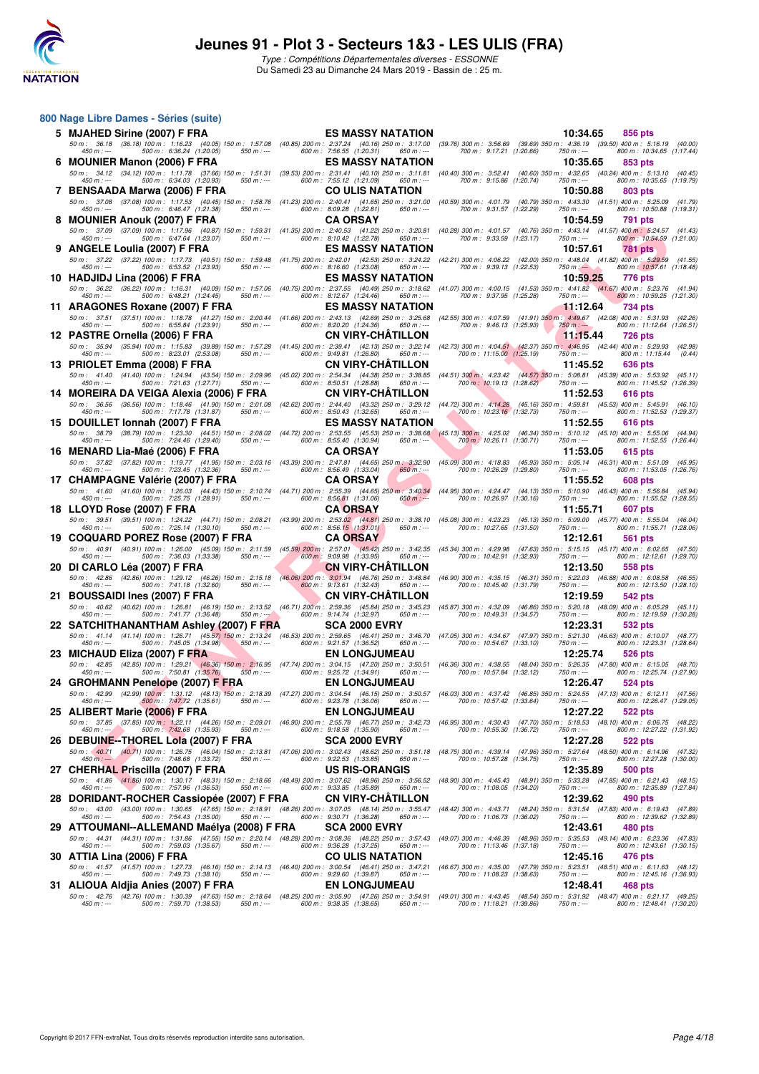

**800 Nage Libre Dames - Séries (suite)**

| 5 MJAHED Sirine (2007) F FRA                                                                                                                                                                                                                                                                                   | <b>ES MASSY NATATION</b>                                                                                                                                                                                                       |                            | 10:34.65                                                                       | 856 pts                                                     |         |
|----------------------------------------------------------------------------------------------------------------------------------------------------------------------------------------------------------------------------------------------------------------------------------------------------------------|--------------------------------------------------------------------------------------------------------------------------------------------------------------------------------------------------------------------------------|----------------------------|--------------------------------------------------------------------------------|-------------------------------------------------------------|---------|
| 50 m : 36.18 (36.18) 100 m : 1:16.23 (40.05) 150 m : 1:57.08 (40.85) 200 m : 2:37.24 (40.16) 250 m : 3:17.00 (39.76) 300 m : 3:56.69 (39.69) 350 m : 4:36.19 (39.50) 400 m : 5:16.19 (40.00<br>500 m: 6:36.24 (1:20.05)<br>$450 m : -$<br>$550 m: -$                                                           | 600 m: 7:56.55 (1:20.31)<br>650 m : ---                                                                                                                                                                                        | 700 m: 9:17.21 (1:20.66)   | $750 m: -$                                                                     | 800 m: 10:34.65 (1:17.44)                                   |         |
| 6 MOUNIER Manon (2006) F FRA                                                                                                                                                                                                                                                                                   | <b>ES MASSY NATATION</b>                                                                                                                                                                                                       |                            | 10:35.65                                                                       | 853 pts                                                     |         |
| 50 m : 34.12 (34.12) 100 m : 1:11.78 (37.66) 150 m : 1:51.31 (39.53) 200 m : 2:31.41 (40.10) 250 m : 3:11.81 (40.40) 300 m : 3:52.41 (40.60) 350 m : 4:32.65 (40.24) 400 m : 5:13.10 (40.45<br>500 m: 6:34.03 (1:20.93)<br>$450 m : -$<br>$550 m : -$                                                          | 600 m : 7:55.12 (1:21.09)<br>650 m : ---                                                                                                                                                                                       | 700 m: 9:15.86 (1:20.74)   | 750 m : ---                                                                    | 800 m: 10:35.65 (1:19.79)                                   |         |
| 7 BENSAADA Marwa (2006) F FRA                                                                                                                                                                                                                                                                                  | <b>CO ULIS NATATION</b>                                                                                                                                                                                                        |                            | 10:50.88                                                                       | 803 pts                                                     |         |
| 50 m : 37.08 (37.08) 100 m : 1:17.53 (40.45) 150 m : 1:58.76 (41.23) 200 m : 2:40.41 (41.65) 250 m : 3:21.00 (40.59) 300 m : 4:01.79 (40.79) 350 m : 4:43.30 (41.51) 400 m : 5:25.09 (41.79                                                                                                                    |                                                                                                                                                                                                                                |                            |                                                                                |                                                             |         |
| $450 m: -$<br>500 m: 6:46.47 (1:21.38)<br>$550 m: -$<br>8 MOUNIER Anouk (2007) F FRA                                                                                                                                                                                                                           | 600 m: 8:09.28 (1:22.81)<br>$650 m: -$<br><b>CA ORSAY</b>                                                                                                                                                                      | 700 m: 9:31.57 (1:22.29)   | $750 m: -$<br>10:54.59                                                         | 800 m: 10:50.88 (1:19.31)<br>791 pts                        |         |
| 50 m : 37.09 (37.09) 100 m : 1:17.96 (40.87) 150 m : 1:59.31 (41.35) 200 m : 2:40.53 (41.22) 250 m : 3:20.81 (40.28) 300 m : 4:01.57 (40.76) 350 m : 4:43.14 (41.57) 400 m : 5:24.57 (41.43                                                                                                                    |                                                                                                                                                                                                                                |                            |                                                                                |                                                             |         |
| 500 m: 6:47.64 (1:23.07)<br>$550 m: -$<br>$450 m : -$                                                                                                                                                                                                                                                          | 600 m: 8:10.42 (1:22.78)<br>$650 m: -$                                                                                                                                                                                         | 700 m: 9:33.59 (1:23.17)   | 750 m : ---                                                                    | 800 m: 10:54.59 (1:21.00)                                   |         |
| 9 ANGELE Loulia (2007) F FRA<br>50 m: 37.22 (37.22) 100 m: 1:17.73 (40.51) 150 m: 1:59.48 (41.75) 200 m: 2:42.01 (42.53) 250 m: 3:24.22 (42.21) 300 m: 4:06.22 (42.00) 350 m: 4:48.04 (41.82) 400 m: 5:29,59                                                                                                   | <b>ES MASSY NATATION</b>                                                                                                                                                                                                       |                            | 10:57.61                                                                       | <b>781 pts</b>                                              | (41.55) |
| 500 m: 6:53.52 (1:23.93)<br>550 m : ---<br>450 m : ---                                                                                                                                                                                                                                                         | 600 m: 8:16.60 (1:23.08)<br>650 m : ---                                                                                                                                                                                        | 700 m: 9:39.13 (1:22.53)   | $750 m$ : $-$                                                                  | 800 m: 10:57.61 (1:18.48)                                   |         |
| 10 HADJIDJ Lina (2006) F FRA<br>50 m : 36.22 (36.22) 100 m : 1:16.31 (40.09) 150 m : 1:57.06 (40.75) 200 m : 2:37.55 (40.49) 250 m : 3:18.62 (41.07) 300 m : 4:00.15 (41.53) 350 m : 4:41.82 (41.67) 400 m : 5:23.76 (41.94                                                                                    | <b>ES MASSY NATATION</b>                                                                                                                                                                                                       |                            | 10:59.25                                                                       | 776 pts                                                     |         |
| 500 m : 6:48.21 (1:24.45)<br>$450 m$ : ---<br>550 m : ---                                                                                                                                                                                                                                                      | 600 m: 8:12.67 (1:24.46)<br>650 m : ---                                                                                                                                                                                        | 700 m: 9:37.95 (1:25.28)   | 750 m : ---                                                                    | 800 m: 10:59.25 (1:21.30)                                   |         |
| 11 ARAGONES Roxane (2007) F FRA<br>50 m: 37.51 (37.51) 100 m: 1:18.78 (41.27) 150 m: 2:00.44 (41.66) 200 m: 2:43.13 (42.69) 250 m: 3:25.68 (42.55) 300 m: 4:07.59 (41.91) 350 m: 4:49.67 (42.08) 400 m: 5:31.93 (42.26)                                                                                        | <b>ES MASSY NATATION</b>                                                                                                                                                                                                       |                            | 11:12.64                                                                       | 734 pts                                                     |         |
| $450 m : -$<br>500 m: 6:55.84 (1:23.91)<br>550 m : ---                                                                                                                                                                                                                                                         | 600 m: 8:20.20 (1:24.36)<br>$650 m$ : ---                                                                                                                                                                                      | 700 m: 9:46.13 (1:25.93)   | $750 m : -$                                                                    | 800 m: 11:12.64 (1:26.51)                                   |         |
| 12 PASTRE Ornella (2006) F FRA<br>50 m: 35.94 (35.94) 100 m: 1:15.83 (39.89) 150 m: 1:57.28 (41.45) 200 m: 2:39.41 (42.13) 250 m: 3:22.14 (42.73) 300 m: 4:04.51 (42.37) 350 m; 4:46.95 (42.44) 400 m: 5:29.93 (42.98)                                                                                         | <b>CN VIRY-CHATILLON</b>                                                                                                                                                                                                       |                            | 11:15.44                                                                       | <b>726 pts</b>                                              |         |
| 500 m: 8:23.01 (2:53.08)<br>$450 m : -$<br>$550 m: -$                                                                                                                                                                                                                                                          | 600 m: 9:49.81 (1:26.80)<br>$650 m$ : ---                                                                                                                                                                                      | 700 m: 11:15.00 (1:25.19)  | $750 m: -$                                                                     | 800 m : 11:15.44                                            | (0.44)  |
| 13 PRIOLET Emma (2008) F FRA                                                                                                                                                                                                                                                                                   | <b>CN VIRY-CHATILLON</b>                                                                                                                                                                                                       |                            | 11:45.52                                                                       | 636 pts                                                     |         |
| 50 m: 41.40 (41.40) 100 m: 1:24.94 (43.54) 150 m: 2:09.96 (45.02) 200 m: 2:54.34 (44.38) 250 m: 3:38.85 (44.51) 300 m: 4:23.42 (44.57) 350 m: 5:08.81 (45.39) 400 m: 5:53.92 (45.11)<br>500 m: 7:21.63 (1:27.71)<br>$450 m : -$<br>$550 m : -$                                                                 | 600 m: 8:50.51 (1:28.88)<br>$650 m$ : ---                                                                                                                                                                                      | 700 m: 10:19.13 (1:28.62)  | $750 m: -$                                                                     | 800 m: 11:45.52 (1:26.39)                                   |         |
| 14 MOREIRA DA VEIGA Alexia (2006) F FRA                                                                                                                                                                                                                                                                        | <b>CN VIRY-CHATILLON</b>                                                                                                                                                                                                       |                            | 11:52.53                                                                       | 616 pts                                                     |         |
| 50 m : 36.56 (36.56) 100 m : 1:18.46 (41.90) 150 m : 2:01.08 (42.62) 200 m : 2:44.40 (43.32) 250 m : 3:29.12 (44.72) 300 m : 4:14.28 (45.16) 350 m : 4:59.81 (45.53) 400 m : 5:45.91 (46.10)<br>500 m: 7:17.78 (1:31.87)<br>$450 m : -$<br>550 m : ---                                                         | 600 m: 8:50.43 (1:32.65)<br>650 m : ---                                                                                                                                                                                        | 700 m: 10:23.16 (1:32.73)  | $750 m: -$                                                                     | 800 m: 11:52.53 (1:29.37)                                   |         |
| 15 DOUILLET Ionnah (2007) F FRA                                                                                                                                                                                                                                                                                | <b>ES MASSY NATATION</b>                                                                                                                                                                                                       |                            | 11:52.55                                                                       | 616 pts                                                     |         |
| 50 m : 38.79 (38.79) 100 m : 1:23.30 (44.51) 150 m : 2:08.02 (44.72) 200 m : 2:53.55 (45.53) 250 m : 3:38.68 (45.13) 300 m : 4:25.02 (46.34) 350 m : 5:10.12 (45.10) 400 m : 5:55.06 (44.94<br>500 m: 7:24.46 (1:29.40)<br>$550 m: -$<br>$450 m : -$                                                           | 600 m: 8:55.40 (1:30.94)<br>$650 m: -$                                                                                                                                                                                         | 700 m : 10:26.11 (1:30.71) | 750 m : ---                                                                    | 800 m: 11:52.55 (1:26.44)                                   |         |
| 16 MENARD Lia-Maé (2006) F FRA                                                                                                                                                                                                                                                                                 | <b>CA ORSAY</b>                                                                                                                                                                                                                |                            | 11:53.05                                                                       | 615 pts                                                     |         |
| 50 m : 37.82 (37.82) 100 m : 1:19.77 (41.95) 150 m : 2:03.16 (43.39) 200 m : 2:47.81 (44.65) 250 m : 3:32.90 (45.09) 300 m : 4:18.83 (45.93) 350 m : 5:05.14 (46.31) 400 m : 5:51.09 (45.95)<br>$450 m : -$<br>500 m: 7:23.45 (1:32.36)<br>$550 m: -$                                                          | 600 m: 8:56.49 (1:33.04)<br>$650 m: -$                                                                                                                                                                                         | 700 m: 10:26.29 (1:29.80)  | $750 m: -$                                                                     | 800 m: 11:53.05 (1:26.76)                                   |         |
| 17 CHAMPAGNE Valérie (2007) F FRA                                                                                                                                                                                                                                                                              | <b>CA ORSAY</b>                                                                                                                                                                                                                |                            | 11:55.52                                                                       | 608 pts                                                     |         |
| 50 m: 41.60 (41.60) 100 m: 1:26.03 (44.43) 150 m: 2:10.74 (44.71) 200 m: 2:55.39 (44.65) 250 m: 3:40.34 (44.95) 300 m: 4:24.47 (44.13) 350 m: 5:10.90 (46.43) 400 m: 5:56.84 (45.94<br>500 m: 7:25.75 (1:28.91)<br>$550 m: -$<br>$450 m : -$                                                                   | 600 m: 8:56.81 (1:31.06)<br>$650 m: -$                                                                                                                                                                                         | 700 m: 10:26.97 (1:30.16)  | 750 m : ---                                                                    | 800 m: 11:55.52 (1:28.55)                                   |         |
| 18 LLOYD Rose (2007) F FRA                                                                                                                                                                                                                                                                                     | <b>CA ORSAY</b>                                                                                                                                                                                                                |                            | 11:55.71                                                                       | 607 pts                                                     |         |
| 50 m: 39.51 (39.51) 100 m: 1:24.22 (44.71) 150 m: 2:08.21 (43.99) 200 m: 2:53.02 (44.81) 250 m: 3:38.10 (45.08) 300 m: 4:23.23 (45.13) 350 m: 5:09.00 (45.77) 400 m: 5:55.04 (46.04<br>500 m: 7:25.14 (1:30.10)<br>$450 m : -$<br>$550 m: -$                                                                   | 600 m: 8:56.15 (1:31.01)<br>650 m : ---                                                                                                                                                                                        | 700 m: 10:27.65 (1:31.50)  | 750 m : ---                                                                    | 800 m: 11:55.71 (1:28.06)                                   |         |
| 19 COQUARD POREZ Rose (2007) F FRA                                                                                                                                                                                                                                                                             | <b>CA ORSAY</b>                                                                                                                                                                                                                |                            | 12:12.61                                                                       | 561 pts                                                     |         |
| 50 m: 40.91 (40.91) 100 m: 1:26.00 (45.09) 150 m: 2:11.59 (45.59) 200 m: 2:57.01 (45.42) 250 m: 3:42.35 (45.34) 300 m: 4:29.98 (47.63) 350 m: 5:15.15 (45.17) 400 m: 6:02.65 (47.50)<br>$450 m : -$<br>500 m : 7:36.03 (1:33.38)<br>$550 m: -$                                                                 | 600 m : 9:09.98 (1:33.95)<br>650 m : ---                                                                                                                                                                                       | 700 m: 10:42.91 (1:32.93)  | 750 m : ---                                                                    | 800 m: 12:12.61 (1:29.70)                                   |         |
| 20 DI CARLO Léa (2007) F FRA                                                                                                                                                                                                                                                                                   | <b>CN VIRY-CHATILLON</b>                                                                                                                                                                                                       |                            | 12:13.50                                                                       | 558 pts                                                     |         |
| 50 m : 42.86 (42.86) 100 m : 1:29.12 (46.26) 150 m : 2:15.18 (46.06) 200 m : 3:01.94 (46.76) 250 m : 3:48.84<br>500 m: 7:41.18 (1:32.60)<br>$450 m : -$<br>$550 m : -$                                                                                                                                         | 600 m: 9:13.61 (1:32.43)<br>$650 m$ : ---                                                                                                                                                                                      | 700 m: 10:45.40 (1:31.79)  | (46.90) 300 m : 4:35.15 (46.31) 350 m : 5:22.03<br>$750 m: -$                  | (46.88) 400 m : 6:08.58 (46.55<br>800 m: 12:13.50 (1:28.10) |         |
| 21 BOUSSAIDI Ines (2007) F FRA                                                                                                                                                                                                                                                                                 | <b>CN VIRY-CHATILLON</b>                                                                                                                                                                                                       |                            | 12:19.59                                                                       | 542 pts                                                     |         |
| 50 m : 40.62 (40.62) 100 m : 1:26.81 (46.19) 150 m : 2:13.52 (46.71) 200 m : 2:59.36 (45.84) 250 m : 3:45.23                                                                                                                                                                                                   |                                                                                                                                                                                                                                |                            | (45.87) 300 m : 4:32.09 (46.86) 350 m : 5:20.18 (48.09) 400 m : 6:05.29 (45.11 |                                                             |         |
| 500 m: 7:41.77 (1:36.48)<br>$450 m : -$<br>$550 m : -5$<br>22 SATCHITHANANTHAM Ashley (2007) F FRA                                                                                                                                                                                                             | 600 m: 9:14.74 (1:32.97)<br>$650 m: -$<br><b>SCA 2000 EVRY</b>                                                                                                                                                                 | 700 m: 10:49.31 (1:34.57)  | 750 m : ---<br>12:23.31                                                        | 800 m: 12:19.59 (1:30.28)<br>532 pts                        |         |
| 50 m : 41.14 (41.14) 100 m : 1:26.71 (45.57) 150 m : 2:13.24 (46.53) 200 m : 2:59.65 (46.41) 250 m : 3:46.70 (47.05) 300 m : 4:34.67 (47.97) 350 m : 5:21.30 (46.63) 400 m : 6:10.07 (48.77<br>500 m: 7:45.05 (1:34.98)                                                                                        |                                                                                                                                                                                                                                | 700 m: 10:54.67 (1:33.10)  |                                                                                | 800 m: 12:23.31 (1:28.64)                                   |         |
| $450 m : -$<br>$550 m: -$<br>23 MICHAUD Eliza (2007) F FRA                                                                                                                                                                                                                                                     | 600 m: 9:21.57 (1:36.52)<br>650 m : ---<br><b>EN LONGJUMEAU</b>                                                                                                                                                                |                            | $750 m: -$<br>12:25.74                                                         | <b>526 pts</b>                                              |         |
| 50 m : 42.85 (42.85) 100 m : 1:29.21 (46.36) 150 m : 2:16.95 (47.74) 200 m : 3:04.15 (47.20) 250 m : 3:50.51 (46.36) 300 m : 4:38.55 (48.04) 350 m : 5:26.35 (47.80) 400 m : 6:15.05 (48.70)<br>500 m: 7:50.81 (1:35.76)                                                                                       |                                                                                                                                                                                                                                |                            |                                                                                | 800 m: 12:25.74 (1:27.90)                                   |         |
| $550 m : -$<br>$450 m : -$<br>24 GROHMANN Penelope (2007) F FRA                                                                                                                                                                                                                                                | 600 m: 9:25.72 (1:34.91)<br>650 m : ---<br><b>EN LONGJUMEAU</b>                                                                                                                                                                | 700 m: 10:57.84 (1:32.12)  | 750 m : ---<br>12:26.47                                                        | 524 pts                                                     |         |
| 50 m : 42.99 (42.99) 100 m : 1:31.12 (48.13) 150 m : 2:18.39 (47.27) 200 m : 3:04.54 (46.15) 250 m : 3:50.57 (46.03) 300 m : 42:37.42 (46.85) 350 m : 5:24.55 (47.13) 400 m : 6:12.11 (47.56<br>500 m : 7:47.72 (1:35.61) 550 m :--- 600 m : 9:23.78 (1:36.06) 650 m :--- 700 m : 10:57.42 (1:33.64) 750 m :-- |                                                                                                                                                                                                                                |                            |                                                                                |                                                             |         |
| 450 m : ---<br>25 ALIBERT Marie (2006) F FRA                                                                                                                                                                                                                                                                   | <b>EN LONGJUMEAU</b>                                                                                                                                                                                                           |                            | 12:27.22                                                                       | 800 m : 12:26.47 (1:29.05<br>522 pts                        |         |
| 50 m: 37.85 (37.85) 100 m: 1:22.11 (44.26) 150 m: 2:09.01 (46.90) 200 m: 2:55.78 (46.77) 250 m: 3:42.73 (46.95) 300 m: 4:30.43 (47.70) 350 m: 5:18.53 (48.10) 400 m: 6:06.75 (48.22                                                                                                                            |                                                                                                                                                                                                                                |                            |                                                                                |                                                             |         |
| 500 m: 7:42.68 (1:35.93)<br>$550 m: -$<br>$450 m: -$<br>26 DEBUINE--THOREL Lola (2007) F FRA                                                                                                                                                                                                                   | 600 m: 9:18.58 (1:35.90)<br>650 m : ---<br><b>SCA 2000 EVRY</b>                                                                                                                                                                | 700 m: 10:55.30 (1:36.72)  | 750 m : ---<br>12:27.28                                                        | 800 m: 12:27.22 (1:31.92)<br><b>522 pts</b>                 |         |
| 50 m : 40.71 (40.71) 100 m : 1:26.75 (46.04) 150 m : 2:13.81 (47.06) 200 m : 3:02.43 (48.62) 250 m : 3:51.18 (48.75) 300 m : 4:39.14 (47.96) 350 m : 5:27.64 (48.50) 400 m : 6:14.96 (47.32<br>500 m : 7:48.68 (1:33.72) 550 m :                                                                               |                                                                                                                                                                                                                                |                            |                                                                                |                                                             |         |
| 27 CHERHAL Priscilla (2007) F FRA                                                                                                                                                                                                                                                                              | <b>US RIS-ORANGIS</b>                                                                                                                                                                                                          |                            | 12:35.89                                                                       | 500 pts                                                     |         |
| 50 m: 41.86 (41.86) 100 m: 1:30.17 (48.31) 150 m: 2:18.66 (48.49) 200 m: 3:07.62 (48.96) 250 m: 3:56.52 (48.90) 300 m: 4:45.43 (48.91) 350 m: 5:33.28 (47.85) 400 m: 6:21.43 (48.15                                                                                                                            |                                                                                                                                                                                                                                |                            |                                                                                |                                                             |         |
| $450 m : -$<br>500 m: 7:57.96 (1:36.53)<br>$550 m: -$<br>28 DORIDANT-ROCHER Cassiopée (2007) F FRA                                                                                                                                                                                                             | 600 m : 9:33.85 (1:35.89)<br>$650 m$ : ---<br><b>CN VIRY-CHATILLON</b>                                                                                                                                                         | 700 m: 11:08.05 (1:34.20)  | 750 m : ---<br>12:39.62                                                        | 800 m: 12:35.89 (1:27.84)<br>490 pts                        |         |
| 50 m: 43.00 (43.00) 100 m: 1:30.65 (47.65) 150 m: 2:18.91                                                                                                                                                                                                                                                      |                                                                                                                                                                                                                                |                            |                                                                                |                                                             |         |
| 500 m: 7:54.43 (1:35.00)<br>$450 m : -$<br>550 m : ---                                                                                                                                                                                                                                                         | 48.26) 200 m : 3:07.05 (48.14) 250 m : 3:55.47 (48.42) 300 m : 4:43.71 (48.24) 350 m : 5:31.54 (47.83) 400 m : 6:19.43 (47.89) 600 m : 9:30.71 (1:36.28) 650 m : --- 700 m : 11:06.73 (1:36.02) 750 m :--- 800 m : 12:39.62 (1 |                            |                                                                                |                                                             |         |
| 29 ATTOUMANI--ALLEMAND Maélya (2008) F FRA<br>50 m: 44.31 (44.31) 100 m: 1:31.86 (47.55) 150 m: 2:20.14                                                                                                                                                                                                        | <b>SCA 2000 EVRY</b><br>(48.28) 200 m : 3:08.36 (48.22) 250 m : 3:57.43 (49.07) 300 m : 4:46.39 (48.96) 350 m : 5:35.53 (49.14) 400 m : 6:23.36 (47.83                                                                         |                            | 12:43.61                                                                       | 480 pts                                                     |         |
| 500 m: 7:59.03 (1:35.67)<br>$450 m : -$<br>$550 m: -$                                                                                                                                                                                                                                                          | 600 m: 9:36.28 (1:37.25)<br>650 m : ---                                                                                                                                                                                        | 700 m: 11:13.46 (1:37.18)  | 750 m : ---                                                                    | 800 m: 12:43.61 (1:30.15)                                   |         |
| 30 ATTIA Lina (2006) F FRA<br>50 m: 41.57 (41.57) 100 m: 1:27.73 (46.16) 150 m: 2:14.13 (46.40) 200 m: 3:00.54 (46.41) 250 m: 3:47.21 (46.67) 300 m: 4:35.00 (47.79) 350 m: 5:23.51 (48.51) 400 m: 6:11.63 (48.12)                                                                                             | <b>CO ULIS NATATION</b>                                                                                                                                                                                                        |                            | 12:45.16                                                                       | 476 pts                                                     |         |
| $450 m : -$<br>500 m: 7:49.73 (1:38.10)<br>$550 m: -$                                                                                                                                                                                                                                                          | 600 m: 9:29.60 (1:39.87)<br>$650 m$ : ---                                                                                                                                                                                      | 700 m: 11:08.23 (1:38.63)  | 750 m : ---                                                                    | 800 m: 12:45.16 (1:36.93)                                   |         |
| 31 ALIOUA Aldjia Anies (2007) F FRA<br>50 m : 42.76 (42.76) 100 m : 1:30.39 (47.63) 150 m : 2:18.64 (48.25) 200 m : 3:05.90 (47.26) 250 m : 3:54.91 (49.01) 300 m : 4:43.45 (48.54) 350 m : 5:31.92 (48.47) 400 m : 6:21.17 (49.25                                                                             | <b>EN LONGJUMEAU</b>                                                                                                                                                                                                           |                            | 12:48.41                                                                       | <b>468 pts</b>                                              |         |
| $450 m : -$<br>500 m : 7:59.70 (1:38.53)<br>550 m : ---                                                                                                                                                                                                                                                        | 600 m : 9:38.35 (1:38.65)<br>650 m : ---                                                                                                                                                                                       | 700 m : 11:18.21 (1:39.86) | 750 m : ---                                                                    | 800 m: 12:48.41 (1:30.20)                                   |         |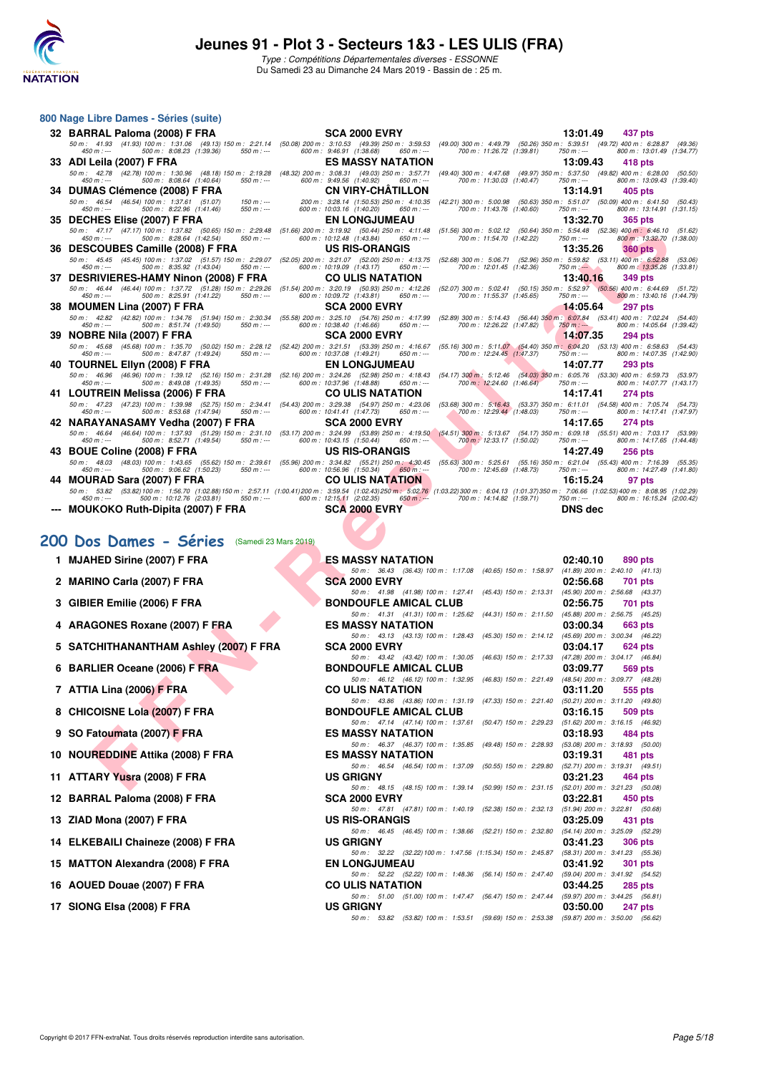

Type : Compétitions Départementales diverses - ESSONNE Du Samedi 23 au Dimanche 24 Mars 2019 - Bassin de : 25 m.

|     | 800 Nage Libre Dames - Séries (suite)                                                                                                                                                                                                                        |                                                                                               |                                                                                                                              |                                                                                                                                                                        |
|-----|--------------------------------------------------------------------------------------------------------------------------------------------------------------------------------------------------------------------------------------------------------------|-----------------------------------------------------------------------------------------------|------------------------------------------------------------------------------------------------------------------------------|------------------------------------------------------------------------------------------------------------------------------------------------------------------------|
|     | 32 BARRAL Paloma (2008) F FRA                                                                                                                                                                                                                                | <b>SCA 2000 EVRY</b>                                                                          |                                                                                                                              | 13:01.49<br>437 pts                                                                                                                                                    |
|     | 50 m : 41.93 (41.93) 100 m : 1:31.06 (49.13) 150 m : 2:21.14<br>$450 m : -$<br>500 m: 8:08.23 (1:39.36)<br>$550 m$ : ---                                                                                                                                     | (50.08) 200 m : 3:10.53 (49.39) 250 m : 3:59.53<br>600 m: 9:46.91 (1:38.68)<br>$650 m: -$     | $(49.00)$ 300 m : 4:49.79<br>700 m: 11:26.72 (1:39.81)                                                                       | (50.26) 350 m : 5:39.51 (49.72) 400 m : 6:28.87 (49.36)<br>800 m: 13:01.49 (1:34.77)<br>$750 m: -$                                                                     |
|     | 33 ADI Leila (2007) F FRA                                                                                                                                                                                                                                    | <b>ES MASSY NATATION</b>                                                                      |                                                                                                                              | 13:09.43<br>418 pts                                                                                                                                                    |
|     | 50 m: 42.78 (42.78) 100 m: 1:30.96 (48.18) 150 m: 2:19.28<br>500 m: 8:08.64 (1:40.64)<br>$450 m : -$<br>$550 m: -$                                                                                                                                           | (48.32) 200 m: 3:08.31 (49.03) 250 m: 3:57.71<br>600 m: 9:49.56 (1:40.92)<br>$650 m$ : ---    | 700 m: 11:30.03 (1:40.47)                                                                                                    | (49.40) 300 m: 4:47.68 (49.97) 350 m: 5:37.50 (49.82) 400 m: 6:28.00 (50.50)<br>800 m: 13:09.43 (1:39.40)<br>$750 m: -$                                                |
|     | 34 DUMAS Clémence (2008) F FRA                                                                                                                                                                                                                               | <b>CN VIRY-CHATILLON</b>                                                                      |                                                                                                                              | 13:14.91<br>405 pts                                                                                                                                                    |
|     | 50 m: 46.54 (46.54) 100 m: 1:37.61 (51.07)<br>150 m : ---                                                                                                                                                                                                    | 200 m: 3:28.14 (1:50.53) 250 m: 4:10.35                                                       | $(42.21)$ 300 m : 5:00.98                                                                                                    | (50.63) 350 m: 5:51.07 (50.09) 400 m: 6:41.50 (50.43)                                                                                                                  |
|     | $450 m : -$<br>500 m: 8:22.96 (1:41.46)<br>$550 m: -$<br>35 DECHES Elise (2007) F FRA                                                                                                                                                                        | 600 m : 10:03.16 (1:40.20)<br>650 m : ---<br>EN LONGJUMEAU                                    | 700 m: 11:43.76 (1:40.60)                                                                                                    | 800 m: 13:14.91 (1:31.15)<br>750 m : ---<br>13:32.70<br><b>365 pts</b>                                                                                                 |
|     | 50 m: 47.17 (47.17) 100 m: 1:37.82 (50.65) 150 m: 2:29.48                                                                                                                                                                                                    | (51.66) 200 m: 3:19.92 (50.44) 250 m: 4:11.48                                                 | (51.56) 300 m: 5:02.12 (50.64) 350 m: 5:54.48                                                                                | $(52.36)$ 400 m : 6:46.10 $(51.62)$                                                                                                                                    |
|     | $450 m : -$<br>500 m : 8:28.64 (1:42.54)<br>550 m : ---<br>36 DESCOUBES Camille (2008) F FRA                                                                                                                                                                 | 600 m: 10:12.48 (1:43.84)<br>650 m : ---<br><b>US RIS-ORANGIS</b>                             | 700 m: 11:54.70 (1:42.22)                                                                                                    | 800 m: 13:32.70 (1:38.00)<br>750 m : ---<br>13:35.26<br><b>360 pts</b>                                                                                                 |
|     | 50 m: 45.45 (45.45) 100 m: 1:37.02 (51.57) 150 m: 2:29.07                                                                                                                                                                                                    | (52.05) 200 m: 3:21.07 (52.00) 250 m: 4:13.75                                                 | (52.68) 300 m: 5:06.71 (52.96) 350 m: 5:59.82 (53.11) 400 m: 6:52.88                                                         | (53.06)                                                                                                                                                                |
|     | 500 m: 8:35.92 (1:43.04)<br>$450 m : -$<br>$550 m$ : ---                                                                                                                                                                                                     | 600 m: 10:19.09 (1:43.17)<br>650 m : ---                                                      | 700 m: 12:01.45 (1:42.36)                                                                                                    | $750 m$ : $-$<br>800 m: 13:35.26 (1:33.81)                                                                                                                             |
| 37. | <b>DESRIVIERES-HAMY Ninon (2008) F FRA</b><br>50 m: 46.44 (46.44) 100 m: 1:37.72 (51.28) 150 m: 2:29.26                                                                                                                                                      | <b>CO ULIS NATATION</b><br>(51.54) 200 m: 3:20.19 (50.93) 250 m: 4:12.26                      | (52.07) 300 m : 5:02.41 (50.15) 350 m : 5:52.97                                                                              | 13:40.16<br><b>349 pts</b><br>(51.72)<br>$(50.56)$ 400 m : 6:44.69                                                                                                     |
|     | $450 m : -$<br>500 m: 8:25.91 (1:41.22)<br>$550 m: -$                                                                                                                                                                                                        | 600 m: 10:09.72 (1:43.81)<br>$650 m$ : ---                                                    | 700 m: 11:55.37 (1:45.65)                                                                                                    | 800 m: 13:40.16 (1:44.79)<br>750 m : ---                                                                                                                               |
|     | 38 MOUMEN Lina (2007) F FRA<br>50 m: 42.82 (42.82) 100 m: 1:34.76 (51.94) 150 m: 2:30.34                                                                                                                                                                     | <b>SCA 2000 EVRY</b><br>(55.58) 200 m: 3:25.10 (54.76) 250 m: 4:17.99                         | (52.89) 300 m : 5:14.43 (56.44) 350 m : 6:07.84                                                                              | 14:05.64<br><b>297 pts</b><br>(53.41) 400 m : 7:02.24 (54.40)                                                                                                          |
|     | $450 m: -$<br>500 m : 8:51.74 (1:49.50)<br>$550 m: -$                                                                                                                                                                                                        | 600 m: 10:38.40 (1:46.66)<br>$650 m$ : ---                                                    | 700 m: 12:26.22 (1:47.82)                                                                                                    | $750 m : -$<br>800 m: 14:05.64 (1:39.42)                                                                                                                               |
|     | 39 NOBRE Nila (2007) F FRA                                                                                                                                                                                                                                   | SCA 2000 EVRY                                                                                 |                                                                                                                              | 14:07.35<br><b>294 pts</b>                                                                                                                                             |
|     | (45.68) 100 m : 1:35.70 (50.02) 150 m : 2:28.12<br>50 m : 45.68<br>500 m: 8:47.87 (1:49.24)<br>$450 m: -$<br>$550 m$ : ---                                                                                                                                   | (52.42) 200 m : 3:21.51 (53.39) 250 m : 4:16.67<br>600 m: 10:37.08 (1:49.21)<br>650 m : ---   | (55.16) 300 m: 5:11.07 (54.40) 350 m: 6:04.20<br>700 m: 12:24.45 (1:47.37)                                                   | $(53.13)$ 400 m : 6:58.63<br>(54.43)<br>$750 m : -$<br>800 m: 14:07.35 (1:42.90)                                                                                       |
|     | 40 TOURNEL Ellyn (2008) F FRA                                                                                                                                                                                                                                | <b>EN LONGJUMEAU</b>                                                                          |                                                                                                                              | 14:07.77<br><b>293 pts</b>                                                                                                                                             |
|     | 50 m: 46.96 (46.96) 100 m: 1:39.12 (52.16) 150 m: 2:31.28<br>500 m: 8:49.08 (1:49.35)<br>$550 m$ : ---<br>$450 m : -$                                                                                                                                        | 600 m: 10:37.96 (1:48.88)<br>650 m : ---                                                      | (52.16) 200 m : 3:24.26 (52.98) 250 m : 4:18.43 (54.17) 300 m : 5:12.46 (54.03) 350 m : 6:05.76<br>700 m: 12:24.60 (1:46.64) | (53.30) 400 m : 6:59.73 (53.97)<br>750 m : ---<br>800 m: 14:07.77 (1:43.17)                                                                                            |
|     | 41 LOUTREIN Melissa (2006) F FRA                                                                                                                                                                                                                             | <b>CO ULIS NATATION</b>                                                                       |                                                                                                                              | 14:17.41<br><b>274 pts</b>                                                                                                                                             |
|     | 50 m : 47.23 (47.23) 100 m : 1:39.98 (52.75) 150 m : 2:34.41<br>500 m: 8:53.68 (1:47.94)<br>$450 m : -$<br>$550 m$ : ---                                                                                                                                     | (54.43) 200 m: 3:29.38 (54.97) 250 m: 4:23.06<br>600 m: 10:41.41 (1:47.73)<br>650 m : ---     | 700 m: 12:29.44 (1:48.03)                                                                                                    | (53.68) 300 m: 5:16.43 (53.37) 350 m: 6:11.01 (54.58) 400 m: 7:05.74 (54.73)<br>800 m: 14:17.41 (1:47.97)<br>750 m : ---                                               |
|     | 42 NARAYANASAMY Vedha (2007) F FRA                                                                                                                                                                                                                           | <b>SCA 2000 EVRY</b>                                                                          |                                                                                                                              | 14:17.65<br><b>274 pts</b>                                                                                                                                             |
|     | 50 m: 46.64 (46.64) 100 m: 1:37.93 (51.29) 150 m: 2:31.10<br>500 m: 8:52.71 (1:49.54)<br>450 m : ---<br>550 m : ---                                                                                                                                          | 600 m: 10:43.15 (1:50.44)<br>650 m : ---                                                      | 700 m : 12:33.17 (1:50.02)                                                                                                   | (53.17) 200 m: 3:24.99 (53.89) 250 m: 4:19.50 (54.51) 300 m: 5:13.67 (54.17) 350 m: 6:09.18 (55.51) 400 m: 7:03.17 (53.99)<br>800 m: 14:17.65 (1:44.48)<br>750 m : --- |
|     | 43 BOUE Coline (2008) F FRA                                                                                                                                                                                                                                  | US RIS-ORANGIS                                                                                |                                                                                                                              | 14:27.49<br><b>256 pts</b>                                                                                                                                             |
|     | (48.03) 100 m: 1:43.65 (55.62) 150 m: 2:39.61<br>50 m : 48.03<br>500 m: 9:06.62 (1:50.23)<br>450 m : ---<br>550 m : ---                                                                                                                                      | (55.96) 200 m : 3:34.82 (55.21) 250 m : 4:30.45<br>600 m: 10:56.96 (1:50.34)<br>$650 m$ : --- | $(55.63)$ 300 m : 5:25.61<br>$(55.16)$ 350 m : 6:21.04<br>700 m: 12:45.69 (1:48.73)                                          | $(55.43)$ 400 m : 7:16.39<br>(55.35)<br>800 m: 14:27.49 (1:41.80)<br>$750 m: -$                                                                                        |
|     | 44 MOURAD Sara (2007) F FRA                                                                                                                                                                                                                                  | CO ULIS NATATION                                                                              |                                                                                                                              | 16:15.24<br>97 pts                                                                                                                                                     |
|     | 50 m: 53.82 (53.82) 100 m: 1:56.70 (1:02.88) 150 m: 2:57.11 (1:00.41) 200 m: 3:59.54 (1:02.43) 250 m: 5:02.76 (1:03.22) 300 m: 6:04.13 (1:01.37) 350 m: 7:06.66 (1:02.53) 400 m: 8:08.95 (1:02.29)<br>$450 m : -$<br>500 m: 10:12.76 (2:03.81)<br>$550 m: -$ | 600 m: 12:15.11 (2:02.35)<br>$650 m$ : ---                                                    | 700 m: 14:14.82 (1:59.71)                                                                                                    | 750 m : ---<br>800 m: 16:15.24 (2:00.42)                                                                                                                               |
|     | <b>MOUKOKO Ruth-Dipita (2007) F FRA</b>                                                                                                                                                                                                                      | <b>SCA 2000 EVRY</b>                                                                          |                                                                                                                              | <b>DNS</b> dec                                                                                                                                                         |
|     |                                                                                                                                                                                                                                                              |                                                                                               |                                                                                                                              |                                                                                                                                                                        |
|     | 200 Dos Dames - Séries<br>(Samedi 23 Mars 2019)                                                                                                                                                                                                              |                                                                                               |                                                                                                                              |                                                                                                                                                                        |
|     |                                                                                                                                                                                                                                                              |                                                                                               |                                                                                                                              |                                                                                                                                                                        |
|     | 1 MJAHED Sirine (2007) F FRA                                                                                                                                                                                                                                 | ES MASSY NATATION                                                                             | 50 m: 36.43 (36.43) 100 m: 1:17.08 (40.65) 150 m: 1:58.97                                                                    | 02:40.10<br>890 pts<br>$(41.89)$ 200 m : 2:40.10 $(41.13)$                                                                                                             |
|     | 2 MARINO Carla (2007) F FRA                                                                                                                                                                                                                                  | <b>SCA 2000 EVRY</b>                                                                          |                                                                                                                              | 02:56.68<br>701 pts                                                                                                                                                    |
|     |                                                                                                                                                                                                                                                              |                                                                                               | 50 m: 41.98 (41.98) 100 m: 1:27.41 (45.43) 150 m: 2:13.31                                                                    | (45.90) 200 m : 2:56.68 (43.37)                                                                                                                                        |
|     | 3 GIBIER Emilie (2006) F FRA                                                                                                                                                                                                                                 | <b>BONDOUFLE AMICAL CLUB</b><br>50 m: 41.31 (41.31) 100 m: 1:25.62                            | (44.31) 150 m : 2:11.50                                                                                                      | 02:56.75<br>701 pts<br>(45.88) 200 m : 2:56.75 (45.25)                                                                                                                 |
|     | 4 ARAGONES Roxane (2007) F FRA                                                                                                                                                                                                                               | <b>ES MASSY NATATION</b>                                                                      |                                                                                                                              | 03:00.34<br>663 pts                                                                                                                                                    |
|     |                                                                                                                                                                                                                                                              |                                                                                               | 50 m: 43.13 (43.13) 100 m: 1:28.43 (45.30) 150 m: 2:14.12                                                                    | (45.69) 200 m : 3:00.34 (46.22)                                                                                                                                        |
|     | 5 SATCHITHANANTHAM Ashley (2007) F FRA                                                                                                                                                                                                                       | <b>SCA 2000 EVRY</b>                                                                          | 50 m: 43.42 (43.42) 100 m: 1:30.05 (46.63) 150 m: 2:17.33                                                                    | 03:04.17<br>624 pts<br>(47.28) 200 m : 3:04.17 (46.84)                                                                                                                 |
|     | 6 BARLIER Oceane (2006) F FRA                                                                                                                                                                                                                                | <b>BONDOUFLE AMICAL CLUB</b>                                                                  |                                                                                                                              | 03:09.77<br>569 pts                                                                                                                                                    |
|     |                                                                                                                                                                                                                                                              | 50 m: 46.12 (46.12) 100 m: 1:32.95                                                            | (46.83) 150 m : 2:21.49                                                                                                      | (48.54) 200 m : 3:09.77 (48.28)                                                                                                                                        |
|     | 7 ATTIA Lina (2006) F FRA                                                                                                                                                                                                                                    | <b>CO ULIS NATATION</b>                                                                       |                                                                                                                              | 03:11.20<br>555 pts                                                                                                                                                    |
|     | 8 CHICOISNE Lola (2007) F FRA                                                                                                                                                                                                                                | <b>BONDOUFLE AMICAL CLUB</b>                                                                  | 50 m: 43.86 (43.86) 100 m: 1:31.19 (47.33) 150 m: 2:21.40                                                                    | $(50.21)$ 200 m : 3:11.20 $(49.80)$<br>03:16.15<br>509 pts                                                                                                             |
|     |                                                                                                                                                                                                                                                              | 50 m : 47.14 (47.14) 100 m : 1:37.61                                                          | $(50.47)$ 150 m : 2:29.23                                                                                                    | (51.62) 200 m : 3:16.15 (46.92)                                                                                                                                        |
|     | 9 SO Fatoumata (2007) F FRA                                                                                                                                                                                                                                  | <b>ES MASSY NATATION</b>                                                                      |                                                                                                                              | 03:18.93<br>484 pts                                                                                                                                                    |
|     | 10 NOUREDDINE Attika (2008) F FRA                                                                                                                                                                                                                            | 50 m: 46.37 (46.37) 100 m: 1:35.85<br><b>ES MASSY NATATION</b>                                | $(49.48)$ 150 m : 2:28.93                                                                                                    | $(53.08)$ 200 m : 3:18.93 $(50.00)$                                                                                                                                    |
|     |                                                                                                                                                                                                                                                              | 50 m: 46.54 (46.54) 100 m: 1:37.09                                                            | (50.55) 150 m : 2:29.80                                                                                                      | 03:19.31<br>481 pts<br>(52.71) 200 m: 3:19.31 (49.51)                                                                                                                  |
|     | 11 ATTARY Yusra (2008) F FRA                                                                                                                                                                                                                                 | <b>US GRIGNY</b>                                                                              |                                                                                                                              | 03:21.23<br>464 pts                                                                                                                                                    |
|     |                                                                                                                                                                                                                                                              |                                                                                               | 50 m: 48.15 (48.15) 100 m: 1:39.14 (50.99) 150 m: 2:31.15 (52.01) 200 m: 3:21.23 (50.08)                                     |                                                                                                                                                                        |

#### **200 Dos Dames - Séries** (San

|  | <b>MJAHED Sirine (2007) F FRA</b> |  |  |  |
|--|-----------------------------------|--|--|--|
|--|-----------------------------------|--|--|--|

- **2 MARINO Carla (2007) F FRA**
- **3 GIBIER Emilie (2006) F FRA**
- 4 ARAGONES Roxane (2007) F FRA
- **5 SATCHITHANANTHAM Ashley (2007) F FRA**
- **6 BARLIER Oceane (2006) F FRA**
- **7 ATTIA Lina (2006) F FRA**
- **8 CHICOISNE Lola (2007) F FRA**
- **9 SO Fatoumata (2007) F FRA**
- **10 NOUREDDINE Attika (2008) F FRA**
- **11 ATTARY Yusra (2008) F FRA**
- **12 BARRAL Paloma (2008) F FRA**
- **13 ZIAD Mona (2007) F FRA**
- 14 ELKEBAILI Chaineze (2008) F FRA
- 15 MATTON Alexandra (2008) F FRA
- **16 AOUED Douae (2007) F FRA**
- 

| 1 MJAHED Sirine (2007) F FRA           | <b>ES MASSY NATATION</b>                                                                   | 02:40.10 | 890 pts        |
|----------------------------------------|--------------------------------------------------------------------------------------------|----------|----------------|
|                                        | 50 m: 36.43 (36.43) 100 m: 1:17.08 (40.65) 150 m: 1:58.97 (41.89) 200 m: 2:40.10 (41.13)   |          |                |
| 2 MARINO Carla (2007) F FRA            | <b>SCA 2000 EVRY</b>                                                                       | 02:56.68 | 701 pts        |
|                                        | 50 m: 41.98 (41.98) 100 m: 1:27.41 (45.43) 150 m: 2:13.31 (45.90) 200 m: 2:56.68 (43.37)   |          |                |
| 3 GIBIER Emilie (2006) F FRA           | <b>BONDOUFLE AMICAL CLUB</b>                                                               | 02:56.75 | 701 pts        |
|                                        | 50 m: 41.31 (41.31) 100 m: 1:25.62 (44.31) 150 m: 2:11.50 (45.88) 200 m: 2:56.75 (45.25)   |          |                |
| 4 ARAGONES Roxane (2007) F FRA         | <b>ES MASSY NATATION</b>                                                                   | 03:00.34 | 663 pts        |
|                                        | 50 m: 43.13 (43.13) 100 m: 1:28.43 (45.30) 150 m: 2:14.12 (45.69) 200 m: 3:00.34 (46.22)   |          |                |
| 5 SATCHITHANANTHAM Ashley (2007) F FRA | <b>SCA 2000 EVRY</b>                                                                       | 03:04.17 | 624 pts        |
|                                        | 50 m: 43.42 (43.42) 100 m: 1:30.05 (46.63) 150 m: 2:17.33 (47.28) 200 m: 3:04.17 (46.84)   |          |                |
| 6 BARLIER Oceane (2006) F FRA          | <b>BONDOUFLE AMICAL CLUB</b>                                                               | 03:09.77 | 569 pts        |
|                                        | 50 m: 46.12 (46.12) 100 m: 1:32.95 (46.83) 150 m: 2:21.49 (48.54) 200 m: 3:09.77 (48.28)   |          |                |
| 7 ATTIA Lina (2006) F FRA              | <b>CO ULIS NATATION</b>                                                                    | 03:11.20 | 555 pts        |
|                                        | 50 m: 43.86 (43.86) 100 m: 1:31.19 (47.33) 150 m: 2:21.40 (50.21) 200 m: 3:11.20 (49.80)   |          |                |
| 8 CHICOISNE Lola (2007) F FRA          | <b>BONDOUFLE AMICAL CLUB</b>                                                               | 03:16.15 | 509 pts        |
|                                        | 50 m: 47.14 (47.14) 100 m: 1:37.61 (50.47) 150 m: 2:29.23 (51.62) 200 m: 3:16.15 (46.92)   |          |                |
| 9 SO Fatoumata (2007) F FRA            | <b>ES MASSY NATATION</b>                                                                   | 03:18.93 | 484 pts        |
|                                        | 50 m: 46.37 (46.37) 100 m: 1:35.85 (49.48) 150 m: 2:28.93 (53.08) 200 m: 3:18.93 (50.00)   |          |                |
| 10 NOUREDDINE Attika (2008) F FRA      | <b>ES MASSY NATATION</b>                                                                   | 03:19.31 | 481 pts        |
|                                        | 50 m: 46.54 (46.54) 100 m: 1:37.09 (50.55) 150 m: 2:29.80 (52.71) 200 m: 3:19.31 (49.51)   |          |                |
| 11 ATTARY Yusra (2008) F FRA           | <b>US GRIGNY</b>                                                                           | 03:21.23 | 464 pts        |
|                                        | 50 m: 48.15 (48.15) 100 m: 1:39.14 (50.99) 150 m: 2:31.15 (52.01) 200 m: 3:21.23 (50.08)   |          |                |
| 12 BARRAL Paloma (2008) F FRA          | <b>SCA 2000 EVRY</b>                                                                       | 03:22.81 | 450 pts        |
|                                        | 50 m: 47.81 (47.81) 100 m: 1:40.19 (52.38) 150 m: 2:32.13 (51.94) 200 m: 3:22.81 (50.68)   |          |                |
| 13 ZIAD Mona (2007) F FRA              | <b>US RIS-ORANGIS</b>                                                                      | 03:25.09 | 431 pts        |
|                                        | 50 m: 46.45 (46.45) 100 m: 1:38.66 (52.21) 150 m: 2:32.80 (54.14) 200 m: 3:25.09 (52.29)   |          |                |
| 14 ELKEBAILI Chaineze (2008) F FRA     | <b>US GRIGNY</b>                                                                           | 03:41.23 | <b>306 pts</b> |
|                                        | 50 m: 32.22 (32.22) 100 m: 1:47.56 (1:15.34) 150 m: 2:45.87 (58.31) 200 m: 3:41.23 (55.36) |          |                |
| 15 MATTON Alexandra (2008) F FRA       | <b>EN LONGJUMEAU</b>                                                                       | 03:41.92 | <b>301 pts</b> |
|                                        | 50 m: 52.22 (52.22) 100 m: 1:48.36 (56.14) 150 m: 2:47.40 (59.04) 200 m: 3:41.92 (54.52)   |          |                |
| 16 AOUED Douae (2007) F FRA            | <b>CO ULIS NATATION</b>                                                                    | 03:44.25 | 285 pts        |
|                                        | 50 m: 51.00 (51.00) 100 m: 1:47.47 (56.47) 150 m: 2:47.44 (59.97) 200 m: 3:44.25 (56.81)   |          |                |
| 17 SIONG Elsa (2008) F FRA             | <b>US GRIGNY</b>                                                                           | 03:50.00 | <b>247 pts</b> |
|                                        | 50 m: 53.82 (53.82) 100 m: 1:53.51 (59.69) 150 m: 2:53.38 (59.87) 200 m: 3:50.00 (56.62)   |          |                |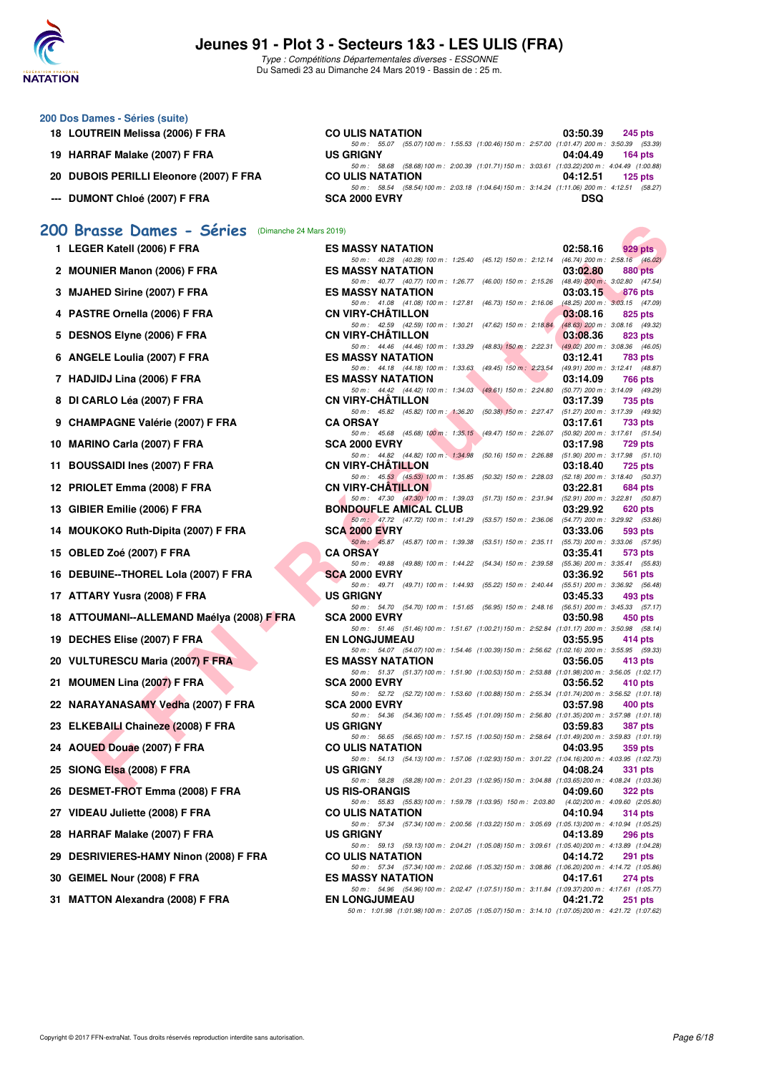

Type : Compétitions Départementales diverses - ESSONNE Du Samedi 23 au Dimanche 24 Mars 2019 - Bassin de : 25 m.

| 200 Dos Dames - Séries (suite)          |                                                                                                 |            |           |
|-----------------------------------------|-------------------------------------------------------------------------------------------------|------------|-----------|
| 18 LOUTREIN Melissa (2006) F FRA        | <b>CO ULIS NATATION</b>                                                                         | 03:50.39   | $245$ pts |
|                                         | 50 m : 55.07 (55.07) 100 m : 1:55.53 (1:00.46) 150 m : 2:57.00 (1:01.47) 200 m : 3:50.39 (53.39 |            |           |
| 19 HARRAF Malake (2007) F FRA           | <b>US GRIGNY</b>                                                                                | 04:04.49   | 164 pts   |
|                                         | 50 m: 58.68 (58.68) 100 m: 2:00.39 (1:01.71) 150 m: 3:03.61 (1:03.22) 200 m: 4:04.49 (1:00.88   |            |           |
| 20 DUBOIS PERILLI Eleonore (2007) F FRA | <b>CO ULIS NATATION</b>                                                                         | 04:12.51   | $125$ pts |
|                                         | 50 m: 58.54 (58.54) 100 m: 2:03.18 (1:04.64) 150 m: 3:14.24 (1:11.06) 200 m: 4:12.51 (58.27     |            |           |
| --- DUMONT Chloé (2007) F FRA           | <b>SCA 2000 EVRY</b>                                                                            | <b>DSQ</b> |           |

## **[200 Brasse Dames - Séries](http://www.ffnatation.fr/webffn/resultats.php?idact=nat&go=epr&idcpt=59529&idepr=23)** (Dimanche 24 Mars 2019)

|    | 200 Brasse Dames - Séries (Dimanche 24 Mars 2019) |                                                                                                                            |          |                                                |
|----|---------------------------------------------------|----------------------------------------------------------------------------------------------------------------------------|----------|------------------------------------------------|
|    | 1 LEGER Katell (2006) F FRA                       | <b>ES MASSY NATATION</b>                                                                                                   | 02:58.16 | 929 pts                                        |
|    | 2 MOUNIER Manon (2006) F FRA                      | 50 m: 40.28 (40.28) 100 m: 1:25.40 (45.12) 150 m: 2:12.14 (46.74) 200 m: 2:58.16 (46.02)<br><b>ES MASSY NATATION</b>       | 03:02.80 | 880 pts                                        |
|    | 3 MJAHED Sirine (2007) F FRA                      | 50 m: 40.77 (40.77) 100 m: 1:26.77 (46.00) 150 m: 2:15.26 (48.49) 200 m: 3:02.80 (47.54)<br><b>ES MASSY NATATION</b>       | 03:03.15 | 876 pts                                        |
|    | 4 PASTRE Ornella (2006) F FRA                     | 50 m: 41.08 (41.08) 100 m: 1:27.81 (46.73) 150 m: 2:16.06<br><b>CN VIRY-CHATILLON</b>                                      | 03:08.16 | $(48.25)$ 200 m : 3:03.15 $(47.09)$<br>825 pts |
|    | 5 DESNOS Elyne (2006) F FRA                       | 50 m: 42.59 (42.59) 100 m: 1:30.21 (47.62) 150 m: 2:18.84<br><b>CN VIRY-CHATILLON</b>                                      | 03:08.36 | (48.63) 200 m : 3:08.16 (49.32)<br>823 pts     |
|    | <b>ANGELE Loulia (2007) F FRA</b>                 | 50 m: 44.46 (44.46) 100 m: 1:33.29 (48.83) 150 m: 2:22.31<br><b>ES MASSY NATATION</b>                                      | 03:12.41 | $(49.02)$ 200 m : 3:08.36 $(46.05)$<br>783 pts |
|    | 7 HADJIDJ Lina (2006) F FRA                       | 50 m: 44.18 (44.18) 100 m: 1:33.63 (49.45) 150 m: 2:23.54<br><b>ES MASSY NATATION</b>                                      | 03:14.09 | (49.91) 200 m : 3:12.41 (48.87)<br>766 pts     |
|    | 8 DI CARLO Léa (2007) F FRA                       | 50 m: 44.42 (44.42) 100 m: 1:34.03 (49.61) 150 m: 2:24.80 (50.77) 200 m: 3:14.09 (49.29)<br><b>CN VIRY-CHATILLON</b>       | 03:17.39 |                                                |
|    |                                                   | 50 m: 45.82 (45.82) 100 m: 1:36.20 (50.38) 150 m: 2:27.47 (51.27) 200 m: 3:17.39 (49.92)                                   |          | 735 pts                                        |
|    | 9 CHAMPAGNE Valérie (2007) F FRA                  | <b>CA ORSAY</b><br>50 m : 45.68 (45.68) 100 m : 1:35.15 (49.47) 150 m : 2:26.07                                            | 03:17.61 | 733 pts<br>(50.92) 200 m : 3:17.61 (51.54)     |
|    | 10 MARINO Carla (2007) F FRA                      | SCA 2000 EVRY<br>50 m : 44.82 (44.82) 100 m : 1:34.98 (50.16) 150 m : 2:26.88                                              | 03:17.98 | 729 pts<br>$(51.90)$ 200 m : 3:17.98 $(51.10)$ |
|    | 11 BOUSSAIDI Ines (2007) F FRA                    | <b>CN VIRY-CHATILLON</b>                                                                                                   | 03:18.40 | 725 pts                                        |
|    | 12 PRIOLET Emma (2008) F FRA                      | 50 m: 45.53 (45.53) 100 m: 1:35.85 (50.32) 150 m: 2:28.03 (52.18) 200 m: 3:18.40 (50.37)<br><b>CN VIRY-CHATILLON</b>       | 03:22.81 | 684 pts                                        |
|    | 13 GIBIER Emilie (2006) F FRA                     | 50 m: 47.30 (47.30) 100 m: 1:39.03 (51.73) 150 m: 2:31.94 (52.91) 200 m: 3:22.81 (50.87)<br><b>BONDOUFLE AMICAL CLUB</b>   | 03:29.92 | 620 pts                                        |
|    | 14 MOUKOKO Ruth-Dipita (2007) F FRA               | 50 m: 47.72 (47.72) 100 m: 1:41.29 (53.57) 150 m: 2:36.06 (54.77) 200 m: 3:29.92 (53.86)<br><b>SCA 2000 EVRY</b>           | 03:33.06 | 593 pts                                        |
|    | 15 OBLED Zoé (2007) F FRA                         | 50 m: 45.87 (45.87) 100 m: 1:39.38 (53.51) 150 m: 2:35.11<br><b>CA ORSAY</b>                                               | 03:35.41 | (55.73) 200 m : 3:33.06 (57.95)                |
|    |                                                   | 50 m: 49.88 (49.88) 100 m: 1:44.22 (54.34) 150 m: 2:39.58                                                                  |          | 573 pts<br>$(55.36)$ 200 m : 3:35.41 $(55.83)$ |
|    | 16 DEBUINE--THOREL Lola (2007) F FRA              | <b>SCA 2000 EVRY</b><br>50 m: 49.71 (49.71) 100 m: 1:44.93 (55.22) 150 m: 2:40.44                                          | 03:36.92 | 561 pts<br>(55.51) 200 m: 3:36.92 (56.48)      |
|    | 17 ATTARY Yusra (2008) F FRA                      | <b>US GRIGNY</b><br>50 m: 54.70 (54.70) 100 m: 1:51.65 (56.95) 150 m: 2:48.16 (56.51) 200 m: 3:45.33 (57.17)               | 03:45.33 | 493 pts                                        |
|    | 18 ATTOUMANI--ALLEMAND Maélya (2008) F FRA        | <b>SCA 2000 EVRY</b><br>50 m: 51.46 (51.46) 100 m: 1:51.67 (1:00.21) 150 m: 2:52.84 (1:01.17) 200 m: 3:50.98 (58.14)       | 03:50.98 | 450 pts                                        |
|    | 19 DECHES Elise (2007) F FRA                      | <b>EN LONGJUMEAU</b>                                                                                                       | 03:55.95 | 414 pts                                        |
|    | 20 VULTURESCU Maria (2007) F FRA                  | 50 m: 54.07 (54.07) 100 m: 1:54.46 (1:00.39) 150 m: 2:56.62 (1:02.16) 200 m: 3:55.95 (59.33)<br><b>ES MASSY NATATION</b>   | 03:56.05 | 413 pts                                        |
|    | 21 MOUMEN Lina (2007) F FRA                       | 50 m: 51.37 (51.37) 100 m: 1.51.90 (1.00.53) 150 m: 2.53.88 (1.01.98) 200 m: 3.56.05 (1.02.17)<br><b>SCA 2000 EVRY</b>     | 03:56.52 | 410 pts                                        |
|    | 22 NARAYANASAMY Vedha (2007) F FRA                | 50 m: 52.72 (52.72) 100 m: 1:53.60 (1:00.88) 150 m: 2:55.34 (1:01.74) 200 m: 3:56.52 (1:01.18)<br>SCA 2000 EVRY            | 03:57.98 | 400 pts                                        |
|    | 23 ELKEBAILI Chaineze (2008) F FRA                | 50 m: 54.36 (54.36) 100 m: 1:55.45 (1:01.09) 150 m: 2:56.80 (1:01.35) 200 m: 3:57.98 (1:01.18)<br><b>US GRIGNY</b>         | 03:59.83 | 387 pts                                        |
|    |                                                   | 50 m: 56.65 (56.65) 100 m: 1:57.15 (1:00.50) 150 m: 2:58.64 (1:01.49) 200 m: 3:59.83 (1:01.19)                             |          |                                                |
|    | 24 AOUED Douae (2007) F FRA                       | <b>CO ULIS NATATION</b><br>50 m: 54.13 (54.13) 100 m: 1:57.06 (1:02.93) 150 m: 3:01.22 (1:04.16) 200 m: 4:03.95 (1:02.73)  | 04:03.95 | 359 pts                                        |
|    | 25 SIONG Elsa (2008) F FRA                        | <b>US GRIGNY</b><br>50 m: 58.28 (58.28) 100 m: 2:01.23 (1:02.95) 150 m: 3:04.88 (1:03.65) 200 m: 4:08.24 (1:03.36)         | 04:08.24 | 331 pts                                        |
|    | 26 DESMET-FROT Emma (2008) F FRA                  | <b>US RIS-ORANGIS</b><br>50 m: 55.83 (55.83) 100 m: 1:59.78 (1:03.95) 150 m: 2:03.80 (4.02) 200 m: 4:09.60 (2:05.80)       | 04:09.60 | 322 pts                                        |
|    | 27 VIDEAU Juliette (2008) F FRA                   | <b>CO ULIS NATATION</b>                                                                                                    | 04:10.94 | 314 pts                                        |
|    | 28 HARRAF Malake (2007) F FRA                     | 50 m: 57.34 (57.34) 100 m: 2:00.56 (1:03.22) 150 m: 3:05.69 (1:05.13) 200 m: 4:10.94 (1:05.25)<br><b>US GRIGNY</b>         | 04:13.89 | 296 pts                                        |
| 29 | DESRIVIERES-HAMY Ninon (2008) F FRA               | 50 m: 59.13 (59.13) 100 m: 2:04.21 (1:05.08) 150 m: 3:09.61 (1:05.40) 200 m: 4:13.89 (1:04.28)<br><b>CO ULIS NATATION</b>  | 04:14.72 | 291 pts                                        |
|    | 30 GEIMEL Nour (2008) F FRA                       | 50 m: 57.34 (57.34) 100 m: 2:02.66 (1:05.32) 150 m: 3:08.86 (1:06.20) 200 m: 4:14.72 (1:05.86)<br><b>ES MASSY NATATION</b> | 04:17.61 | 274 pts                                        |
|    | 31 MATTON Alexandra (2008) F FRA                  | 50 m: 54.96 (54.96) 100 m: 2:02.47 (1:07.51) 150 m: 3:11.84 (1:09.37) 200 m: 4:17.61 (1:05.77)<br><b>EN LONGJUMEAU</b>     | 04:21.72 |                                                |
|    |                                                   | 50 m: 1:01.98 (1:01.98) 100 m: 2:07.05 (1:05.07) 150 m: 3:14.10 (1:07.05) 200 m: 4:21.72 (1:07.62)                         |          | 251 pts                                        |
|    |                                                   |                                                                                                                            |          |                                                |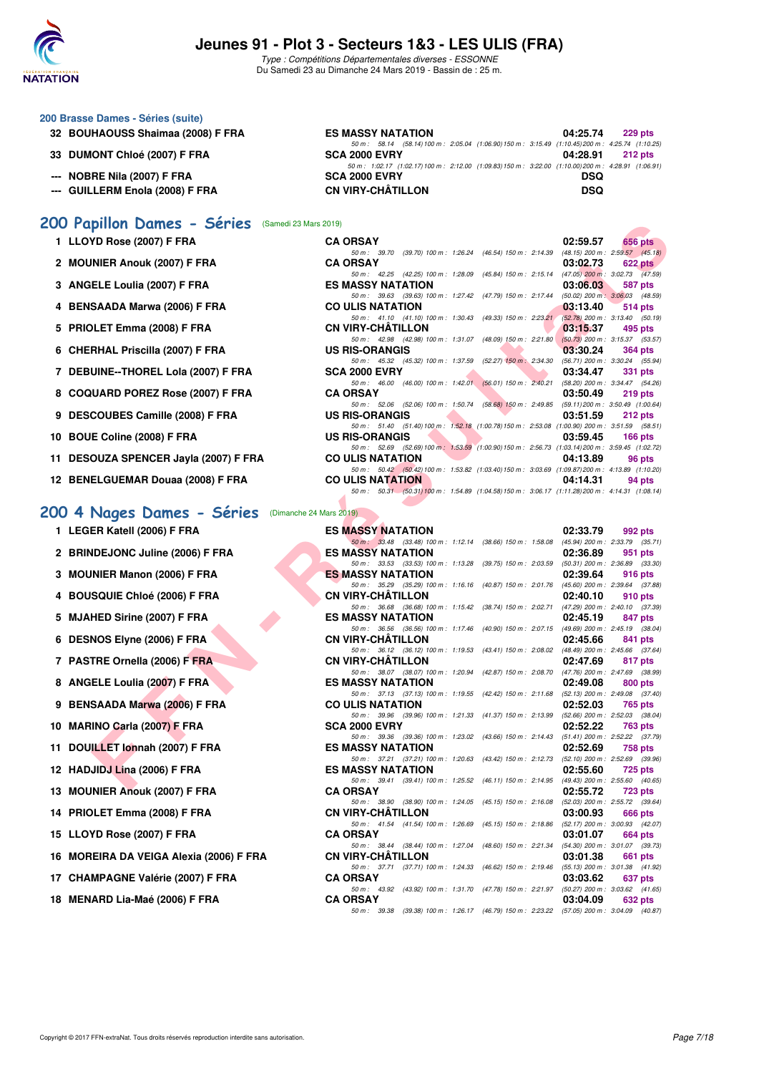

Type : Compétitions Départementales diverses - ESSONNE Du Samedi 23 au Dimanche 24 Mars 2019 - Bassin de : 25 m.

| 200 Brasse Dames - Séries (suite) |                                                                                                   |            |                |
|-----------------------------------|---------------------------------------------------------------------------------------------------|------------|----------------|
| 32 BOUHAOUSS Shaimaa (2008) F FRA | <b>ES MASSY NATATION</b>                                                                          | 04:25.74   | <b>229 pts</b> |
|                                   | 50 m: 58.14 (58.14) 100 m: 2:05.04 (1:06.90) 150 m: 3:15.49 (1:10.45) 200 m: 4:25.74 (1:10.25     |            |                |
| 33 DUMONT Chloé (2007) F FRA      | <b>SCA 2000 EVRY</b>                                                                              | 04:28.91   | $212$ pts      |
|                                   | 50 m: 1:02.17 (1:02.17) 100 m: 2:12.00 (1:09.83) 150 m: 3:22.00 (1:10.00) 200 m: 4:28.91 (1:06.91 |            |                |
| --- NOBRE Nila (2007) F FRA       | <b>SCA 2000 EVRY</b>                                                                              | <b>DSQ</b> |                |
| --- GUILLERM Enola (2008) F FRA   | <b>CN VIRY-CHÂTILLON</b>                                                                          | <b>DSQ</b> |                |

#### **[200 Papillon Dames - Séries](http://www.ffnatation.fr/webffn/resultats.php?idact=nat&go=epr&idcpt=59529&idepr=33)** (Samedi 23 Mars 2019)

| <b>UU Papillon Dames - Series</b> (Samedi 23 Mars 2019) |                                                                                                                                               |           |
|---------------------------------------------------------|-----------------------------------------------------------------------------------------------------------------------------------------------|-----------|
| 1 LLOYD Rose (2007) F FRA                               | 02:59.57<br><b>CA ORSAY</b>                                                                                                                   | 656 pts   |
| 2 MOUNIER Anouk (2007) F FRA                            | 50 m: 39.70 (39.70) 100 m: 1:26.24 (46.54) 150 m: 2:14.39 (48.15) 200 m: 2:59.57 (45.18)<br><b>CA ORSAY</b><br>03:02.73                       | $622$ pts |
|                                                         | 50 m: 42.25 (42.25) 100 m: 1:28.09<br>(45.84) 150 m : 2:15.14 (47.05) 200 m : 3:02.73 (47.59)                                                 |           |
| 3 ANGELE Loulia (2007) F FRA                            | <b>ES MASSY NATATION</b><br>03:06.03                                                                                                          | 587 pts   |
|                                                         | 50 m: 39.63 (39.63) 100 m: 1:27.42<br>(47.79) 150 m : 2:17.44<br>$(50.02)$ 200 m : 3:06.03 $(48.59)$                                          |           |
| 4 BENSAADA Marwa (2006) F FRA                           | <b>CO ULIS NATATION</b><br>03:13.40<br>50 m: 41.10 (41.10) 100 m: 1:30.43<br>$(49.33)$ 150 m : 2:23.21<br>$(52.78)$ 200 m : 3:13.40 $(50.19)$ | 514 pts   |
| 5 PRIOLET Emma (2008) F FRA                             | <b>CN VIRY-CHATILLON</b><br>03:15.37                                                                                                          | 495 pts   |
|                                                         | 50 m: 42.98 (42.98) 100 m: 1:31.07<br>$(48.09)$ 150 m : 2:21.80<br>$(50.73)$ 200 m : 3:15.37 (53.57)                                          |           |
| 6 CHERHAL Priscilla (2007) F FRA                        | <b>US RIS-ORANGIS</b><br>03:30.24                                                                                                             | 364 pts   |
|                                                         | 50 m: 45.32 (45.32) 100 m: 1:37.59<br>$(52.27)$ 150 m : 2:34.30<br>(56.71) 200 m : 3:30.24 (55.94)                                            |           |
| 7 DEBUINE--THOREL Lola (2007) F FRA                     | <b>SCA 2000 EVRY</b><br>03:34.47<br>50 m: 46.00 (46.00) 100 m: 1:42.01 (56.01) 150 m: 2:40.21 (58.20) 200 m: 3:34.47 (54.26)                  | 331 pts   |
| 8 COQUARD POREZ Rose (2007) F FRA                       | <b>CA ORSAY</b><br>03:50.49                                                                                                                   | 219 pts   |
|                                                         | 50 m: 52.06 (52.06) 100 m: 1:50.74 (58.68) 150 m: 2:49.85 (59.11) 200 m: 3:50.49 (1:00.64)                                                    |           |
| 9 DESCOUBES Camille (2008) F FRA                        | <b>US RIS-ORANGIS</b><br>03:51.59                                                                                                             | 212 pts   |
|                                                         | 50 m: 51.40 (51.40) 100 m: 1:52.18 (1:00.78) 150 m: 2:53.08 (1:00.90) 200 m: 3:51.59 (58.51)                                                  |           |
| 10 BOUE Coline (2008) F FRA                             | <b>US RIS-ORANGIS</b><br>03:59.45<br>50 m: 52.69 (52.69) 100 m: 1:53.59 (1:00.90) 150 m: 2:56.73 (1:03.14) 200 m: 3:59.45 (1:02.72)           | $166$ pts |
| 11 DESOUZA SPENCER Jayla (2007) F FRA                   | <b>CO ULIS NATATION</b><br>04:13.89                                                                                                           | 96 pts    |
|                                                         | 50 m: 50.42 (50.42) 100 m: 1:53.82 (1:03.40) 150 m: 3:03.69 (1:09.87) 200 m: 4:13.89 (1:10.20)                                                |           |
| 12 BENELGUEMAR Douaa (2008) F FRA                       | <b>CO ULIS NATATION</b><br>04:14.31                                                                                                           | 94 pts    |
|                                                         | 50 m: 50.31 (50.31) 100 m: 1:54.89 (1:04.58) 150 m: 3:06.17 (1:11.28) 200 m: 4:14.31 (1:08.14)                                                |           |
| 00 4 Nages Dames - Séries<br>(Dimanche 24 Mars 2019)    |                                                                                                                                               |           |
|                                                         |                                                                                                                                               |           |
| 1 LEGER Katell (2006) F FRA                             | <b>ES MASSY NATATION</b><br>02:33.79<br>50 m: 33.48 (33.48) 100 m: 1:12.14 (38.66) 150 m: 1:58.08 (45.94) 200 m: 2:33.79 (35.71)              | 992 pts   |
| 2 BRINDEJONC Juline (2006) F FRA                        | <b>ES MASSY NATATION</b><br>02:36.89                                                                                                          | 951 pts   |
|                                                         | 50 m: 33.53 (33.53) 100 m: 1:13.28 (39.75) 150 m: 2:03.59 (50.31) 200 m: 2:36.89 (33.30)                                                      |           |
| 3 MOUNIER Manon (2006) F FRA                            | <b>ES MASSY NATATION</b><br>02:39.64                                                                                                          | 916 pts   |
|                                                         | 50 m: 35.29 (35.29) 100 m: 1:16.16<br>(40.87) 150 m : 2:01.76 (45.60) 200 m : 2:39.64 (37.88)                                                 |           |
| 4 BOUSQUIE Chloé (2006) F FRA                           | <b>CN VIRY-CHATILLON</b><br>02:40.10<br>50 m: 36.68 (36.68) 100 m: 1:15.42 (38.74) 150 m: 2:02.71 (47.29) 200 m: 2:40.10 (37.39)              | 910 pts   |
| 5 MJAHED Sirine (2007) F FRA                            | <b>ES MASSY NATATION</b><br>02:45.19                                                                                                          | 847 pts   |
|                                                         | 50 m: 36.56 (36.56) 100 m: 1:17.46<br>(40.90) 150 m : 2:07.15 (49.69) 200 m : 2:45.19 (38.04)                                                 |           |
| 6 DESNOS Elyne (2006) F FRA                             | <b>CN VIRY-CHATILLON</b><br>02:45.66                                                                                                          | 841 pts   |
|                                                         | 50 m: 36.12 (36.12) 100 m: 1:19.53<br>(43.41) 150 m : 2:08.02 (48.49) 200 m : 2:45.66 (37.64)                                                 |           |
| 7 PASTRE Ornella (2006) F FRA                           | <b>CN VIRY-CHATILLON</b><br>02:47.69                                                                                                          | 817 pts   |
| 8 ANGELE Loulia (2007) F FRA                            | 50 m: 38.07 (38.07) 100 m: 1:20.94<br>(42.87) 150 m : 2:08.70 (47.76) 200 m : 2:47.69 (38.99)<br><b>ES MASSY NATATION</b><br>02:49.08         | 800 pts   |
|                                                         | 50 m: 37.13 (37.13) 100 m: 1:19.55<br>(42.42) 150 m : 2:11.68 (52.13) 200 m : 2:49.08 (37.40)                                                 |           |
| 9 BENSAADA Marwa (2006) F FRA                           | <b>CO ULIS NATATION</b><br>02:52.03                                                                                                           | 765 pts   |
|                                                         | 50 m: 39.96 (39.96) 100 m: 1:21.33<br>$(52.66)$ 200 m : 2:52.03 $(38.04)$<br>(41.37) 150 m : 2:13.99                                          |           |
| 10 MARINO Carla (2007) F FRA                            | 02:52.22<br><b>SCA 2000 EVRY</b>                                                                                                              | 763 pts   |
| 11 DOUILLET Jonnah (2007) F FRA                         | 50 m: 39.36 (39.36) 100 m: 1:23.02<br>(43.66) 150 m : 2:14.43 (51.41) 200 m : 2:52.22 (37.79)<br><b>ES MASSY NATATION</b><br>02:52.69         | 758 pts   |
|                                                         | 50 m: 37.21 (37.21) 100 m: 1:20.63 (43.42) 150 m: 2:12.73 (52.10) 200 m: 2:52.69 (39.96)                                                      |           |
| 12 HADJIDJ Lina (2006) F FRA                            | <b>ES MASSY NATATION</b><br>02:55.60                                                                                                          | 725 pts   |
|                                                         | 50 m: 39.41 (39.41) 100 m: 1:25.52 (46.11) 150 m: 2:14.95 (49.43) 200 m: 2:55.60 (40.65)                                                      |           |
| 19 MOUNIED Angul (2007) E EDA                           | CA ODCAV<br>00.5570                                                                                                                           | $700 - 1$ |

### **[200 4 Nages Dames - Séries](http://www.ffnatation.fr/webffn/resultats.php?idact=nat&go=epr&idcpt=59529&idepr=41)** (Dimanche 24 Mars 2019)

| 1 LEGER Katell (2006) F FRA |  |  |
|-----------------------------|--|--|
|                             |  |  |

- 2 BRINDEJONC Juline (2006) F FRA
- **3 MOUNIER Manon (2006) F FRA**
- **4 BOUSQUIE Chloé (2006) F FRA**
- 5 MJAHED Sirine (2007) F FRA
- **6 DESNOS Elyne (2006) F FRA**
- **7 PASTRE Ornella (2006) F FRA**
- 8 ANGELE Loulia (2007) F FRA
- **9 BENSAADA Marwa (2006) F FRA**
- **10 MARINO Carla (2007) F FRA**
- **11 DOUILLET Ionnah (2007) F FRA**
- **12 HADJIDJ Lina (2006) F FRA**
- **13 MOUNIER Anouk (2007) F FRA**
- **14 PRIOLET Emma (2008) F FRA**
- **15 LLOYD Rose (2007) F FRA**
- **16 MOREIRA DA VEIGA Alexia (2006) F FRA**
- **17 CHAMPAGNE Valérie (2007) F FRA**
- **18 MENARD Lia-Maé (2006) F FRA**

| 1 LEGER Katell (2006) F FRA            | <b>ES MASSY NATATION</b>                                                                                             | 02:33.79 | 992 pts        |
|----------------------------------------|----------------------------------------------------------------------------------------------------------------------|----------|----------------|
|                                        | 50 m: 33.48 (33.48) 100 m: 1:12.14 (38.66) 150 m: 1:58.08 (45.94) 200 m: 2:33.79 (35.71)                             |          |                |
| 2 BRINDEJONC Juline (2006) F FRA       | <b>ES MASSY NATATION</b><br>50 m: 33.53 (33.53) 100 m: 1:13.28 (39.75) 150 m: 2:03.59 (50.31) 200 m: 2:36.89 (33.30) | 02:36.89 | 951 pts        |
| 3 MOUNIER Manon (2006) F FRA           | <b>ES MASSY NATATION</b>                                                                                             | 02:39.64 | <b>916 pts</b> |
|                                        | 50 m: 35.29 (35.29) 100 m: 1:16.16 (40.87) 150 m: 2:01.76 (45.60) 200 m: 2:39.64 (37.88)                             |          |                |
| <b>4 BOUSQUIE Chloé (2006) F FRA</b>   | <b>CN VIRY-CHÂTILLON</b>                                                                                             | 02:40.10 | 910 pts        |
|                                        | 50 m: 36.68 (36.68) 100 m: 1:15.42 (38.74) 150 m: 2:02.71 (47.29) 200 m: 2:40.10 (37.39)                             |          |                |
| 5 MJAHED Sirine (2007) F FRA           | <b>ES MASSY NATATION</b>                                                                                             | 02:45.19 | 847 pts        |
|                                        | 50 m: 36.56 (36.56) 100 m: 1:17.46 (40.90) 150 m: 2:07.15 (49.69) 200 m: 2:45.19 (38.04)                             |          |                |
| 6 DESNOS Elyne (2006) F FRA            | <b>CN VIRY-CHÂTILLON</b>                                                                                             | 02:45.66 | 841 pts        |
|                                        | 50 m: 36.12 (36.12) 100 m: 1:19.53 (43.41) 150 m: 2:08.02 (48.49) 200 m: 2:45.66 (37.64)                             |          |                |
| 7 PASTRE Ornella (2006) F FRA          | <b>CN VIRY-CHÂTILLON</b>                                                                                             | 02:47.69 | 817 pts        |
|                                        | 50 m: 38.07 (38.07) 100 m: 1:20.94 (42.87) 150 m: 2:08.70 (47.76) 200 m: 2:47.69 (38.99)                             |          |                |
| 8 ANGELE Loulia (2007) F FRA           | <b>ES MASSY NATATION</b><br>50 m: 37.13 (37.13) 100 m: 1:19.55 (42.42) 150 m: 2:11.68 (52.13) 200 m: 2:49.08 (37.40) | 02:49.08 | 800 pts        |
| 9 BENSAADA Marwa (2006) F FRA          | <b>CO ULIS NATATION</b>                                                                                              | 02:52.03 | 765 pts        |
|                                        | 50 m: 39.96 (39.96) 100 m: 1:21.33 (41.37) 150 m: 2:13.99 (52.66) 200 m: 2:52.03 (38.04)                             |          |                |
| 0 MARINO Carla (2007) F FRA            | <b>SCA 2000 EVRY</b>                                                                                                 | 02:52.22 | <b>763 pts</b> |
|                                        | 50 m: 39.36 (39.36) 100 m: 1:23.02 (43.66) 150 m: 2:14.43 (51.41) 200 m: 2:52.22 (37.79)                             |          |                |
| 1 DOUILLET Ionnah (2007) F FRA         | <b>ES MASSY NATATION</b>                                                                                             | 02:52.69 | 758 pts        |
|                                        | 50 m: 37.21 (37.21) 100 m: 1:20.63 (43.42) 150 m: 2:12.73 (52.10) 200 m: 2:52.69 (39.96)                             |          |                |
| 2 HADJIDJ Lina (2006) F FRA            | <b>ES MASSY NATATION</b>                                                                                             | 02:55.60 | 725 pts        |
|                                        | 50 m: 39.41 (39.41) 100 m: 1:25.52 (46.11) 150 m: 2:14.95 (49.43) 200 m: 2:55.60 (40.65)                             |          |                |
| 3 MOUNIER Anouk (2007) F FRA           | <b>CA ORSAY</b>                                                                                                      | 02:55.72 | 723 pts        |
| 4 PRIOLET Emma (2008) F FRA            | 50 m: 38.90 (38.90) 100 m: 1:24.05 (45.15) 150 m: 2:16.08 (52.03) 200 m: 2:55.72 (39.64)<br>CN VIRY-CHÂTILLON        | 03:00.93 | 666 pts        |
|                                        | 50 m: 41.54 (41.54) 100 m: 1:26.69 (45.15) 150 m: 2:18.86 (52.17) 200 m: 3:00.93 (42.07)                             |          |                |
| 5 LLOYD Rose (2007) F FRA              | <b>CA ORSAY</b>                                                                                                      | 03:01.07 | 664 pts        |
|                                        | 50 m: 38.44 (38.44) 100 m: 1:27.04 (48.60) 150 m: 2:21.34 (54.30) 200 m: 3:01.07 (39.73)                             |          |                |
| 6 MOREIRA DA VEIGA Alexia (2006) F FRA | CN VIRY-CHÂTILLON                                                                                                    | 03:01.38 | 661 pts        |
|                                        | 50 m: 37.71 (37.71) 100 m: 1:24.33 (46.62) 150 m: 2:19.46 (55.13) 200 m: 3:01.38 (41.92)                             |          |                |
| 7 CHAMPAGNE Valérie (2007) F FRA       | <b>CA ORSAY</b>                                                                                                      | 03:03.62 | 637 pts        |
|                                        | 50 m: 43.92 (43.92) 100 m: 1:31.70 (47.78) 150 m: 2:21.97 (50.27) 200 m: 3:03.62 (41.65)                             |          |                |
| 8   MENARD Lia-Maé (2006) F FRA        | <b>CA ORSAY</b>                                                                                                      | 03:04.09 | 632 pts        |
|                                        | 50 m: 39.38 (39.38) 100 m: 1:26.17 (46.79) 150 m: 2:23.22 (57.05) 200 m: 3:04.09 (40.87)                             |          |                |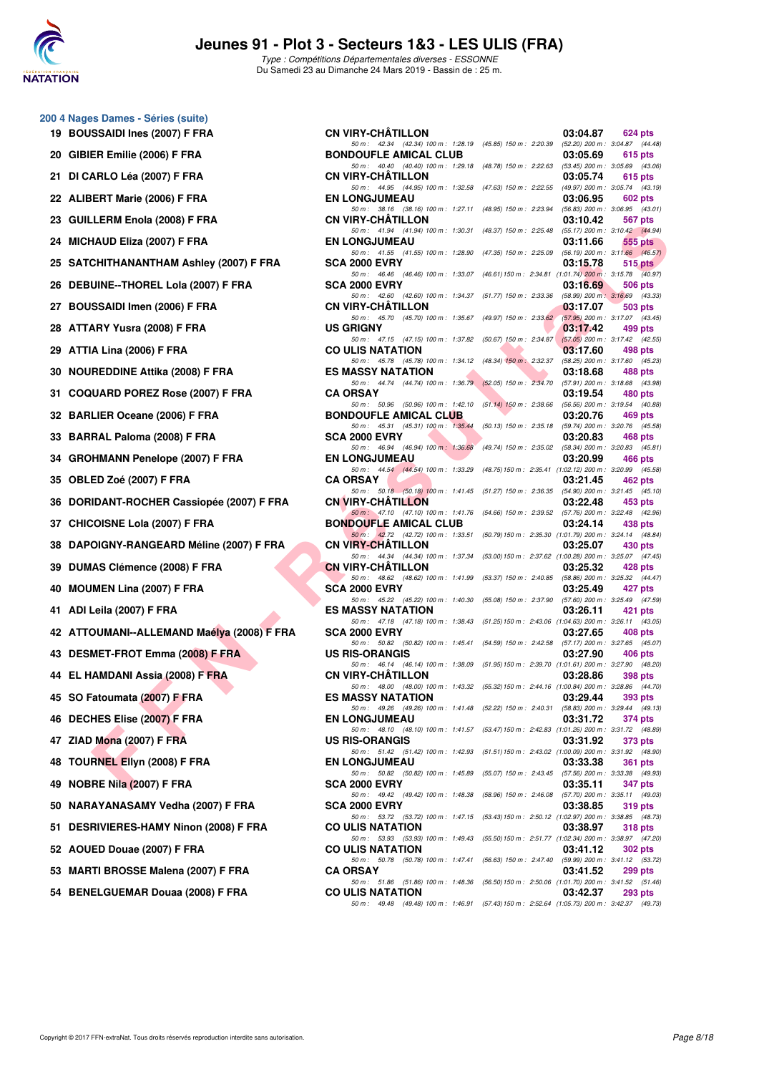

**200 4 Nages Dames - Séries (suite)**

# **Jeunes 91 - Plot 3 - Secteurs 1&3 - LES ULIS (FRA)**

Type : Compétitions Départementales diverses - ESSONNE Du Samedi 23 au Dimanche 24 Mars 2019 - Bassin de : 25 m.

|     | 19 BOUSSAIDI Ines (2007) F FRA             | <b>CN VIRY-CHÂTILLON</b>                                                                                                 |                                                         | 03:04.87                                        | 624 pts        |           |
|-----|--------------------------------------------|--------------------------------------------------------------------------------------------------------------------------|---------------------------------------------------------|-------------------------------------------------|----------------|-----------|
|     | 20 GIBIER Emilie (2006) F FRA              | 50 m: 42.34 (42.34) 100 m: 1:28.19 (45.85) 150 m: 2:20.39 (52.20) 200 m: 3:04.87 (44.48)<br><b>BONDOUFLE AMICAL CLUB</b> |                                                         | 03:05.69                                        | 615 pts        |           |
|     | 21 DI CARLO Léa (2007) F FRA               | 50 m: 40.40 (40.40) 100 m: 1:29.18 (48.78) 150 m: 2:22.63 (53.45) 200 m: 3:05.69 (43.06)<br><b>CN VIRY-CHATILLON</b>     |                                                         | 03:05.74                                        | 615 pts        |           |
|     | 22 ALIBERT Marie (2006) F FRA              | 50 m: 44.95 (44.95) 100 m: 1:32.58 (47.63) 150 m: 2:22.55 (49.97) 200 m: 3:05.74 (43.19)<br><b>EN LONGJUMEAU</b>         |                                                         | 03:06.95                                        | 602 pts        |           |
|     | 23 GUILLERM Enola (2008) F FRA             | 50 m: 38.16 (38.16) 100 m: 1:27.11 (48.95) 150 m: 2:23.94 (56.83) 200 m: 3:06.95 (43.01)<br><b>CN VIRY-CHATILLON</b>     |                                                         | 03:10.42                                        | 567 pts        |           |
|     | 24 MICHAUD Eliza (2007) F FRA              | 50 m: 41.94 (41.94) 100 m: 1:30.31 (48.37) 150 m: 2:25.48<br><b>EN LONGJUMEAU</b>                                        |                                                         | (55.17) 200 m : 3:10.42 (44.94)<br>03:11.66     |                | 555 pts   |
|     | 25 SATCHITHANANTHAM Ashley (2007) F FRA    | 50 m: 41.55 (41.55) 100 m: 1:28.90 (47.35) 150 m: 2:25.09<br><b>SCA 2000 EVRY</b>                                        |                                                         | $(56.19)$ 200 m : 3:11.66 $(46.57)$<br>03:15.78 |                | $515$ pts |
|     | 26 DEBUINE--THOREL Lola (2007) F FRA       | 50 m: 46.46 (46.46) 100 m: 1:33.07 (46.61) 150 m: 2:34.81 (1:01.74) 200 m: 3:15.78 (40.97)<br><b>SCA 2000 EVRY</b>       |                                                         | 03:16.69                                        | 506 pts        |           |
|     | 27 BOUSSAIDI Imen (2006) F FRA             | 50 m: 42.60 (42.60) 100 m: 1:34.37 (51.77) 150 m: 2:33.36 (58.99) 200 m: 3:16.69 (43.33)<br><b>CN VIRY-CHATILLON</b>     |                                                         | 03:17.07                                        | 503 pts        |           |
|     | 28 ATTARY Yusra (2008) F FRA               | 50 m: 45.70 (45.70) 100 m: 1:35.67 (49.97) 150 m: 2:33.62 (57.95) 200 m: 3:17.07 (43.45)<br><b>US GRIGNY</b>             |                                                         | 03:17.42                                        | 499 pts        |           |
|     | 29 ATTIA Lina (2006) F FRA                 | 50 m: 47.15 (47.15) 100 m: 1:37.82 (50.67) 150 m: 2:34.87 (57.05) 200 m: 3:17.42 (42.55)<br><b>CO ULIS NATATION</b>      |                                                         | 03:17.60                                        | 498 pts        |           |
|     | 30 NOUREDDINE Attika (2008) F FRA          | 50 m: 45.78 (45.78) 100 m: 1:34.12 (48.34) 150 m: 2:32.37<br><b>ES MASSY NATATION</b>                                    |                                                         | (58.25) 200 m : 3:17.60 (45.23)<br>03:18.68     | 488 pts        |           |
|     | 31 COQUARD POREZ Rose (2007) F FRA         | 50 m: 44.74 (44.74) 100 m: 1:36.79 (52.05) 150 m: 2:34.70<br><b>CA ORSAY</b>                                             |                                                         | (57.91) 200 m : 3:18.68 (43.98)<br>03:19.54     | 480 pts        |           |
|     | 32 BARLIER Oceane (2006) F FRA             | 50 m: 50.96 (50.96) 100 m: 1:42.10 (51.14) 150 m: 2:38.66<br><b>BONDOUFLE AMICAL CLUB</b>                                |                                                         | (56.56) 200 m : 3:19.54 (40.88)<br>03:20.76     | 469 pts        |           |
|     | 33 BARRAL Paloma (2008) F FRA              | 50 m: 45.31 (45.31) 100 m: 1:35.44 (50.13) 150 m: 2:35.18 (59.74) 200 m: 3:20.76 (45.58)<br><b>SCA 2000 EVRY</b>         |                                                         | 03:20.83                                        | 468 pts        |           |
|     | 34 GROHMANN Penelope (2007) F FRA          | 50 m : 46.94 (46.94) 100 m : 1:36.68<br><b>EN LONGJUMEAU</b>                                                             | (49.74) 150 m : 2:35.02 (58.34) 200 m : 3:20.83 (45.81) | 03:20.99                                        | 466 pts        |           |
|     | 35 OBLED Zoé (2007) F FRA                  | 50 m: 44.54 (44.54) 100 m: 1:33.29 (48.75) 150 m: 2:35.41 (1:02.12) 200 m: 3:20.99 (45.58)<br><b>CA ORSAY</b>            |                                                         | 03:21.45                                        | 462 pts        |           |
|     | 36 DORIDANT-ROCHER Cassiopée (2007) F FRA  | 50 m: 50.18 (50.18) 100 m: 1.41.45 (51.27) 150 m: 2:36.35 (54.90) 200 m: 3:21.45 (45.10)<br><b>CN VIRY-CHATILLON</b>     |                                                         | 03:22.48                                        | 453 pts        |           |
|     | 37 CHICOISNE Lola (2007) F FRA             | 50 m: 47.10 (47.10) 100 m: 1.41.76 (54.66) 150 m: 2.39.52 (57.76) 200 m: 3.22.48 (42.96)<br><b>BONDOUFLE AMICAL CLUB</b> |                                                         | 03:24.14                                        | 438 pts        |           |
|     | 38 DAPOIGNY-RANGEARD Méline (2007) F FRA   | 50 m: 42.72 (42.72) 100 m: 1:33.51 (50.79) 150 m: 2:35.30 (1:01.79) 200 m: 3:24.14 (48.84)<br><b>CN VIRY-CHATILLON</b>   |                                                         | 03:25.07                                        | 430 pts        |           |
|     | 39 DUMAS Clémence (2008) F FRA             | 50 m: 44.34 (44.34) 100 m: 1:37.34 (53.00) 150 m: 2:37.62 (1:00.28) 200 m: 3:25.07 (47.45)<br><b>CN VIRY-CHATILLON</b>   |                                                         | 03:25.32                                        | 428 pts        |           |
|     | 40 MOUMEN Lina (2007) F FRA                | 50 m: 48.62 (48.62) 100 m: 1:41.99 (53.37) 150 m: 2:40.85 (58.86) 200 m: 3:25.32 (44.47)<br><b>SCA 2000 EVRY</b>         |                                                         | 03:25.49                                        | 427 pts        |           |
|     | 41 ADI Leila (2007) F FRA                  | 50 m: 45.22 (45.22) 100 m: 1:40.30 (55.08) 150 m: 2:37.90 (57.60) 200 m: 3:25.49 (47.59)<br><b>ES MASSY NATATION</b>     |                                                         | 03:26.11                                        | 421 pts        |           |
|     | 42 ATTOUMANI--ALLEMAND Maélya (2008) F FRA | 50 m: 47.18 (47.18) 100 m: 1:38.43 (51.25) 150 m: 2:43.06 (1:04.63) 200 m: 3:26.11 (43.05)<br><b>SCA 2000 EVRY</b>       |                                                         | 03:27.65                                        | 408 pts        |           |
|     | 43 DESMET-FROT Emma (2008) F FRA           | 50 m: 50.82 (50.82) 100 m: 1:45.41 (54.59) 150 m: 2:42.58 (57.17) 200 m: 3:27.65 (45.07)<br><b>US RIS-ORANGIS</b>        |                                                         | 03:27.90                                        | 406 pts        |           |
|     | 44 EL HAMDANI Assia (2008) F FRA           | 50 m: 46.14 (46.14) 100 m: 1:38.09 (51.95) 150 m: 2:39.70 (1:01.61) 200 m: 3:27.90 (48.20)<br><b>CN VIRY-CHATILLON</b>   |                                                         | 03:28.86                                        | 398 pts        |           |
|     | 45 SO Fatoumata (2007) F FRA               | 50 m: 48.00 (48.00) 100 m: 1:43.32 (55.32) 150 m: 2:44.16 (1:00.84) 200 m: 3:28.86 (44.70)<br><b>ES MASSY NATATION</b>   |                                                         | 03:29.44                                        | 393 pts        |           |
|     | 46 DECHES Elise (2007) F FRA               | 50 m: 49.26 (49.26) 100 m: 1:41.48 (52.22) 150 m: 2:40.31 (58.83) 200 m: 3:29.44 (49.13)<br><b>EN LONGJUMEAU</b>         |                                                         | 03:31.72                                        | 374 pts        |           |
|     | 47 ZIAD Mona (2007) F FRA                  | 50 m: 48.10 (48.10) 100 m: 1:41.57 (53.47) 150 m: 2:42.83 (1:01.26) 200 m: 3:31.72 (48.89)<br><b>US RIS-ORANGIS</b>      |                                                         | 03:31.92                                        | 373 pts        |           |
| 48  | TOURNEL Ellyn (2008) F FRA                 | 50 m: 51.42 (51.42) 100 m: 1:42.93 (51.51) 150 m: 2:43.02 (1:00.09) 200 m: 3:31.92 (48.90)<br><b>EN LONGJUMEAU</b>       |                                                         | 03:33.38                                        | <b>361 pts</b> |           |
| 49  | NOBRE Nila (2007) F FRA                    | 50 m : 50.82 (50.82) 100 m : 1:45.89 (55.07) 150 m : 2:43.45 (57.56) 200 m : 3:33.38 (49.93)<br><b>SCA 2000 EVRY</b>     |                                                         | 03:35.11                                        | 347 pts        |           |
| 50  | NARAYANASAMY Vedha (2007) F FRA            | 50 m : 49.42 (49.42) 100 m : 1:48.38 (58.96) 150 m : 2:46.08 (57.70) 200 m : 3:35.11 (49.03)<br>SCA 2000 EVRY            |                                                         | 03:38.85                                        | 319 pts        |           |
| 51. | DESRIVIERES-HAMY Ninon (2008) F FRA        | 50 m: 53.72 (53.72) 100 m: 1:47.15 (53.43) 150 m: 2:50.12 (1:02.97) 200 m: 3:38.85 (48.73)<br><b>CO ULIS NATATION</b>    |                                                         | 03:38.97                                        | <b>318 pts</b> |           |
|     | 52 AOUED Douae (2007) F FRA                | 50 m: 53.93 (53.93) 100 m: 1:49.43 (55.50) 150 m: 2:51.77 (1:02.34) 200 m: 3:38.97 (47.20)<br><b>CO ULIS NATATION</b>    |                                                         | 03:41.12                                        | 302 pts        |           |
| 53  | <b>MARTI BROSSE Malena (2007) F FRA</b>    | 50 m: 50.78 (50.78) 100 m: 1:47.41 (56.63) 150 m: 2:47.40 (59.99) 200 m: 3:41.12 (53.72)<br><b>CA ORSAY</b>              |                                                         | 03:41.52                                        | 299 pts        |           |
|     | 54 BENELGUEMAR Douaa (2008) F FRA          | 50 m: 51.86 (51.86) 100 m: 1:48.36 (56.50) 150 m: 2:50.06 (1:01.70) 200 m: 3:41.52 (51.46)<br><b>CO ULIS NATATION</b>    |                                                         | 03:42.37                                        | <b>293 pts</b> |           |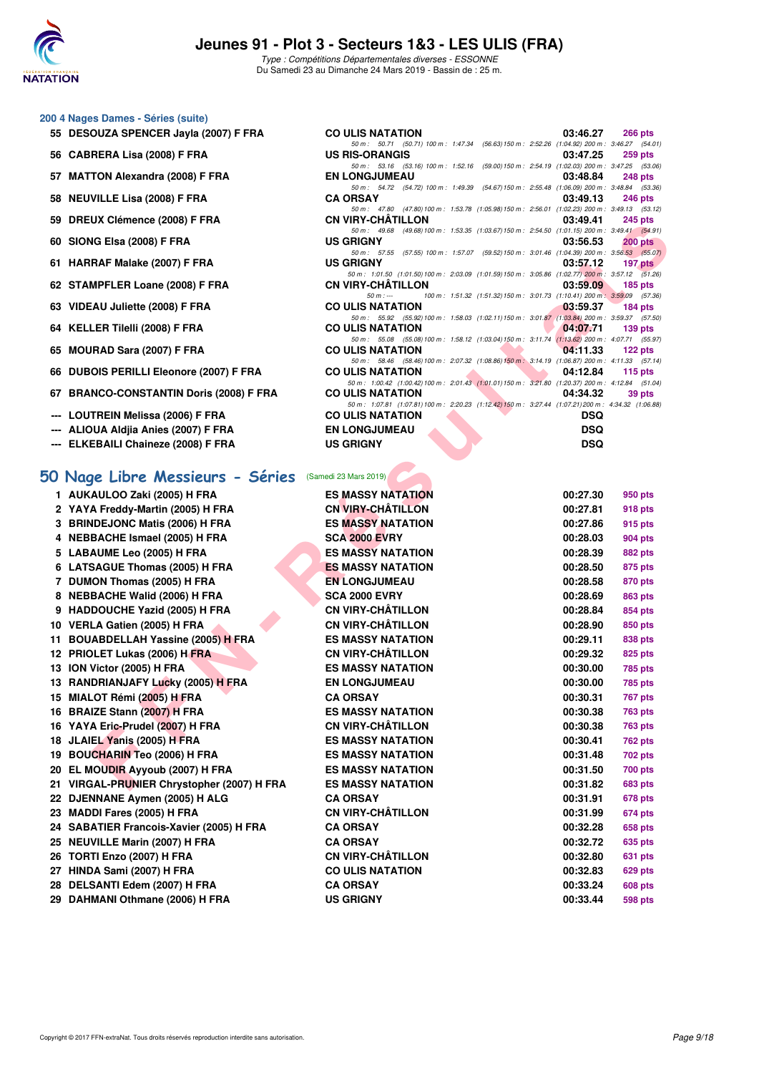

50 m : 50.71 (50.71) 100 m : 1:47.34 (56.63) 150 m : 2:52.26 (1:04.92) 200 m : 3:46.27 (54.01)<br>**IS-ORANGIS** 03:47.25 259 pts

50 m : 53.16 (53.16) 100 m : 1:52.16 (59.00) 150 m : 2:54.19 (1:02.03) 200 m : 3:47.25 (53.06)<br>EN LONGJUMEAU 03:48.84 248 pts

50 m : 54.72 (54.72) 100 m : 1:49.39 (54.67) 150 m : 2:55.48 (1:06.09) 200 m : 3:48.84 (53.36)<br>**CA ORSAY** 03:49.13 246 pts

50 m: 47.80 (47.80)100 m: 1:53.78 (1:05.98)150 m: 2:56.01 (1:02.23) 200 m: 3:49.13 (53.12)<br>CN VIRY-CHÂTILLON 03:49.41 245 pts

#### **200 4 Nages Dames - Séries (suite)**

- **55 DESOUZA SPENCER Jayla (2007) F FRA CO ULIS NATATION 03:46.27 266 pts**
- **56 CABRERA Lisa (2008) F FRA US RIS-ORANGIS 03:47.25 259 pts**
- **57 MATTON Alexandra (2008) F FRA EN LONGJUMEAU 03:48.84 248 pts**
- **58 NEUVILLE Lisa (2008) F FRA CA ORSAY 03:49.13 246 pts**
- **59 DREUX Clémence (2008) F FRA CN VIRY-CHÂTILLON 03:49.41 245 pts**
- **60 SIONG Elsa (2008) F FRA US GRIGNY 03:56.53 200 pts**
- **61 HARRAF Malake (2007) F FRA US GRIGNY 03:57.12 197 pts**
- **62 STAMPFLER Loane (2008) F FRA CN VIRY-CHÂTILLON 03:59.09 185 pts**<br>50 **CN VIRY-CHÂTILLON 100 151.32 155 22 150 m** · 3.01.73 **11.10.41** 200 **m** · 3.59.09 **155 pts**
- **63 VIDEAU Juliette (2008) F FRA CO ULIS NATATION 03:59.37 184 pts**
- **64 KELLER Tilelli (2008) F FRA CO ULIS NATATION 64 KELLER Tilelli (2008) F FRA**
- **65 MOURAD Sara (2007) F FRA CO ULIS NATATION 04:11.33 122 pts**
- **66 DUBOIS PERILLI Eleonore (2007) F FRA CO ULIS NATATION 04:12.84 115 pts**
- **67 BRANCO-CONSTANTIN Doris (2008) F FRA CO ULIS NATATION 04:34.32 39 pts**
- --- LOUTREIN Melissa (2006) F FRA
- **--- ALIOUA Aldjia Anies (2007) F FRA EN LONGJUMEAU DSQ**
- **--- ELKEBAILI Chaineze (2008) F FRA US GRIGNY DSQ**

#### **[50 Nage Libre Messieurs - Séries](http://www.ffnatation.fr/webffn/resultats.php?idact=nat&go=epr&idcpt=59529&idepr=51)** (Samedi 23 Mars 2019)

| 33 DREUX ORIHEIRE (2000) F FRA                         | VIV VIN I "VI IM I ILLUIV                                                                                                     | 03.49.41                                                                             | <b>בוען</b> ט <del>ו</del> י |
|--------------------------------------------------------|-------------------------------------------------------------------------------------------------------------------------------|--------------------------------------------------------------------------------------|------------------------------|
| 60 SIONG Elsa (2008) F FRA                             | 50 m: 49.68 (49.68) 100 m: 1:53.35 (1:03.67) 150 m: 2:54.50 (1:01.15) 200 m: 3:49.41 (54.91)<br><b>US GRIGNY</b>              | 03:56.53                                                                             | $200$ pts                    |
| 61 HARRAF Malake (2007) F FRA                          | 50 m: 57.55 (57.55) 100 m: 1:57.07 (59.52) 150 m: 3:01.46 (1:04.39) 200 m: 3:56.53 (55.07)<br><b>US GRIGNY</b>                | 03:57.12                                                                             | 197 pts                      |
|                                                        | 50 m: 1:01.50 (1:01.50) 100 m: 2:03.09 (1:01.59) 150 m: 3:05.86 (1:02.77) 200 m: 3:57.12 (51.26)                              |                                                                                      |                              |
| 62 STAMPFLER Loane (2008) F FRA                        | <b>CN VIRY-CHATILLON</b><br>$50 m: -$                                                                                         | 03:59.09<br>100 m: 1:51.32 (1:51.32) 150 m: 3:01.73 (1:10.41) 200 m: 3:59.09 (57.36) | $185$ pts                    |
| 63 VIDEAU Juliette (2008) F FRA                        | <b>CO ULIS NATATION</b>                                                                                                       | 03:59.37                                                                             | 184 $pts$                    |
|                                                        | 50 m: 55.92 (55.92) 100 m: 1:58.03 (1:02.11) 150 m: 3:01.87 (1:03.84) 200 m: 3:59.37 (57.50)                                  |                                                                                      |                              |
| 64 KELLER Tilelli (2008) F FRA                         | <b>CO ULIS NATATION</b><br>50 m: 55.08 (55.08) 100 m: 1:58.12 (1:03.04) 150 m: 3:11.74 (1:13.62) 200 m: 4:07.71 (55.97)       | 04:07.71                                                                             | $139$ pts                    |
| 65 MOURAD Sara (2007) F FRA                            | <b>CO ULIS NATATION</b>                                                                                                       | 04:11.33                                                                             | 122 $pts$                    |
| 66 DUBOIS PERILLI Eleonore (2007) F FRA                | 50 m: 58.46 (58.46) 100 m: 2:07.32 (1:08.86) 150 m: 3:14.19 (1:06.87) 200 m: 4:11.33 (57.14)<br><b>CO ULIS NATATION</b>       | 04:12.84                                                                             | 115 $pts$                    |
|                                                        | 50 m: 1:00.42 (1:00.42) 100 m: 2:01.43 (1:01.01) 150 m: 3:21.80 (1:20.37) 200 m: 4:12.84 (51.04)                              |                                                                                      |                              |
| 67 BRANCO-CONSTANTIN Doris (2008) F FRA                | <b>CO ULIS NATATION</b><br>50 m: 1:07.81 (1:07.81) 100 m: 2:20.23 (1:12.42) 150 m: 3:27.44 (1:07.21) 200 m: 4:34.32 (1:06.88) | 04:34.32                                                                             | 39 pts                       |
| --- LOUTREIN Melissa (2006) F FRA                      | <b>CO ULIS NATATION</b>                                                                                                       | <b>DSQ</b>                                                                           |                              |
| --- ALIOUA Aldjia Anies (2007) F FRA                   | <b>EN LONGJUMEAU</b>                                                                                                          | <b>DSQ</b>                                                                           |                              |
| --- ELKEBAILI Chaineze (2008) F FRA                    | <b>US GRIGNY</b>                                                                                                              | <b>DSQ</b>                                                                           |                              |
|                                                        |                                                                                                                               |                                                                                      |                              |
| 50 Nage Libre Messieurs - Séries (Samedi 23 Mars 2019) |                                                                                                                               |                                                                                      |                              |
| 1 AUKAULOO Zaki (2005) H FRA                           | <b>ES MASSY NATATION</b>                                                                                                      | 00:27.30                                                                             | 950 pts                      |
| 2 YAYA Freddy-Martin (2005) H FRA                      | <b>CN VIRY-CHÂTILLON</b>                                                                                                      | 00:27.81                                                                             | 918 pts                      |
| 3 BRINDEJONC Matis (2006) H FRA                        | <b>ES MASSY NATATION</b>                                                                                                      | 00:27.86                                                                             | 915 pts                      |
| 4 NEBBACHE Ismael (2005) H FRA                         | <b>SCA 2000 EVRY</b>                                                                                                          | 00:28.03                                                                             | 904 pts                      |
| 5 LABAUME Leo (2005) H FRA                             | <b>ES MASSY NATATION</b>                                                                                                      | 00:28.39                                                                             | 882 pts                      |
| 6 LATSAGUE Thomas (2005) H FRA                         | <b>ES MASSY NATATION</b>                                                                                                      | 00:28.50                                                                             | 875 pts                      |
| 7 DUMON Thomas (2005) H FRA                            | <b>EN LONGJUMEAU</b>                                                                                                          | 00:28.58                                                                             | 870 pts                      |
| 8 NEBBACHE Walid (2006) H FRA                          | <b>SCA 2000 EVRY</b>                                                                                                          | 00:28.69                                                                             | 863 pts                      |
| 9 HADDOUCHE Yazid (2005) H FRA                         | <b>CN VIRY-CHÂTILLON</b>                                                                                                      | 00:28.84                                                                             | 854 pts                      |
| 10 VERLA Gatien (2005) H FRA                           | <b>CN VIRY-CHÂTILLON</b>                                                                                                      | 00:28.90                                                                             | 850 pts                      |
| 11 BOUABDELLAH Yassine (2005) H FRA                    | <b>ES MASSY NATATION</b>                                                                                                      | 00:29.11                                                                             | 838 pts                      |
| 12 PRIOLET Lukas (2006) H FRA                          | <b>CN VIRY-CHÂTILLON</b>                                                                                                      | 00:29.32                                                                             | 825 pts                      |
| 13 ION Victor (2005) H FRA                             | <b>ES MASSY NATATION</b>                                                                                                      | 00:30.00                                                                             | 785 pts                      |
| 13 RANDRIANJAFY Lucky (2005) H FRA                     | <b>EN LONGJUMEAU</b>                                                                                                          | 00:30.00                                                                             | 785 pts                      |
| 15 MIALOT Rémi (2005) H FRA                            | <b>CA ORSAY</b>                                                                                                               | 00:30.31                                                                             | 767 pts                      |
| 16 BRAIZE Stann (2007) H FRA                           | <b>ES MASSY NATATION</b>                                                                                                      | 00:30.38                                                                             | 763 pts                      |
| 16 YAYA Eric-Prudel (2007) H FRA                       | <b>CN VIRY-CHATILLON</b>                                                                                                      | 00:30.38                                                                             | 763 pts                      |
| 18 JLAIEL Yanis (2005) H FRA                           | <b>ES MASSY NATATION</b>                                                                                                      | 00:30.41                                                                             | 762 pts                      |
| 19 BOUCHARIN Teo (2006) H FRA                          | <b>ES MASSY NATATION</b>                                                                                                      | 00:31.48                                                                             | 702 pts                      |
| 20 EL MOUDIR Ayyoub (2007) H FRA                       | <b>ES MASSY NATATION</b>                                                                                                      | 00:31.50                                                                             | 700 pts                      |
| 21 VIRGAL-PRUNIER Chrystopher (2007) H FRA             | <b>ES MASSY NATATION</b>                                                                                                      | 00:31.82                                                                             | 683 pts                      |
| 22 DJENNANE Aymen (2005) H ALG                         | <b>CA ORSAY</b>                                                                                                               | 00:31.91                                                                             | 678 pts                      |
| 23 MADDI Fares (2005) H FRA                            | <b>CN VIRY-CHÂTILLON</b>                                                                                                      | 00:31.99                                                                             | 674 pts                      |
| 24 SABATIER Francois-Xavier (2005) H FRA               | <b>CA ORSAY</b>                                                                                                               | 00:32.28                                                                             | 658 pts                      |
| 25 NEUVILLE Marin (2007) H FRA                         | <b>CA ORSAY</b>                                                                                                               | 00:32.72                                                                             | 635 pts                      |
| 26 TORTI Enzo (2007) H FRA                             | <b>CN VIRY-CHATILLON</b>                                                                                                      | 00:32.80                                                                             | 631 pts                      |
| 27 HINDA Sami (2007) H FRA                             | <b>CO ULIS NATATION</b>                                                                                                       | 00:32.83                                                                             | 629 pts                      |
| 28 DELSANTI Edem (2007) H FRA                          | <b>CA ORSAY</b>                                                                                                               | 00:33.24                                                                             | 608 pts                      |
| 29 DAHMANI Othmane (2006) H FRA                        | <b>US GRIGNY</b>                                                                                                              | 00:33.44                                                                             | 598 pts                      |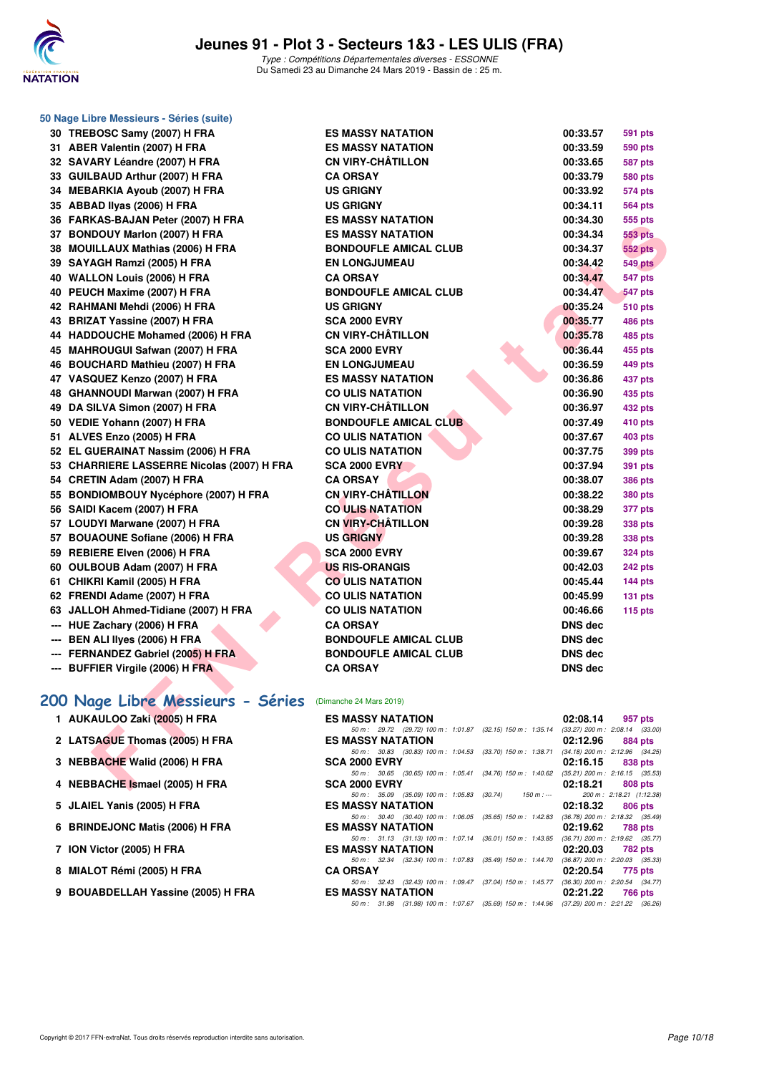

| 50 Nage Libre Messieurs - Séries (suite)                             |                                                                                       |                                                 |                |
|----------------------------------------------------------------------|---------------------------------------------------------------------------------------|-------------------------------------------------|----------------|
| 30 TREBOSC Samy (2007) H FRA                                         | <b>ES MASSY NATATION</b>                                                              | 00:33.57                                        | <b>591 pts</b> |
| 31 ABER Valentin (2007) H FRA                                        | <b>ES MASSY NATATION</b>                                                              | 00:33.59                                        | <b>590 pts</b> |
| 32 SAVARY Léandre (2007) H FRA                                       | <b>CN VIRY-CHÂTILLON</b>                                                              | 00:33.65                                        | <b>587 pts</b> |
| 33 GUILBAUD Arthur (2007) H FRA                                      | <b>CA ORSAY</b>                                                                       | 00:33.79                                        | <b>580 pts</b> |
| 34 MEBARKIA Ayoub (2007) H FRA                                       | <b>US GRIGNY</b>                                                                      | 00:33.92                                        | <b>574 pts</b> |
| 35 ABBAD Ilyas (2006) H FRA                                          | <b>US GRIGNY</b>                                                                      | 00:34.11                                        | <b>564 pts</b> |
| 36 FARKAS-BAJAN Peter (2007) H FRA                                   | <b>ES MASSY NATATION</b>                                                              | 00:34.30                                        | 555 pts        |
| 37 BONDOUY Marlon (2007) H FRA                                       | ES MASSY NATATION                                                                     | 00:34.34                                        | <b>553 pts</b> |
| 38 MOUILLAUX Mathias (2006) H FRA                                    | <b>BONDOUFLE AMICAL CLUB</b>                                                          | 00:34.37                                        | <b>552 pts</b> |
| 39 SAYAGH Ramzi (2005) H FRA                                         | <b>EN LONGJUMEAU</b>                                                                  | 00:34.42                                        | <b>549 pts</b> |
| 40 WALLON Louis (2006) H FRA                                         | <b>CA ORSAY</b>                                                                       | 00:34.47                                        | 547 pts        |
| 40 PEUCH Maxime (2007) H FRA                                         | <b>BONDOUFLE AMICAL CLUB</b>                                                          | 00:34.47                                        | 547 pts        |
| 42 RAHMANI Mehdi (2006) H FRA                                        | <b>US GRIGNY</b>                                                                      | 00:35.24                                        | <b>510 pts</b> |
| 43 BRIZAT Yassine (2007) H FRA                                       | <b>SCA 2000 EVRY</b>                                                                  | 00:35.77                                        | 486 pts        |
| 44 HADDOUCHE Mohamed (2006) H FRA                                    | <b>CN VIRY-CHÂTILLON</b>                                                              | 00:35.78                                        | <b>485 pts</b> |
| 45 MAHROUGUI Safwan (2007) H FRA                                     | <b>SCA 2000 EVRY</b>                                                                  | 00:36.44                                        | 455 pts        |
| 46 BOUCHARD Mathieu (2007) H FRA                                     | <b>EN LONGJUMEAU</b>                                                                  | 00:36.59                                        | 449 pts        |
| 47 VASQUEZ Kenzo (2007) H FRA                                        | <b>ES MASSY NATATION</b>                                                              | 00:36.86                                        | 437 pts        |
| 48 GHANNOUDI Marwan (2007) H FRA                                     | <b>CO ULIS NATATION</b>                                                               | 00:36.90                                        | 435 pts        |
| 49 DA SILVA Simon (2007) H FRA                                       | <b>CN VIRY-CHÂTILLON</b>                                                              | 00:36.97                                        | 432 pts        |
| 50 VEDIE Yohann (2007) H FRA                                         | <b>BONDOUFLE AMICAL CLUB</b>                                                          | 00:37.49                                        | 410 pts        |
| 51 ALVES Enzo (2005) H FRA                                           | <b>CO ULIS NATATION</b>                                                               | 00:37.67                                        | 403 pts        |
| 52 EL GUERAINAT Nassim (2006) H FRA                                  | <b>CO ULIS NATATION</b>                                                               | 00:37.75                                        | <b>399 pts</b> |
| 53 CHARRIERE LASSERRE Nicolas (2007) H FRA                           | <b>SCA 2000 EVRY</b>                                                                  | 00:37.94                                        | 391 pts        |
| 54 CRETIN Adam (2007) H FRA                                          | <b>CA ORSAY</b>                                                                       | 00:38.07                                        | <b>386 pts</b> |
| 55 BONDIOMBOUY Nycéphore (2007) H FRA                                | <b>CN VIRY-CHATILLON</b>                                                              | 00:38.22                                        | <b>380 pts</b> |
| 56 SAIDI Kacem (2007) H FRA                                          | <b>CO ULIS NATATION</b>                                                               | 00:38.29                                        | 377 pts        |
| 57 LOUDYI Marwane (2007) H FRA                                       | <b>CN VIRY-CHÂTILLON</b>                                                              | 00:39.28                                        | 338 pts        |
| 57 BOUAOUNE Sofiane (2006) H FRA                                     | <b>US GRIGNY</b>                                                                      | 00:39.28                                        | 338 pts        |
| 59 REBIERE Elven (2006) H FRA                                        | <b>SCA 2000 EVRY</b>                                                                  | 00:39.67                                        | <b>324 pts</b> |
| 60 OULBOUB Adam (2007) H FRA                                         | <b>US RIS-ORANGIS</b>                                                                 | 00:42.03                                        | <b>242 pts</b> |
| 61 CHIKRI Kamil (2005) H FRA                                         | <b>CO ULIS NATATION</b>                                                               | 00:45.44                                        | $144$ pts      |
| 62 FRENDI Adame (2007) H FRA                                         | <b>CO ULIS NATATION</b>                                                               | 00:45.99                                        | 131 pts        |
| 63 JALLOH Ahmed-Tidiane (2007) H FRA                                 | <b>CO ULIS NATATION</b>                                                               | 00:46.66                                        | 115 $pts$      |
| --- HUE Zachary (2006) H FRA                                         | <b>CA ORSAY</b>                                                                       | DNS dec                                         |                |
| --- BEN ALI liyes (2006) H FRA<br>--- FERNANDEZ Gabriel (2005) H FRA | <b>BONDOUFLE AMICAL CLUB</b>                                                          | DNS dec                                         |                |
| --- BUFFIER Virgile (2006) H FRA                                     | <b>BONDOUFLE AMICAL CLUB</b><br><b>CA ORSAY</b>                                       | <b>DNS</b> dec<br><b>DNS</b> dec                |                |
|                                                                      |                                                                                       |                                                 |                |
| 200 Nage Libre Messieurs - Séries                                    | (Dimanche 24 Mars 2019)                                                               |                                                 |                |
| 1 AUKAULOO Zaki (2005) H FRA                                         | <b>ES MASSY NATATION</b>                                                              | 02:08.14                                        | 957 pts        |
|                                                                      | 50 m : 29.72 (29.72) 100 m : 1:01.87 (32.15) 150 m : 1:35.14                          | $(33.27)$ 200 m : 2:08.14 $(33.00)$             |                |
| 2 LATSAGUE Thomas (2005) H FRA                                       | <b>ES MASSY NATATION</b><br>50 m: 30.83 (30.83) 100 m: 1:04.53 (33.70) 150 m: 1:38.71 | 02:12.96<br>$(34.18)$ 200 m : 2:12.96 $(34.25)$ | 884 pts        |
| 3 NEBBACHE Walid (2006) H FRA                                        | <b>SCA 2000 EVRY</b>                                                                  | 02:16.15                                        | 838 pts        |
| 4 NEBBACHE Ismael (2005) H FRA                                       | 50 m: 30.65 (30.65) 100 m: 1:05.41 (34.76) 150 m: 1:40.62<br><b>SCA 2000 EVRY</b>     | $(35.21)$ 200 m : 2:16.15 $(35.53)$<br>02:18.21 | 808 pts        |

|  |  | 2 LATSAGUE Thomas (2005) H FRA |  |  |
|--|--|--------------------------------|--|--|
|--|--|--------------------------------|--|--|

| <b>ES MASSY NATATION</b>                                                                                                                                                                                                                                                                             | $02:08.14$ 957 pts                                                                                                                                                                                                                                                                                                                                                                                                                                                                                                                                                                                                                                                                                                                                                                                                                                                     |
|------------------------------------------------------------------------------------------------------------------------------------------------------------------------------------------------------------------------------------------------------------------------------------------------------|------------------------------------------------------------------------------------------------------------------------------------------------------------------------------------------------------------------------------------------------------------------------------------------------------------------------------------------------------------------------------------------------------------------------------------------------------------------------------------------------------------------------------------------------------------------------------------------------------------------------------------------------------------------------------------------------------------------------------------------------------------------------------------------------------------------------------------------------------------------------|
|                                                                                                                                                                                                                                                                                                      |                                                                                                                                                                                                                                                                                                                                                                                                                                                                                                                                                                                                                                                                                                                                                                                                                                                                        |
| <b>ES MASSY NATATION</b>                                                                                                                                                                                                                                                                             | $02:12.96$ 884 pts                                                                                                                                                                                                                                                                                                                                                                                                                                                                                                                                                                                                                                                                                                                                                                                                                                                     |
|                                                                                                                                                                                                                                                                                                      |                                                                                                                                                                                                                                                                                                                                                                                                                                                                                                                                                                                                                                                                                                                                                                                                                                                                        |
| <b>SCA 2000 EVRY</b>                                                                                                                                                                                                                                                                                 | $02:16.15$ 838 pts                                                                                                                                                                                                                                                                                                                                                                                                                                                                                                                                                                                                                                                                                                                                                                                                                                                     |
|                                                                                                                                                                                                                                                                                                      |                                                                                                                                                                                                                                                                                                                                                                                                                                                                                                                                                                                                                                                                                                                                                                                                                                                                        |
| <b>SCA 2000 EVRY</b>                                                                                                                                                                                                                                                                                 | 808 pts                                                                                                                                                                                                                                                                                                                                                                                                                                                                                                                                                                                                                                                                                                                                                                                                                                                                |
|                                                                                                                                                                                                                                                                                                      |                                                                                                                                                                                                                                                                                                                                                                                                                                                                                                                                                                                                                                                                                                                                                                                                                                                                        |
| ES MASSY NATATION                                                                                                                                                                                                                                                                                    | 806 pts                                                                                                                                                                                                                                                                                                                                                                                                                                                                                                                                                                                                                                                                                                                                                                                                                                                                |
|                                                                                                                                                                                                                                                                                                      |                                                                                                                                                                                                                                                                                                                                                                                                                                                                                                                                                                                                                                                                                                                                                                                                                                                                        |
| <b>ES MASSY NATATION</b>                                                                                                                                                                                                                                                                             | 02:19.62 788 pts                                                                                                                                                                                                                                                                                                                                                                                                                                                                                                                                                                                                                                                                                                                                                                                                                                                       |
|                                                                                                                                                                                                                                                                                                      |                                                                                                                                                                                                                                                                                                                                                                                                                                                                                                                                                                                                                                                                                                                                                                                                                                                                        |
| <b>ES MASSY NATATION</b>                                                                                                                                                                                                                                                                             | 02:20.03 782 pts                                                                                                                                                                                                                                                                                                                                                                                                                                                                                                                                                                                                                                                                                                                                                                                                                                                       |
|                                                                                                                                                                                                                                                                                                      |                                                                                                                                                                                                                                                                                                                                                                                                                                                                                                                                                                                                                                                                                                                                                                                                                                                                        |
| <b>CA ORSAY</b>                                                                                                                                                                                                                                                                                      | 02:20.54 775 pts                                                                                                                                                                                                                                                                                                                                                                                                                                                                                                                                                                                                                                                                                                                                                                                                                                                       |
|                                                                                                                                                                                                                                                                                                      |                                                                                                                                                                                                                                                                                                                                                                                                                                                                                                                                                                                                                                                                                                                                                                                                                                                                        |
| <b>ES MASSY NATATION</b>                                                                                                                                                                                                                                                                             | 02:21.22 766 pts                                                                                                                                                                                                                                                                                                                                                                                                                                                                                                                                                                                                                                                                                                                                                                                                                                                       |
|                                                                                                                                                                                                                                                                                                      |                                                                                                                                                                                                                                                                                                                                                                                                                                                                                                                                                                                                                                                                                                                                                                                                                                                                        |
| 1 AUKAULOO Zaki (2005) H FRA<br>2 LATSAGUE Thomas (2005) H FRA<br>3 NEBBACHE Walid (2006) H FRA<br>4 NEBBACHE Ismael (2005) H FRA<br>5 JLAIEL Yanis (2005) H FRA<br>6 BRINDEJONC Matis (2006) H FRA<br>7 ION Victor (2005) H FRA<br>8 MIALOT Rémi (2005) H FRA<br>9 BOUABDELLAH Yassine (2005) H FRA | 50 m: 29.72 (29.72) 100 m: 1:01.87 (32.15) 150 m: 1:35.14 (33.27) 200 m: 2:08.14 (33.00)<br>50 m: 30.83 (30.83) 100 m: 1:04.53 (33.70) 150 m: 1:38.71 (34.18) 200 m: 2:12.96 (34.25)<br>50 m: 30.65 (30.65) 100 m: 1:05.41 (34.76) 150 m: 1:40.62 (35.21) 200 m: 2:16.15 (35.53)<br>02:18.21<br>50 m: 35.09 (35.09) 100 m: 1:05.83 (30.74) 150 m: --- 200 m: 2:18.21 (1:12.38)<br>02:18.32<br>50 m: 30.40 (30.40) 100 m: 1:06.05 (35.65) 150 m: 1:42.83 (36.78) 200 m: 2:18.32 (35.49)<br>50 m: 31.13 (31.13) 100 m: 1:07.14 (36.01) 150 m: 1:43.85 (36.71) 200 m: 2:19.62 (35.77)<br>50 m: 32.34 (32.34) 100 m: 1:07.83 (35.49) 150 m: 1:44.70 (36.87) 200 m: 2:20.03 (35.33)<br>50 m: 32.43 (32.43) 100 m: 1:09.47 (37.04) 150 m: 1:45.77 (36.30) 200 m: 2:20.54 (34.77)<br>50 m: 31.98 (31.98) 100 m: 1:07.67 (35.69) 150 m: 1:44.96 (37.29) 200 m: 2:21.22 (36.26) |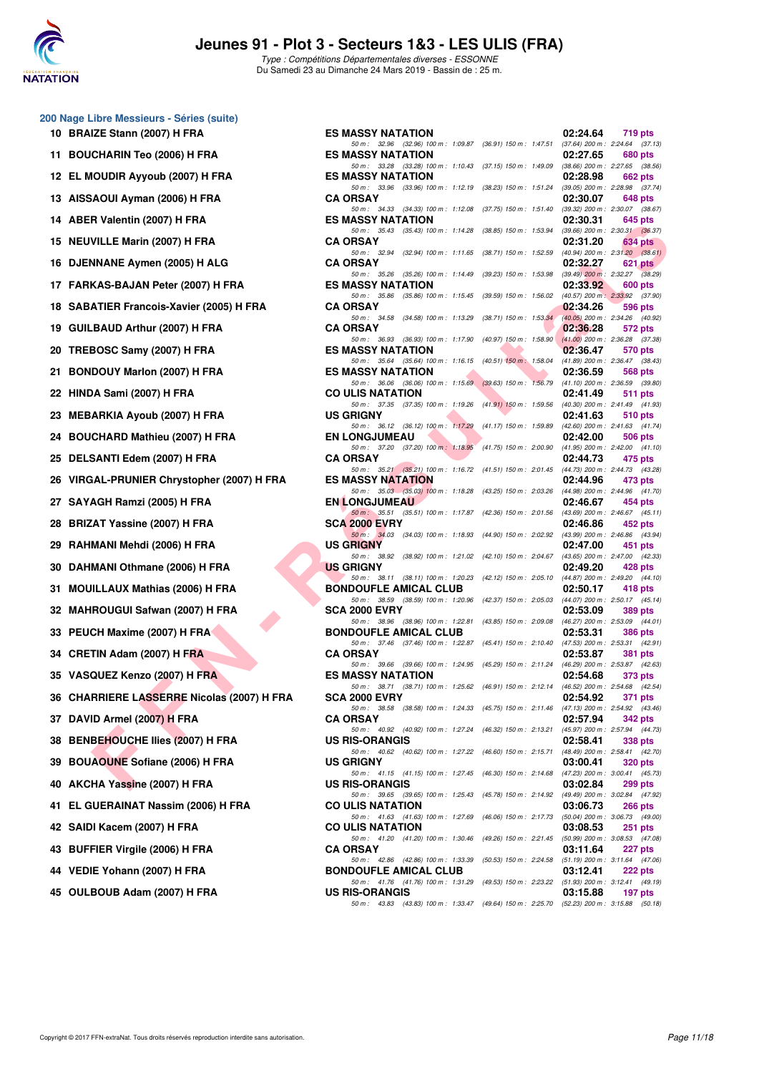

|    | 200 Nage Libre Messieurs - Séries (suite)    |
|----|----------------------------------------------|
| 10 | <b>BRAIZE Stann (2007) H FRA</b>             |
| 11 | <b>BOUCHARIN Teo (2006) H FRA</b>            |
| 12 | EL MOUDIR Ayyoub (2007) H FRA                |
| 13 | AISSAOUI Ayman (2006) H FRA                  |
| 14 | ABER Valentin (2007) H FRA                   |
| 15 | <b>NEUVILLE Marin (2007) H FRA</b>           |
| 16 | DJENNANE Aymen (2005) H ALG                  |
| 17 | FARKAS-BAJAN Peter (2007) H FRA              |
| 18 | <b>SABATIER Francois-Xavier (2005) H FRA</b> |
| 19 | <b>GUILBAUD Arthur (2007) H FRA</b>          |
| 20 | TREBOSC Samy (2007) H FRA                    |
| 21 | BONDOUY Marlon (2007) H FRA                  |
| 22 | HINDA Sami (2007) H FRA                      |
| 23 | <b>MEBARKIA Ayoub (2007) H FRA</b>           |
| 24 | <b>BOUCHARD Mathieu (2007) H FRA</b>         |
| 25 | DELSANTI Edem (2007) H FRA                   |
| 26 | VIRGAL-PRUNIER Chrystopher (2007) H FR       |
| 27 | SAYAGH Ramzi (2005) H FRA                    |
| 28 | <b>BRIZAT Yassine (2007) H FRA</b>           |
| 29 | RAHMANI Mehdi (2006) H FRA                   |
| 30 | DAHMANI Othmane (2006) H FRA                 |
| 31 | <b>MOUILLAUX Mathias (2006) H FRA</b>        |
| 32 | <b>MAHROUGUI Safwan (2007) H FRA</b>         |
| 33 | PEUCH Maxime (2007) H FRA                    |
| 34 | CRETIN Adam (2007) H FRA                     |
|    | 35 VASQUEZ Kenzo (2007) H FRA                |
| 36 | CHARRIERE LASSERRE Nicolas (2007) H F        |
| 37 | DAVID Armel (2007) H FRA                     |
| 38 | <b>BENBEHOUCHE Ilies (2007) H FRA</b>        |
| 39 | <b>BOUAOUNE Sofiane (2006) H FRA</b>         |
| 40 | AKCHA Yassine (2007) H FRA                   |
| 41 | EL GUERAINAT Nassim (2006) H FRA             |
|    | 42 SAIDI Kacem (2007) H FRA                  |
| 43 | <b>BUFFIER Virgile (2006) H FRA</b>          |
|    | 44 VEDIE Yohann (2007) H FRA                 |
|    | 45 OULBOUB Adam (2007) H FRA                 |

| 0 Nage Libre Messieurs - Series (Suite)    |                                                                                                                                                                                                                  |  |
|--------------------------------------------|------------------------------------------------------------------------------------------------------------------------------------------------------------------------------------------------------------------|--|
| 10 BRAIZE Stann (2007) H FRA               | <b>ES MASSY NATATION</b><br>02:24.64<br>719 pts                                                                                                                                                                  |  |
| 11 BOUCHARIN Teo (2006) H FRA              | 50 m: 32.96 (32.96) 100 m: 1:09.87 (36.91) 150 m: 1:47.51 (37.64) 200 m: 2:24.64 (37.13)<br><b>ES MASSY NATATION</b><br>02:27.65<br>680 pts                                                                      |  |
| 12 EL MOUDIR Ayyoub (2007) H FRA           | 50 m: 33.28 (33.28) 100 m: 1:10.43 (37.15) 150 m: 1:49.09 (38.66) 200 m: 2:27.65 (38.56)<br><b>ES MASSY NATATION</b><br>02:28.98<br>662 pts                                                                      |  |
| 13 AISSAOUI Ayman (2006) H FRA             | 50 m: 33.96 (33.96) 100 m: 1:12.19 (38.23) 150 m: 1:51.24 (39.05) 200 m: 2:28.98 (37.74)<br><b>CA ORSAY</b><br>02:30.07<br>648 pts                                                                               |  |
| 14 ABER Valentin (2007) H FRA              | 50 m: 34.33 (34.33) 100 m: 1:12.08<br>(39.32) 200 m : 2:30.07 (38.67)<br>(37.75) 150 m : 1:51.40<br><b>ES MASSY NATATION</b><br>02:30.31<br>645 pts                                                              |  |
|                                            | 50 m: 35.43 (35.43) 100 m: 1:14.28<br>(38.85) 150 m : 1:53.94 (39.66) 200 m : 2:30.31 (36.37)                                                                                                                    |  |
| 15 NEUVILLE Marin (2007) H FRA             | <b>CA ORSAY</b><br>02:31.20<br>634 pts<br>50 m: 32.94 (32.94) 100 m: 1:11.65 (38.71) 150 m: 1:52.59 (40.94) 200 m: 2:31.20 (38.61)                                                                               |  |
| 16 DJENNANE Aymen (2005) H ALG             | <b>CA ORSAY</b><br>02:32.27<br>621 pts<br>50 m: 35.26 (35.26) 100 m: 1:14.49 (39.23) 150 m: 1:53.98 (39.49) 200 m: 2:32.27 (38.29)                                                                               |  |
| 17 FARKAS-BAJAN Peter (2007) H FRA         | <b>ES MASSY NATATION</b><br>02:33.92<br>600 pts<br>50 m: 35.86 (35.86) 100 m: 1:15.45 (39.59) 150 m: 1:56.02 (40.57) 200 m: 2:33.92 (37.90)                                                                      |  |
| 18 SABATIER Francois-Xavier (2005) H FRA   | <b>CA ORSAY</b><br>02:34.26<br>596 pts                                                                                                                                                                           |  |
| 19 GUILBAUD Arthur (2007) H FRA            | 50 m: 34.58 (34.58) 100 m: 1:13.29 (38.71) 150 m: 1:53.34 (40.05) 200 m: 2:34.26 (40.92)<br><b>CA ORSAY</b><br>02:36.28<br>572 pts                                                                               |  |
| 20 TREBOSC Samy (2007) H FRA               | $(41.00)$ 200 m : 2:36.28 $(37.38)$<br>50 m : 36.93 (36.93) 100 m : 1:17.90<br>$(40.97)$ 150 m : 1:58.90<br><b>ES MASSY NATATION</b><br>02:36.47<br>570 pts                                                      |  |
| 21 BONDOUY Marlon (2007) H FRA             | 50 m: 35.64 (35.64) 100 m: 1:16.15 (40.51) 150 m: 1:58.04 (41.89) 200 m: 2:36.47 (38.43)<br><b>ES MASSY NATATION</b><br>02:36.59<br>568 pts                                                                      |  |
| 22 HINDA Sami (2007) H FRA                 | 50 m: 36.06 (36.06) 100 m: 1:15.69 (39.63) 150 m: 1:56.79 (41.10) 200 m: 2:36.59 (39.80)<br><b>CO ULIS NATATION</b><br>02:41.49<br>511 pts                                                                       |  |
| 23  MEBARKIA Ayoub (2007) H FRA            | 50 m: 37.35 (37.35) 100 m: 1:19.26 (41.91) 150 m: 1:59.56 (40.30) 200 m: 2:41.49 (41.93)<br><b>US GRIGNY</b><br>02:41.63<br>510 pts                                                                              |  |
| 24 BOUCHARD Mathieu (2007) H FRA           | 50 m: 36.12 (36.12) 100 m: 1:17.29 (41.17) 150 m: 1:59.89 (42.60) 200 m: 2:41.63 (41.74)<br><b>EN LONGJUMEAU</b>                                                                                                 |  |
|                                            | 02:42.00<br>506 pts<br>50 m: 37.20 (37.20) 100 m: 1:18.95 (41.75) 150 m: 2:00.90 (41.95) 200 m: 2:42.00 (41.10)                                                                                                  |  |
| 25 DELSANTI Edem (2007) H FRA              | <b>CA ORSAY</b><br>02:44.73<br>475 pts<br>50 m: 35.21 (35.21) 100 m: 1:16.72 (41.51) 150 m: 2:01.45 (44.73) 200 m: 2:44.73 (43.28)                                                                               |  |
| 26 VIRGAL-PRUNIER Chrystopher (2007) H FRA | <b>ES MASSY NATATION</b><br>02:44.96<br>473 pts<br>50 m: 35.03 (35.03) 100 m: 1:18.28 (43.25) 150 m: 2:03.26 (44.98) 200 m: 2:44.96 (41.70)                                                                      |  |
| 27 SAYAGH Ramzi (2005) H FRA               | <b>EN LONGJUMEAU</b><br>02:46.67<br>454 pts<br>50 m: 35.51 (35.51) 100 m: 1:17.87 (42.36) 150 m: 2:01.56 (43.69) 200 m: 2:46.67 (45.11)                                                                          |  |
| 28 BRIZAT Yassine (2007) H FRA             | <b>SCA 2000 EVRY</b><br>02:46.86<br>452 pts                                                                                                                                                                      |  |
| 29   RAHMANI Mehdi (2006) H FRA            | 50 m: 34.03 (34.03) 100 m: 1:18.93 (44.90) 150 m: 2:02.92 (43.99) 200 m: 2:46.86 (43.94)<br><b>US GRIGNY</b><br>02:47.00<br>451 pts                                                                              |  |
| 30 DAHMANI Othmane (2006) H FRA            | 50 m: 38.92 (38.92) 100 m: 1:21.02 (42.10) 150 m: 2:04.67 (43.65) 200 m: 2:47.00 (42.33)<br><b>US GRIGNY</b><br>02:49.20<br>428 pts                                                                              |  |
| 31 MOUILLAUX Mathias (2006) H FRA          | 50 m: 38.11 (38.11) 100 m: 1:20.23 (42.12) 150 m: 2:05.10 (44.87) 200 m: 2:49.20 (44.10)<br><b>BONDOUFLE AMICAL CLUB</b><br>02:50.17<br>418 pts                                                                  |  |
| 32 MAHROUGUI Safwan (2007) H FRA           | 50 m: 38.59 (38.59) 100 m: 1:20.96<br>(42.37) 150 m: 2:05.03 (44.07) 200 m: 2:50.17 (45.14)<br><b>SCA 2000 EVRY</b><br>02:53.09<br>389 pts                                                                       |  |
| 33 PEUCH Maxime (2007) H FRA               | 50 m: 38.96 (38.96) 100 m: 1:22.81<br>(43.85) 150 m : 2:09.08 (46.27) 200 m : 2:53.09 (44.01)<br><b>BONDOUFLE AMICAL CLUB</b><br>02:53.31<br><b>386 pts</b>                                                      |  |
| 34 CRETIN Adam (2007) H FRA                | 50 m: 37.46 (37.46) 100 m: 1:22.87 (45.41) 150 m: 2:10.40 (47.53) 200 m: 2:53.31 (42.91)<br><b>CA ORSAY</b><br>02:53.87<br>381 pts                                                                               |  |
| 35 VASQUEZ Kenzo (2007) H FRA \            | 50 m: 39.66 (39.66) 100 m: 1:24.95 (45.29) 150 m: 2:11.24 (46.29) 200 m: 2:53.87 (42.63)<br><b>ES MASSY NATATION</b><br>02:54.68<br><b>373 pts</b>                                                               |  |
|                                            | 50 m: 38.71 (38.71) 100 m: 1:25.62 (46.91) 150 m: 2:12.14 (46.52) 200 m: 2:54.68 (42.54)                                                                                                                         |  |
| 36 CHARRIERE LASSERRE Nicolas (2007) H FRA | <b>SCA 2000 EVRY</b><br>02:54.92<br>371 pts<br>50 m: 38.58 (38.58) 100 m: 1:24.33 (45.75) 150 m: 2:11.46<br>(47.13) 200 m : 2:54.92 (43.46)                                                                      |  |
| 37 DAVID Armel (2007) H FRA                | <b>CA ORSAY</b><br>02:57.94<br>342 pts<br>50 m: 40.92 (40.92) 100 m: 1:27.24<br>(45.97) 200 m : 2:57.94 (44.73)<br>$(46.32)$ 150 m : 2:13.21                                                                     |  |
| 38 BENBEHOUCHE Ilies (2007) H FRA          | <b>US RIS-ORANGIS</b><br>02:58.41<br>338 pts<br>50 m: 40.62 (40.62) 100 m: 1:27.22<br>$(46.60)$ 150 m : 2:15.71<br>(48.49) 200 m : 2:58.41 (42.70)                                                               |  |
| 39 BOUAOUNE Sofiane (2006) H FRA           | <b>US GRIGNY</b><br>03:00.41<br>320 pts<br>50 m: 41.15 (41.15) 100 m: 1:27.45<br>(46.30) 150 m : 2:14.68<br>(47.23) 200 m : 3:00.41 (45.73)                                                                      |  |
| 40   AKCHA Yassine (2007) H FRA            | <b>US RIS-ORANGIS</b><br>03:02.84<br>299 pts                                                                                                                                                                     |  |
| 41 EL GUERAINAT Nassim (2006) H FRA        | 50 m: 39.65 (39.65) 100 m: 1:25.43<br>$(45.78)$ 150 m : 2:14.92<br>(49.49) 200 m : 3:02.84 (47.92)<br><b>CO ULIS NATATION</b><br>03:06.73<br>266 pts                                                             |  |
| 42 SAIDI Kacem (2007) H FRA                | 50 m: 41.63 (41.63) 100 m: 1:27.69<br>(46.06) 150 m : 2:17.73 (50.04) 200 m : 3:06.73 (49.00)<br><b>CO ULIS NATATION</b><br>03:08.53<br>251 pts<br>50 m: 41.20 (41.20) 100 m: 1:30.46<br>(49.26) 150 m : 2:21.45 |  |
| 43 BUFFIER Virgile (2006) H FRA            | (50.99) 200 m : 3:08.53 (47.08)<br><b>CA ORSAY</b><br>03:11.64<br>227 pts                                                                                                                                        |  |
| 44 VEDIE Yohann (2007) H FRA               | 50 m: 42.86 (42.86) 100 m: 1:33.39<br>$(50.53)$ 150 m : 2:24.58<br>$(51.19)$ 200 m : 3:11.64 $(47.06)$<br><b>BONDOUFLE AMICAL CLUB</b><br>03:12.41<br>222 pts                                                    |  |
| 45 OULBOUB Adam (2007) H FRA               | 50 m: 41.76 (41.76) 100 m: 1:31.29<br>(49.53) 150 m : 2:23.22 (51.93) 200 m : 3:12.41 (49.19)<br><b>US RIS-ORANGIS</b><br>03:15.88<br>197 pts                                                                    |  |
|                                            | 50 m: 43.83 (43.83) 100 m: 1:33.47 (49.64) 150 m: 2:25.70 (52.23) 200 m: 3:15.88 (50.18)                                                                                                                         |  |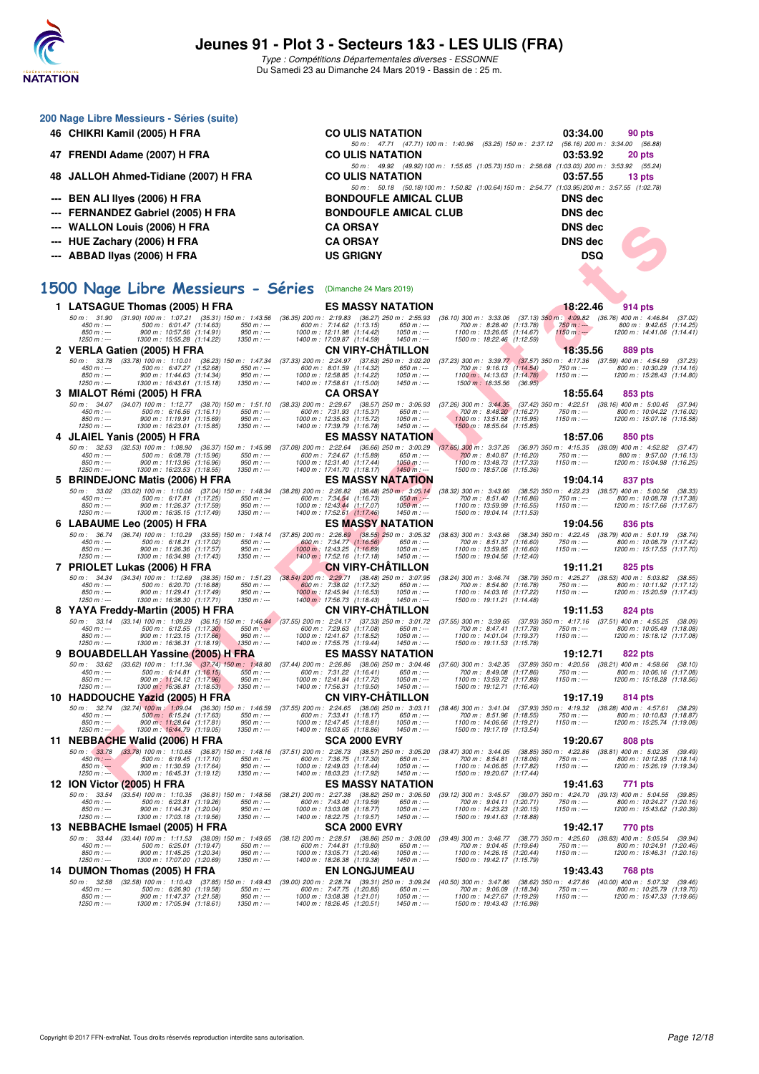

|    | 200 Nage Libre Messieurs - Séries (suite)                                                                                                                                        |                                                                                                                |                                                                                                                                                           |                                       |                                                                                    |  |
|----|----------------------------------------------------------------------------------------------------------------------------------------------------------------------------------|----------------------------------------------------------------------------------------------------------------|-----------------------------------------------------------------------------------------------------------------------------------------------------------|---------------------------------------|------------------------------------------------------------------------------------|--|
|    | 46 CHIKRI Kamil (2005) H FRA                                                                                                                                                     | <b>CO ULIS NATATION</b>                                                                                        |                                                                                                                                                           | 03:34.00                              | 90 pts                                                                             |  |
|    | 47 FRENDI Adame (2007) H FRA                                                                                                                                                     | <b>CO ULIS NATATION</b>                                                                                        | 50 m: 47.71 (47.71) 100 m: 1:40.96 (53.25) 150 m: 2:37.12<br>50 m: 49.92 (49.92) 100 m: 1:55.65 (1:05.73) 150 m: 2:58.68 (1:03.03) 200 m: 3:53.92 (55.24) | $(56.16)$ 200 m : 3:34.00<br>03:53.92 | (56.88)<br>20 pts                                                                  |  |
| 48 | JALLOH Ahmed-Tidiane (2007) H FRA                                                                                                                                                | <b>CO ULIS NATATION</b>                                                                                        |                                                                                                                                                           | 03:57.55                              | 13 pts                                                                             |  |
|    | <b>BEN ALI lives (2006) H FRA</b>                                                                                                                                                | <b>BONDOUFLE AMICAL CLUB</b>                                                                                   | 50 m: 50.18 (50.18) 100 m: 1:50.82 (1:00.64) 150 m: 2:54.77 (1:03.95) 200 m: 3:57.55 (1:02.78)                                                            | <b>DNS</b> dec                        |                                                                                    |  |
|    | <b>FERNANDEZ Gabriel (2005) H FRA</b>                                                                                                                                            | <b>BONDOUFLE AMICAL CLUB</b>                                                                                   |                                                                                                                                                           | <b>DNS dec</b>                        |                                                                                    |  |
|    | <b>WALLON Louis (2006) H FRA</b>                                                                                                                                                 | <b>CA ORSAY</b>                                                                                                |                                                                                                                                                           | <b>DNS</b> dec                        |                                                                                    |  |
|    | HUE Zachary (2006) H FRA                                                                                                                                                         | <b>CA ORSAY</b>                                                                                                |                                                                                                                                                           | <b>DNS</b> dec                        |                                                                                    |  |
|    | ABBAD Ilyas (2006) H FRA                                                                                                                                                         | <b>US GRIGNY</b>                                                                                               |                                                                                                                                                           | <b>DSQ</b>                            |                                                                                    |  |
|    |                                                                                                                                                                                  |                                                                                                                |                                                                                                                                                           |                                       |                                                                                    |  |
|    | 1500 Nage Libre Messieurs - Séries (Dimanche 24 Mars 2019)                                                                                                                       |                                                                                                                |                                                                                                                                                           |                                       |                                                                                    |  |
|    | 1 LATSAGUE Thomas (2005) H FRA                                                                                                                                                   | <b>ES MASSY NATATION</b>                                                                                       |                                                                                                                                                           | 18:22.46                              | 914 pts                                                                            |  |
|    | 50 m: 31.90 (31.90) 100 m: 1:07.21 (35.31) 150 m: 1:43.56 (36.35) 200 m: 2:19.83 (36.27) 250 m: 2:55.93                                                                          |                                                                                                                | (36.10) 300 m : 3:33.06 (37.13) 350 m : 4:09.82 (36.76) 400 m : 4:46.84 (37.02                                                                            |                                       |                                                                                    |  |
|    | 500 m: 6:01.47 (1:14.63)<br>$450 m : -$<br>550 m : ---<br>850 m : ---<br>900 m: 10:57.56 (1:14.91)<br>$950 m: -$                                                                 | 600 m: 7:14.62 (1:13.15)<br>650 m : ---<br>1000 m: 12:11.98 (1:14.42)<br>$1050 m$ : ---                        | 700 m: 8:28.40 (1:13.78)<br>1100 m: 13:26.65 (1:14.67)                                                                                                    | 750 m : ---<br>$1150 m: -$            | 800 m: 9:42.65 (1:14.25)<br>1200 m: 14:41.06 (1:14.41)                             |  |
|    | 1300 m: 15:55.28 (1:14.22)<br>$1350 m: -$<br>$1250 m : -$<br>2 VERLA Gatien (2005) H FRA                                                                                         | 1400 m: 17:09.87 (1:14.59)<br>$1450 m: -$<br><b>CN VIRY-CHATILLON</b>                                          | 1500 m: 18:22.46 (1:12.59)                                                                                                                                | 18:35.56                              | 889 pts                                                                            |  |
|    | 50 m: 33.78 (33.78) 100 m: 1:10.01 (36.23) 150 m: 1:47.34 (37.33) 200 m: 2:24.97 (37.63) 250 m: 3:02.20<br>$450 m: -$<br>$550 m: -$                                              | $650 m$ : ---                                                                                                  | (37.23) 300 m : 3:39.77 (37.57) 350 m : 4:17.36 (37.59) 400 m : 4:54.59 (37.23<br>700 m: 9:16.13 (1:14.54)                                                | $750 m: -$                            | 800 m: 10:30.29 (1:14.16)                                                          |  |
|    | 500 m: 6:47.27 (1:52.68)<br>$850 m: -$<br>900 m: 11:44.63 (1:14.34)<br>$950 m: -$                                                                                                | 600 m: 8:01.59 (1:14.32)<br>1000 m: 12:58.85 (1:14.22)<br>$1050 m: -$<br>$1450 m$ : ---                        | 1100 m: 14:13.63 (1:14.78)                                                                                                                                | $1150 m: -$                           | 1200 m: 15:28.43 (1:14.80)                                                         |  |
|    | $1250 m : -$<br>1300 m: 16:43.61 (1:15.18)<br>$1350 m: -$<br>3 MIALOT Rémi (2005) H FRA                                                                                          | 1400 m: 17:58.61 (1:15.00)<br><b>CA ORSAY</b>                                                                  | 1500 m : 18:35.56<br>(36.95)                                                                                                                              | 18:55.64                              | 853 pts                                                                            |  |
|    | 50 m: 34.07 (34.07) 100 m: 1:12.77 (38.70) 150 m: 1:51.10 (38.33) 200 m: 2:29.67 (38.57) 250 m: 3:06.93<br>500 m: 6:16.56 (1:16.11)<br>$450 m: -$<br>$550 m : -$                 | 600 m: 7:31.93 (1:15.37)<br>$650 m: -$                                                                         | (37.26) 300 m: 3:44.35 (37.42) 350 m: 4:22.51 (38.16) 400 m: 5:00.45 (37.94<br>700 m: 8:48.20 (1:16.27)                                                   | $750 m: -$                            | 800 m: 10:04.22 (1:16.02)                                                          |  |
|    | $850 m: -$<br>900 m: 11:19.91 (1:15.69)<br>$950 m : -$<br>$1250 m : -$<br>1300 m: 16:23.01 (1:15.85)<br>$1350 m: -$                                                              | 1000 m: 12:35.63 (1:15.72)<br>$1050 m : -$<br>1400 m: 17:39.79 (1:16.78)<br>$1450 m: -$                        | 1100 m: 13:51.58 (1:15.95)<br>1500 m: 18:55.64 (1:15.85)                                                                                                  | $1150 m: -$                           | 1200 m: 15:07.16 (1:15.58)                                                         |  |
|    | 4 JLAIEL Yanis (2005) H FRA                                                                                                                                                      | <b>ES MASSY NATATION</b>                                                                                       |                                                                                                                                                           | 18:57.06                              | 850 pts                                                                            |  |
|    | 50 m: 32.53<br>(32.53) 100 m: 1:08.90 (36.37) 150 m: 1:45.98<br>500 m : 6:08.78 (1:15.96)<br>$450 m : -$<br>$550 m: -$                                                           | (37.08) 200 m : 2:22.64 (36.66) 250 m : 3:00.29<br>600 m: 7:24.67 (1:15.89)<br>650 m : ---                     | $(37.65)$ 300 m : 3:37.26<br>700 m: 8:40.87 (1:16.20)                                                                                                     | $750 m: -$                            | (36.97) 350 m : 4:15.35 (38.09) 400 m : 4:52.82 (37.47<br>800 m: 9:57.00 (1:16.13) |  |
|    | 850 m : ---<br>900 m: 11:13.96 (1:16.96)<br>$950 m: -$<br>$1250 m : -$<br>1300 m: 16:23.53 (1:18.55)<br>$1350 m: -$                                                              | 1000 m: 12:31.40 (1:17.44)<br>$1050 m : -$<br>1400 m: 17:41.70 (1:18.17)<br>$1450 m: -$                        | 1100 m: 13:48.73 (1:17.33)<br>1500 m: 18:57.06 (1:15.36)                                                                                                  | $1150 m: -$                           | 1200 m: 15:04.98 (1:16.25)                                                         |  |
|    | 5 BRINDEJONC Matis (2006) H FRA                                                                                                                                                  | <b>ES MASSY NATATION</b>                                                                                       |                                                                                                                                                           | 19:04.14                              | 837 pts                                                                            |  |
|    | 50 m: 33.02 (33.02) 100 m: 1:10.06 (37.04) 150 m: 1:48.34 (38.28) 200 m: 2:26.82 (38.48) 250 m: 3:05.14<br>$450 m: -$<br>500 m: 6:17.81 (1:17.25)<br>$550 m: -$                  | 600 m: 7:34.54 (1:16.73)<br>$650 m: -$                                                                         | (38.32) 300 m: 3:43.66 (38.52) 350 m: 4:22.23 (38.57) 400 m: 5:00.56 (38.33<br>700 m: 8:51.40 (1:16.86)                                                   | $750 m: -$                            | 800 m: 10:08.78 (1:17.38)                                                          |  |
|    | $850 m: -$<br>900 m: 11:26.37 (1:17.59)<br>$950 m: -$<br>$1250 m : -$<br>1300 m: 16:35.15 (1:17.49)<br>$1350 m : -$                                                              | 1000 m : 12:43.44 (1:17.07)<br>1400 m : 17:52.61 (1:17.46)<br>$1050 m$ : ---<br>$1450 m$ : ---                 | 1100 m: 13:59.99 (1:16.55)<br>1500 m: 19:04.14 (1:11.53)                                                                                                  | $1150 m: -$                           | 1200 m: 15:17.66 (1:17.67)                                                         |  |
|    | 6 LABAUME Leo (2005) H FRA                                                                                                                                                       | <b>ES MASSY NATATION</b>                                                                                       |                                                                                                                                                           | 19:04.56                              | 836 pts                                                                            |  |
|    | 50 m: 36.74 (36.74) 100 m: 1:10.29 (33.55) 150 m: 1:48.14 (37.85) 200 m: 2:26.69 (38.55) 250 m: 3:05.32<br>450 m : ---<br>500 m: 6:18.21 (1:17.02)<br>$550 m: -$                 | 600 m: 7:34.77 (1:16.56)<br>$650 m: -$                                                                         | (38.63) 300 m: 3:43.66 (38.34) 350 m: 4:22.45 (38.79) 400 m: 5:01.19 (38.74<br>700 m: 8:51.37 (1:16.60)                                                   | 750 m : ---                           | 800 m: 10:08.79 (1:17.42)                                                          |  |
|    | $950 m : -$<br>$850 m : -$<br>900 m: 11:26.36 (1:17.57)<br>$1350 m: -$<br>$1250 m : -$<br>1300 m: 16:34.98 (1:17.43)                                                             | 1000 m: 12:43.25 (1:16.89)<br>$1050 m$ : ---<br>1400 m: 17:52.16 (1:17.18)<br>$1450 m: -$                      | 1100 m: 13:59.85 (1:16.60)<br>1500 m: 19:04.56 (1:12.40)                                                                                                  | $1150 m: -$                           | 1200 m: 15:17.55 (1:17.70)                                                         |  |
|    | 7 PRIOLET Lukas (2006) H FRA                                                                                                                                                     | <b>CN VIRY-CHATILLON</b>                                                                                       |                                                                                                                                                           | 19:11.21                              | 825 pts                                                                            |  |
|    | (34.34) 100 m: 1:12.69 (38.35) 150 m: 1:51.23<br>50 m : 34.34<br>500 m: 6:20.70 (1:16.88)<br>$450 m : -$<br>$550 m: -$<br>850 m : ---<br>900 m: 11:29.41 (1:17.49)<br>$950 m: -$ | (38.54) 200 m : 2:29.71 (38.48) 250 m : 3:07.95<br>600 m: 7:38.02 (1:17.32)<br>$650 m$ : ---<br>$1050 m$ : --- | (38.24) 300 m : 3:46.74 (38.79) 350 m : 4:25.27<br>700 m: 8:54.80 (1:16.78)                                                                               | 750 m : ---<br>$1150 m: -$            | $(38.53)$ 400 m : 5:03.82 $(38.55)$<br>800 m: 10:11.92 (1:17.12)                   |  |
|    | 1300 m: 16:38.30 (1:17.71)<br>$1350 m: -$<br>$1250 m : -$                                                                                                                        | 1000 m: 12:45.94 (1:16.53)<br>1400 m : 17:56.73 (1:18.43)<br>$1450 m: -$                                       | 1100 m: 14:03.16 (1:17.22)<br>1500 m: 19:11.21 (1:14.48)                                                                                                  |                                       | 1200 m: 15:20.59 (1:17.43)                                                         |  |
|    | 8 YAYA Freddy-Martin (2005) H FRA<br>50 m: 33.14 (33.14) 100 m: 1:09.29 (36.15) 150 m: 1:46.84 (37.55) 200 m: 2:24.17 (37.33) 250 m: 3:01.72                                     | <b>CN VIRY-CHATILLON</b>                                                                                       | (37.55) 300 m: 3:39.65 (37.93) 350 m: 4:17.16 (37.51) 400 m: 4:55.25 (38.09                                                                               | 19:11.53                              | 824 pts                                                                            |  |
|    | $450 m: -$<br>500 m: 6:12.55 (1:17.30)<br>$550 m: -$<br>$850 m: -$<br>900 m: 11:23.15 (1:17.66)<br>$950 m: -$                                                                    | 600 m: 7:29.63 (1:17.08)<br>$650 m$ : ---<br>1000 m: 12:41.67 (1:18.52)<br>$1050 m: -$                         | 700 m: 8:47.41 (1:17.78)<br>1100 m: 14:01.04 (1:19.37)                                                                                                    | $750 m: -$<br>$1150 m: -$             | 800 m: 10:05.49 (1:18.08)<br>1200 m: 15:18.12 (1:17.08)                            |  |
|    | $1250 m : -$<br>1300 m: 16:36.31 (1:18.19)<br>$1350 m : -$                                                                                                                       | 1400 m: 17:55.75 (1:19.44)<br>$1450 m: -$                                                                      | 1500 m: 19:11.53 (1:15.78)                                                                                                                                |                                       |                                                                                    |  |
| 9. | <b>BOUABDELLAH Yassine (2005) H FRA</b><br>50 m: 33.62 (33.62) 100 m: 1:11.36 (37.74) 150 m: 1:48.80 (37.44) 200 m: 2:26.86 (38.06) 250 m: 3:04.46                               | <b>ES MASSY NATATION</b>                                                                                       | (37.60) 300 m: 3:42.35 (37.89) 350 m: 4:20.56 (38.21) 400 m: 4:58.66 (38.10                                                                               | 19:12.71                              | 822 pts                                                                            |  |
|    | 500 m: 6:14.81 (1:16.15)<br>$550 m: -$<br>$450 m: -$<br>$850 m: -$<br>900 m: 11:24.12 (1:17.96)<br>$950 m: -$                                                                    | 600 m: 7:31.22 (1:16.41)<br>$650 m: -$<br>1000 m: 12:41.84 (1:17.72)<br>$1050 m: -$                            | 700 m: 8:49.08 (1:17.86)<br>1100 m: 13:59.72 (1:17.88)                                                                                                    | $750 m: -$<br>$1150 m: -$             | 800 m: 10:06.16 (1:17.08<br>1200 m: 15:18.28 (1:18.56)                             |  |
|    | 1250 m : ---<br>1300 m : 16:36.81 (1:18.53)<br>- 1350 m : ---                                                                                                                    | 1400 m : 17:56.31 (1:19.50)<br>1450 m : ---                                                                    | 1500 m : 19:12.71 (1:16.40)                                                                                                                               |                                       |                                                                                    |  |
|    | 10 HADDOUCHE Yazid (2005) H FRA<br>50 m: 32.74 (32.74) 100 m: 1:09.04 (36.30) 150 m: 1:46.59 (37.55) 200 m: 2:24.65 (38.06) 250 m: 3:03.11                                       | <b>CN VIRY-CHATILLON</b>                                                                                       | (38.46) 300 m : 3:41.04 (37.93) 350 m : 4:19.32 (38.28) 400 m : 4:57.61 (38.29                                                                            | 19:17.19                              | 814 pts                                                                            |  |
|    | 500 m: 6:15.24 (1:17.63)<br>450 m : ---<br>550 m : ---<br>$850 m: -$<br>900 m: 11:28.64 (1:17.81)<br>$950 m : -$                                                                 | 600 m: 7:33.41 (1:18.17)<br>650 m : ---<br>1000 m: 12:47.45 (1:18.81)<br>$1050 m: -$                           | 700 m: 8:51.96 (1:18.55)<br>1100 m: 14:06.66 (1:19.21)                                                                                                    | 750 m : ---<br>$1150 m: -$            | 800 m: 10:10.83 (1:18.87)<br>1200 m: 15:25.74 (1:19.08)                            |  |
|    | 1300 m: 16:44.79 (1:19.05)<br>$1250 m : -$<br>$1350 m: -$<br>11 NEBBACHE Walid (2006) H FRA                                                                                      | $1450 m: -$<br>1400 m: 18:03.65 (1:18.86)<br><b>SCA 2000 EVRY</b>                                              | 1500 m: 19:17.19 (1:13.54)                                                                                                                                | 19:20.67                              | 808 pts                                                                            |  |
|    | 50 m : 3.378 (33.78) 100 m : 1:10.65 (36.87) 150 m : 1:48.16 (37.51) 200 m : 2:26.73 (38.57) 250 m : 3:05.20                                                                     |                                                                                                                | (38.47) 300 m: 3:44.05 (38.85) 350 m: 4:22.86 (38.81) 400 m: 5:02.35 (39.49                                                                               |                                       |                                                                                    |  |
|    | 500 m: 6:19.45 (1:17.10)<br>$450 m$ : ---<br>$550 m: -$<br>$850 m: -$<br>900 m: 11:30.59 (1:17.64)<br>$950 m: -$                                                                 | $650 m: -$<br>600 m: 7:36.75 (1:17.30)<br>1000 m: 12:49.03 (1:18.44)<br>$1050 m: -$                            | 700 m: 8:54.81 (1:18.06)<br>1100 m: 14:06.85 (1:17.82)                                                                                                    | 750 m : ---<br>$1150 m: -$            | 800 m: 10:12.95 (1:18.14)<br>1200 m: 15:26.19 (1:19.34)                            |  |
|    | $1250 m : -$<br>1300 m: 16:45.31 (1:19.12)<br>$1350 m : -$<br>12 ION Victor (2005) H FRA                                                                                         | 1400 m: 18:03.23 (1:17.92)<br>$1450 m$ : ---<br><b>ES MASSY NATATION</b>                                       | 1500 m: 19:20.67 (1:17.44)                                                                                                                                | 19:41.63                              | 771 pts                                                                            |  |
|    | 50 m: 33.54 (33.54) 100 m: 1:10.35 (36.81) 150 m: 1:48.56                                                                                                                        | (38.21) 200 m : 2:27.38 (38.82) 250 m : 3:06.50                                                                | (39.12) 300 m: 3:45.57 (39.07) 350 m: 4:24.70 (39.13) 400 m: 5:04.55 (39.85                                                                               |                                       |                                                                                    |  |
|    | 500 m: 6:23.81 (1:19.26)<br>450 m : ---<br>$550 m$ : ---<br>$850 m : -$<br>900 m: 11:44.31 (1:20.04)<br>$950 m : -$                                                              | 600 m: 7:43.40 (1:19.59)<br>$650 m: -$<br>1000 m: 13:03.08 (1:18.77)<br>$1050 m$ : ---                         | 700 m: 9:04.11 (1:20.71)<br>1100 m: 14:23.23 (1:20.15)                                                                                                    | $750 m: -$<br>$1150 m: -$             | 800 m: 10:24.27 (1:20.16)<br>1200 m: 15:43.62 (1:20.39)                            |  |
|    | $1250 m : -$<br>$1350 m : -$<br>1300 m : 17:03.18 (1:19.56)<br>13 NEBBACHE Ismael (2005) H FRA                                                                                   | 1400 m: 18:22.75 (1:19.57)<br>$1450 m: -$<br><b>SCA 2000 EVRY</b>                                              | 1500 m: 19:41.63 (1:18.88)                                                                                                                                | 19:42.17                              | 770 pts                                                                            |  |
|    | 50 m: 33.44 (33.44) 100 m: 1:11.53 (38.09) 150 m: 1:49.65                                                                                                                        | $(38.12)$ 200 m : 2:28.51 $(38.86)$ 250 m : 3:08.00                                                            | (39.49) 300 m : 3:46.77 (38.77) 350 m : 4:25.60                                                                                                           |                                       | (38.83) 400 m : 5:05.54 (39.94)                                                    |  |
|    | $450 m: -$<br>500 m: 6:25.01 (1:19.47)<br>$550 m: -$<br>$850 m : -$<br>900 m: 11:45.25 (1:20.34)<br>$950 m : -$<br>$1350 m: -$                                                   | 600 m: 7:44.81 (1:19.80)<br>$650 m: -$<br>1000 m: 13:05.71 (1:20.46)<br>$1050 m$ : ---<br>$1450 m: -$          | 700 m: 9:04.45 (1:19.64)<br>1100 m: 14:26.15 (1:20.44)                                                                                                    | 750 m : ---<br>$1150 m: -$            | 800 m: 10:24.91 (1:20.46)<br>1200 m : 15:46.31 (1:20.16)                           |  |
|    | $1250 m : -$<br>1300 m: 17:07.00 (1:20.69)<br>14 DUMON Thomas (2005) H FRA                                                                                                       | 1400 m: 18:26.38 (1:19.38)<br><b>EN LONGJUMEAU</b>                                                             | 1500 m: 19:42.17 (1:15.79)                                                                                                                                | 19:43.43                              | 768 pts                                                                            |  |
|    | 50 m: 32.58 (32.58) 100 m: 1:10.43 (37.85) 150 m: 1:49.43<br>500 m: 6:26.90 (1:19.58)<br>$450 m : -$<br>$550 m: -$                                                               | (39.00) 200 m : 2:28.74 (39.31) 250 m : 3:09.24<br>$650 m: -$<br>600 m: 7:47.75 (1:20.85)                      | (40.50) 300 m : 3:47.86 (38.62) 350 m : 4:27.86<br>700 m: 9:06.09 (1:18.34)                                                                               | 750 m : ---                           | (40.00) 400 m : 5:07.32 (39.46<br>800 m: 10:25.79 (1:19.70)                        |  |
|    | $850 m : -$<br>900 m: 11:47.37 (1:21.58)<br>$950 m: -$<br>$1250 m : -$<br>1300 m: 17:05.94 (1:18.61)<br>$1350 m : -$                                                             | 1000 m: 13:08.38 (1:21.01)<br>$1050 m$ : ---<br>1400 m: 18:26.45 (1:20.51)<br>$1450 m: -$                      | 1100 m: 14:27.67 (1:19.29)<br>1500 m: 19:43.43 (1:16.98)                                                                                                  | $1150 m: -$                           | 1200 m: 15:47.33 (1:19.66)                                                         |  |
|    |                                                                                                                                                                                  |                                                                                                                |                                                                                                                                                           |                                       |                                                                                    |  |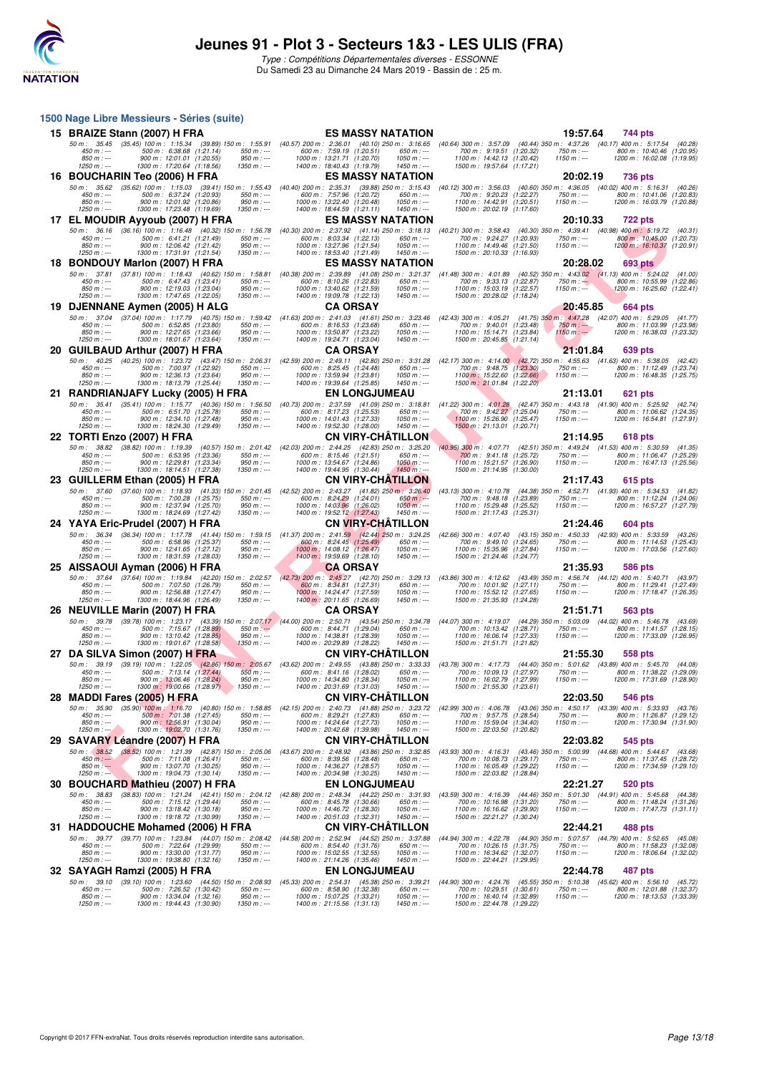

**1500 Nage Libre Messieurs - Séries (suite)**

## **Jeunes 91 - Plot 3 - Secteurs 1&3 - LES ULIS (FRA)**

| 15 BRAIZE Stann (2007) H FRA                                                                                                                                      | <b>ES MASSY NATATION</b>                                                                   | 19:57.64<br>744 pts                                                                                                                                                                                                                                                  |
|-------------------------------------------------------------------------------------------------------------------------------------------------------------------|--------------------------------------------------------------------------------------------|----------------------------------------------------------------------------------------------------------------------------------------------------------------------------------------------------------------------------------------------------------------------|
| $500 \text{ m}$ : 6:38.68 $(1.21.14)$<br>$450 m : -$<br>550 m : ---                                                                                               | 600 m: 7:59.19 (1:20.51)<br>650 m : ---                                                    | 50 m: 35.45 (35.45) 100 m: 1:15.34 (39.89) 150 m: 1:55.91 (40.57) 200 m: 2:36.01 (40.10) 250 m: 3:16.65 (40.64) 300 m: 3:57.09 (40.44) 350 m: 4:37.26 (40.17) 400 m: 5:17.54 (40.28)<br>700 m: 9:19.51 (1:20.32)<br>800 m: 10:40.46 (1:20.95)<br>750 m : ---         |
| 900 m: 12:01.01 (1:20.55)<br>$950 m : -$<br>$850 m: -$<br>$1250 m$ : ---<br>1300 m: 17:20.64 (1:18.56)<br>$1350 m : -$                                            | 1000 m: 13:21.71 (1:20.70)<br>$1050 m : -$<br>1400 m: 18:40.43 (1:19.79)<br>$1450 m$ : --- | 1100 m: 14:42.13 (1:20.42)<br>$1150 m: -$<br>1200 m: 16:02.08 (1:19.95)<br>1500 m: 19:57.64 (1:17.21)                                                                                                                                                                |
| 16 BOUCHARIN Teo (2006) H FRA                                                                                                                                     | <b>ES MASSY NATATION</b>                                                                   | 20:02.19<br>736 pts                                                                                                                                                                                                                                                  |
| $450 m : -$<br>500 m: 6:37.24 (1:20.93)<br>$550 m : -$                                                                                                            | 600 m: 7:57.96 (1:20.72)<br>$650 m: -$                                                     | 50 m: 35.62 (35.62) 100 m: 1:15.03 (39.41) 150 m: 1:55.43 (40.40) 200 m: 2:35.31 (39.88) 250 m: 3:15.43 (40.12) 300 m: 3:56.03 (40.60) 350 m: 4:36.05 (40.02) 400 m: 5:16.31 (40.26<br>700 m: 9:20.23 (1:22.27)<br>$750 m: -$<br>800 m: 10:41.06 (1:20.83)           |
| $850 m: -$<br>900 m: 12:01.92 (1:20.86)<br>$950 m: -$<br>$1350 m : -$                                                                                             | 1000 m: 13:22.40 (1:20.48)<br>$1050 m: -$                                                  | 1100 m: 14:42.91 (1:20.51)<br>$1150 m: -$<br>1200 m: 16:03.79 (1:20.88)                                                                                                                                                                                              |
| $1250 m : -$<br>1300 m: 17:23.48 (1:19.69)<br>17 EL MOUDIR Ayyoub (2007) H FRA                                                                                    | 1400 m: 18:44.59 (1:21.11)<br>$1450 m: -$<br><b>ES MASSY NATATION</b>                      | 1500 m: 20:02.19 (1:17.60)<br>20:10.33<br><b>722 pts</b>                                                                                                                                                                                                             |
| 50 m: 36.16 (36.16) 100 m: 1:16.48 (40.32) 150 m: 1:56.78 (40.30) 200 m: 2:37.92 (41.14) 250 m: 3:18.13                                                           |                                                                                            | (40.21) 300 m: 3:58.43 (40.30) 350 m: 4:39.41 (40.98) 400 m: 5:19.72 (40.31                                                                                                                                                                                          |
| 500 m: 6:41.21 (1:21.49)<br>$450 m: -$<br>550 m : ---<br>$850 m: -$<br>900 m: 12:06.42 (1:21.42)<br>$950 m : -$                                                   | 600 m: 8:03.34 (1:22.13)<br>650 m : ---<br>1000 m: 13:27.96 (1:21.54)<br>$1050 m$ : ---    | 700 m: 9:24.27 (1:20.93)<br>750 m : ---<br>800 m: 10:45.00 (1:20.73)<br>$1150 m: -$<br>1100 m: 14:49.46 (1:21.50)<br>1200 m : 16:10.37 (1:20.91)                                                                                                                     |
| $1250 m : -$<br>1300 m: 17:31.91 (1:21.54)<br>$1350 m : -$<br>18 BONDOUY Marlon (2007) H FRA                                                                      | 1400 m: 18:53.40 (1:21.49)<br>$1450 m: -$<br><b>ES MASSY NATATION</b>                      | 1500 m: 20:10.33 (1:16.93)<br>20:28.02                                                                                                                                                                                                                               |
| 50 m: 37.81 (37.81) 100 m: 1:18.43 (40.62) 150 m: 1:58.81 (40.38) 200 m: 2:39.89 (41.08) 250 m: 3:21.37 (41.48) 300 m: 4:01.89                                    |                                                                                            | <b>693 pts</b><br>(40.52) 350 m: 4:43.02 (41.13) 400 m: 5:24.02 (41.00                                                                                                                                                                                               |
| 500 m: 6.47.43 (1.23.41)<br>450 m : ---<br>$550 m$ : ---<br>$950 m : -$<br>$850 m: -$<br>900 m: 12:19.03 (1:23.04)                                                | 600 m: 8:10.26 (1:22.83)<br>$650 m: -$<br>$1050 m : -$<br>1000 m: 13:40.62 (1:21.59)       | 700 m: 9:33.13 (1:22.87)<br>800 m: 10:55.99 (1:22.86)<br>$750 m : -$<br>1100 m: 15:03.19 (1:22.57)<br>$1150 m: -$<br>1200 m: 16:25.60 (1:22.41)                                                                                                                      |
| $1250 m : -$<br>1300 m: 17:47.65 (1:22.05)<br>$1350 m : -$                                                                                                        | 1400 m: 19:09.78 (1:22.13)<br>$1450 m$ : ---                                               | 1500 m: 20:28.02 (1:18.24)                                                                                                                                                                                                                                           |
| 19 DJENNANE Aymen (2005) H ALG                                                                                                                                    | <b>CA ORSAY</b>                                                                            | 20:45.85<br>664 pts                                                                                                                                                                                                                                                  |
| 500 m: 6:52.85 (1:23.80)<br>550 m : ---<br>$450 m : -$                                                                                                            | 600 m: 8:16.53 (1:23.68)<br>650 m : ---                                                    | 50 m: 37.04 (37.04) 100 m: 1:17.79 (40.75) 150 m: 1:59.42 (41.63) 200 m: 2:41.03 (41.61) 250 m: 3:23.46 (42.43) 300 m: 4:05.21 (41.75) 350 m: 4:47.28 (42.07) 400 m: 5:29.05 (41.77)<br>700 m: 9:40.01 (1:23.48)<br>$750 m : -$<br>800 m: 11:03.99 (1:23.98)         |
| $850 m: -$<br>900 m: 12:27.65 (1:23.66)<br>$950 m: -$<br>1300 m: 18:01.67 (1:23.64)<br>$1350 m : -$<br>$1250 m : -$                                               | 1000 m: 13:50.87 (1:23.22)<br>$1050 m: -$<br>1400 m: 19:24.71 (1:23.04)<br>$1450 m : -$    | 1100 m: 15:14.71 (1:23.84)<br>$1150 m: -$<br>1200 m: 16:38.03 (1:23.32)<br>1500 m: 20:45.85 (1:21.14)                                                                                                                                                                |
| 20 GUILBAUD Arthur (2007) H FRA                                                                                                                                   | <b>CA ORSAY</b>                                                                            | 21:01.84<br>639 pts                                                                                                                                                                                                                                                  |
| 500 m: 7:00.97 (1:22.92)<br>$550 m: -$<br>$450 m: -$                                                                                                              | 600 m: 8:25.45 (1:24.48)<br>$650 m: -$                                                     | 50 m: 40.25 (40.25) 100 m: 1:23.72 (43.47) 150 m: 2:06.31 (42.59) 200 m: 2:49.11 (42.80) 250 m: 3:31.28 (42.17) 300 m: 4:14.00 (42.72) 350 m: 4:55.63 (41.63) 400 m: 5:38.05 (42.42)<br>700 m : 9:48.75 (1:23.30)<br>$750 m: -$<br>800 m: 11:12.49 (1:23.74)         |
| $850 m: -$<br>900 m: 12:36.13 (1:23.64)<br>$950 m: -$<br>$1350 m: -$<br>$1250 m : -$<br>1300 m: 18:13.79 (1:25.44)                                                | 1000 m: 13:59.94 (1:23.81)<br>$1050 m: -$<br>$1450 m: -$<br>1400 m: 19:39.64 (1:25.85)     | 1100 m: 15:22.60 (1:22.66)<br>$1150 m: -$<br>1200 m: 16:48.35 (1:25.75<br>1500 m: 21:01.84 (1:22.20)                                                                                                                                                                 |
| 21 RANDRIANJAFY Lucky (2005) H FRA                                                                                                                                | <b>EN LONGJUMEAU</b>                                                                       | 21:13.01<br>621 pts                                                                                                                                                                                                                                                  |
| 500 m : 6:51.70 (1:25.78)<br>$450 m : -$                                                                                                                          | 600 m: 8:17.23 (1:25.53)<br>$650 m: -$                                                     | 50 m: 35.41 (35.41) 100 m: 1:15.77 (40.36) 150 m: 1:56.50 (40.73) 200 m: 2:37.59 (41.09) 250 m: 3:18.81 (41.22) 300 m: 4:01.28 (42.47) 350 m: 4:43.18 (41.90) 400 m: 5:25.92 (42.74)<br>700 m: 9:42.27 (1:25.04)<br>800 m: 11:06.62 (1:24.35)                        |
| 550 m : ---<br>$850 m: -$<br>900 m: 12:34.10 (1:27.48)<br>$950 m : -$<br>$1250 m$ : ---                                                                           | 1000 m: 14:01.43 (1:27.33)<br>$1050 m : -$                                                 | 750 m : ---<br>1100 m: 15:26.90 (1:25.47)<br>$1150 m: -$<br>1200 m: 16:54.81 (1:27.91)                                                                                                                                                                               |
| 1300 m: 18:24.30 (1:29.49)<br>$1350 m : -$<br>22 TORTI Enzo (2007) H FRA                                                                                          | 1400 m: 19:52.30 (1:28.00)<br>$1450 m: -$<br><b>CN VIRY-CHATILLON</b>                      | 1500 m: 21:13.01 (1:20.71)<br>21:14.95<br><b>618 pts</b>                                                                                                                                                                                                             |
| 50 m: 38.82 (38.82) 100 m: 1:19.39 (40.57) 150 m: 2:01.42 (42.03) 200 m: 2:44.25 (42.83) 250 m: 3:25.20                                                           |                                                                                            | (40.95) 300 m: 4:07.71 (42.51) 350 m: 4:49.24 (41.53) 400 m: 5:30.59 (41.35                                                                                                                                                                                          |
| 500 m: 6:53.95 (1:23.36)<br>550 m : ---<br>$450 m : -$<br>$850 m: -$<br>900 m: 12:29.81 (1:23.34)<br>$950 m: -$                                                   | $650 m$ : ---<br>600 m: 8:15.46 (1:21.51)<br>1000 m: 13:54.67 (1:24.86)<br>$1050 m$ : ---  | 700 m: 9:41.18 (1:25.72)<br>$750 m: -$<br>800 m: 11:06.47 (1:25.29)<br>1100 m: 15:21.57 (1:26.90)<br>$1150 m: -$<br>1200 m: 16:47.13 (1:25.56)                                                                                                                       |
| 1300 m: 18:14.51 (1:27.38)<br>$1350 m : -$<br>$1250 m$ : ---                                                                                                      | 1400 m: 19:44.95 (1:30.44)<br>$1450 m$ : ---<br><b>CN VIRY-CHATILLON</b>                   | 1500 m: 21:14.95 (1:30.00)                                                                                                                                                                                                                                           |
| 23 GUILLERM Ethan (2005) H FRA<br>50 m: 37.60 (37.60) 100 m: 1:18.93 (41.33) 150 m: 2:01.45 (42.52) 200 m: 2:43.27 (41.82) 250 m: 3:26.40                         |                                                                                            | 21:17.43<br>615 pts<br>(43.13) 300 m: 4:10.78 (44.38) 350 m: 4:52.71 (41.93) 400 m: 5:34.53 (41.82                                                                                                                                                                   |
| $450 m: -$<br>500 m: 7:00.28 (1:25.75)<br>$550 m: -$<br>900 m: 12:37.94 (1:25.70)<br>$950 m: -$<br>$850 m: -$                                                     | 600 m: 8:24.29 (1:24.01)<br>$650 m: -$<br>1000 m: 14:03.96 (1:26.02)<br>$1050 m$ : ---     | 700 m: 9:48.18 (1:23.89)<br>750 m : ---<br>800 m: 11:12.24 (1:24.06)<br>1100 m: 15:29.48 (1:25.52)<br>$1150 m: -$<br>1200 m: 16:57.27 (1:27.79)                                                                                                                      |
| $1350 m : -$<br>$1250 m : -$<br>1300 m: 18:24.69 (1:27.42)                                                                                                        | 1400 m: 19:52.12 (1:27.43)<br>$1450 m: -$                                                  | 1500 m: 21:17.43 (1:25.31)                                                                                                                                                                                                                                           |
| 24 YAYA Eric-Prudel (2007) H FRA<br>50 m: 36.34 (36.34) 100 m: 1:17.78 (41.44) 150 m: 1:59.15 (41.37) 200 m: 2:41.59 (42.44) 250 m: 3:24.25                       | <b>CN VIRY-CHATILLON</b>                                                                   | 21:24.46<br>604 pts<br>(42.66) 300 m: 4:07.40 (43.15) 350 m: 4:50.33 (42.93) 400 m: 5:33.59 (43.26                                                                                                                                                                   |
| 500 m: 6:58.96 (1:25.37)<br>$450 m : -$<br>$550 m: -$<br>$950 m : -$<br>$850 m: -$<br>900 m: 12:41.65 (1:27.12)                                                   | 600 m : 8:24.45 (1:25.49)<br>650 m : ---<br>1000 m: 14:08.12 (1:26.47)<br>$1050 m : -$     | 700 m: 9:49.10 (1:24.65)<br>$750 m : -$<br>800 m: 11:14.53 (1:25.43)<br>1100 m: 15:35.96 (1:27.84)<br>$1150 m: -$<br>1200 m: 17:03.56 (1:27.60)                                                                                                                      |
| $1350 m : -$<br>1300 m: 18:31.59 (1:28.03)<br>$1250 m : -$                                                                                                        | 1400 m: 19:59.69 (1:28.10)<br>$1450 m: -$                                                  | 1500 m: 21:24.46 (1:24.77)                                                                                                                                                                                                                                           |
| 25 AISSAOUI Ayman (2006) H FRA                                                                                                                                    | <b>CA ORSAY</b>                                                                            | 21:35.93<br>586 pts                                                                                                                                                                                                                                                  |
| 500 m: 7:07.50 (1:26.79)<br>$550 m: -$<br>$450 m : -$                                                                                                             | 600 m: 8:34.81 (1:27.31)<br>$650 m: -$                                                     | 50 m : 37.64 (37.64) 100 m : 1:19.84 (42.20) 150 m : 2:02.57 (42.73) 200 m : 2:45.27 (42.70) 250 m : 3:29.13 (43.86) 300 m : 4:12.62 (43.49) 350 m : 4:56.74 (44.12) 400 m : 5:40.71 (43.97<br>700 m: 10:01.92 (1:27.11)<br>800 m: 11:29.41 (1:27.49)<br>750 m : --- |
| $850 m: -$<br>900 m: 12:56.88 (1:27.47)<br>$950 m: -$<br>1300 m: 18:44.96 (1:26.49)<br>$1350 m : -$<br>$1250 m : -$                                               | 1000 m: 14:24.47 (1:27.59)<br>$1050 m: -$<br>1400 m : 20:11.65 (1:26.69)<br>$1450 m : -$   | 1100 m: 15:52.12 (1:27.65)<br>$1150 m: -$<br>1200 m: 17:18.47 (1:26.35)<br>1500 m: 21:35.93 (1:24.28)                                                                                                                                                                |
| 26 NEUVILLE Marin (2007) H FRA                                                                                                                                    | <b>CA ORSAY</b>                                                                            | 21:51.71<br>563 pts                                                                                                                                                                                                                                                  |
| 50 m : 39.78<br>500 m: 7:15.67 (1:28.89)<br>$550 m: -$<br>$450 m: -$                                                                                              | 600 m: 8:44.71 (1:29.04)<br>$650 m: -$                                                     | (39.78) 100 m: 1:23.17 (43.39) 150 m: 2:07.17 (44.00) 200 m: 2:50.71 (43.54) 250 m: 3:34.78 (44.07) 300 m: 4:19.07 (44.29) 350 m: 5:03.09 (44.02) 400 m: 5:46.78 (43.69<br>700 m: 10:13.42 (1:28.71)<br>750 m : ---<br>800 m: 11:41.57 (1:28.15)                     |
| 900 m: 13:10.42 (1:28.85)<br>$950 m: -$<br>$850 m : -$<br>$1350 m : -$<br>$1250 m : -$<br>1300 m: 19:01.67 (1:28.58)                                              | 1000 m: 14:38.81 (1:28.39)<br>$1050 m$ : ---<br>1400 m : 20:29.89 (1:28.22)<br>$1450 m: -$ | 1100 m: 16:06.14 (1:27.33)<br>$1150 m: -$<br>1200 m: 17:33.09 (1:26.95)<br>1500 m: 21:51.71 (1:21.82)                                                                                                                                                                |
| 27 DA SILVA Simon (2007) H FRA                                                                                                                                    | <b>CN VIRY-CHATILLON</b>                                                                   | 21:55.30<br>558 pts                                                                                                                                                                                                                                                  |
| 50 m: 39.19 (39.19) 100 m: 1:22.05 (42.86) 150 m: 2:05.67 (43.62) 200 m: 2:49.55 (43.88) 250 m: 3:33.33<br>500 m: 7:13.14 (1:27.44)<br>$550 m: -$<br>$450 m: -$   | 600 m: 8:41.16 (1:28.02)<br>$650 m: -$                                                     | (43.78) 300 m: 4:17.73 (44.40) 350 m: 5:01.62 (43.89) 400 m: 5:45.70 (44.08<br>700 m: 10:09.13 (1:27.97)<br>$750 m: -$<br>800 m: 11:38.22 (1:29.09                                                                                                                   |
| $850 m: -$<br>900 m : 13:06.46 (1:28.24)<br>$950 m : -$<br>$1350 m : -$<br>1300 m: 19:00.66 (1:28.97)<br>1250 m : ---                                             | 1000 m: 14:34.80 (1:28.34)<br>$1050 m: -$<br>1400 m: 20:31.69 (1:31.03)<br>$1450 m$ : ---  | 1100 m: 16:02.79 (1:27.99)<br>$1150 m: -$<br>1200 m: 17:31.69 (1:28.90)<br>1500 m: 21:55.30 (1:23.61)                                                                                                                                                                |
| 28 MADDI Fares (2005) H FRA                                                                                                                                       | <b>CN VIRY-CHÂTILLON</b>                                                                   | 22:03.50<br><b>546 pts</b>                                                                                                                                                                                                                                           |
| 50 m: 35.90 (35.90) 100 m: 1:16.70 (40.80) 150 m: 1:58.85 (42.15) 200 m: 2:40.73 (41.88) 250 m: 3:23.72                                                           |                                                                                            | (42.99) 300 m : 4:06.78 (43.06) 350 m : 4:50.17 (43.39) 400 m : 5:33.93 (43.76                                                                                                                                                                                       |
| $450 m : -$<br>500 m : 7:01.38 (1:27.45)<br>550 m : ---<br>$850 m: -$<br>$950 m: -$<br>900 m: 12:56.91 (1:30.04)                                                  | 600 m: 8:29.21 (1:27.83)<br>650 m : ---<br>$1050 m$ : ---<br>1000 m: 14:24.64 (1:27.73)    | 700 m: 9:57.75 (1:28.54)<br>800 m: 11:26.87 (1:29.12)<br>750 m : ---<br>$1150 m: -$<br>1200 m: 17:30.94 (1:31.90)<br>1100 m: 15:59.04 (1:34.40)                                                                                                                      |
| $1350 m : -$<br>$1250 m : -$<br>1300 m: 19:02.70 (1:31.76)<br>29 SAVARY Leandre (2007) H FRA                                                                      | $1450 m: -$<br>1400 m : 20:42.68 (1:39.98)<br><b>CN VIRY-CHATILLON</b>                     | 1500 m: 22:03.50 (1:20.82)<br>22:03.82<br>545 pts                                                                                                                                                                                                                    |
| $(38.52)$ 100 m : 1:21.39 $(42.87)$ 150 m : 2:05.06<br>50 m: 38.52                                                                                                | (43.67) 200 m : 2:48.92 (43.86) 250 m : 3:32.85                                            | (44.68) 400 m: 5:44.67 (43.68)<br>(43.93) 300 m : 4:16.31 (43.46) 350 m : 5:00.99                                                                                                                                                                                    |
| 500 m: 7:11.08 (1:26.41)<br>$450 m: -$<br>$550 m : -$<br>$850 m: -$<br>900 m: 13:07.70 (1:30.25)<br>$950 m: -$                                                    | 600 m: 8:39.56 (1:28.48)<br>650 m : ---<br>1000 m: 14:36.27 (1:28.57)<br>$1050 m$ : ---    | 700 m: 10:08.73 (1:29.17)<br>$750 m: -$<br>800 m: 11:37.45 (1:28.72)<br>1100 m: 16:05.49 (1:29.22)<br>$1150 m: -$<br>1200 m: 17:34.59 (1:29.10)                                                                                                                      |
| $1250 m : -$<br>1300 m: 19:04.73 (1:30.14)<br>1350 m : ---                                                                                                        | 1400 m: 20:34.98 (1:30.25)<br>$1450 m: -$                                                  | 1500 m: 22:03.82 (1:28.84)                                                                                                                                                                                                                                           |
| 30 BOUCHARD Mathieu (2007) H FRA<br>50 m: 38.83 (38.83) 100 m: 1:21.24 (42.41) 150 m: 2:04.12 (42.88) 200 m: 2:48.34 (44.22) 250 m: 3:31.93                       | <b>EN LONGJUMEAU</b>                                                                       | 22:21.27<br>520 pts<br>(43.59) 300 m: 4:16.39 (44.46) 350 m: 5:01.30 (44.91) 400 m: 5:45.68 (44.38                                                                                                                                                                   |
| 500 m: 7:15.12 (1:29.44)<br>$450 m: -$<br>$550 m: -$<br>$850 m: -$<br>900 m: 13:18.42 (1:30.18)<br>$950 m: -$                                                     | 600 m: 8:45.78 (1:30.66)<br>$650 m$ : ---<br>1000 m: 14:46.72 (1:28.30)<br>$1050 m: -$     | 700 m: 10:16.98 (1:31.20)<br>$750 m: -$<br>800 m: 11:48.24 (1:31.26)<br>1100 m: 16:16.62 (1:29.90)<br>$1150 m: -$                                                                                                                                                    |
| $1250 m : -$<br>1300 m: 19:18.72 (1:30.99)<br>$1350 m : -$                                                                                                        | 1400 m : 20:51.03 (1:32.31)<br>1450 m : ---                                                | 1200 m: 17:47.73 (1:31.11)<br>1500 m: 22:21.27 (1:30.24)                                                                                                                                                                                                             |
| 31 HADDOUCHE Mohamed (2006) H FRA                                                                                                                                 | <b>CN VIRY-CHATILLON</b>                                                                   | 22:44.21<br>488 pts                                                                                                                                                                                                                                                  |
| 50 m: 39.77 (39.77) 100 m: 1:23.84 (44.07) 150 m: 2:08.42 (44.58) 200 m: 2:52.94 (44.52) 250 m: 3:37.88<br>500 m: 7:22.64 (1:29.99)<br>$550 m : -$<br>450 m : --- | 600 m: 8:54.40 (1:31.76)<br>$650 m: -$                                                     | (44.94) 300 m : 4:22.78 (44.90) 350 m : 5:07.57 (44.79) 400 m : 5:52.65 (45.08<br>700 m: 10:26.15 (1:31.75)<br>$750 m: -$<br>800 m: 11:58.23 (1:32.08)                                                                                                               |
| $850 m: -$<br>900 m: 13:30.00 (1:31.77)<br>$950 m : -$<br>$1250 m : -$<br>$1350 m: -$<br>1300 m: 19:38.80 (1:32.16)                                               | 1000 m: 15:02.55 (1:32.55)<br>$1050 m$ : ---<br>$1450 m: -$<br>1400 m: 21:14.26 (1:35.46)  | 1100 m: 16:34.62 (1:32.07)<br>1200 m: 18:06.64 (1:32.02)<br>$1150 m: -$<br>1500 m: 22:44.21 (1:29.95)                                                                                                                                                                |
| 32 SAYAGH Ramzi (2005) H FRA                                                                                                                                      | <b>EN LONGJUMEAU</b>                                                                       | 22:44.78<br>487 pts                                                                                                                                                                                                                                                  |
| (39.10) 100 m: 1:23.60 (44.50) 150 m: 2:08.93<br>50 m : 39.10<br>500 m: 7:26.52 (1:30.42)<br>$450 m : -$<br>550 m : ---                                           | (45.33) 200 m: 2:54.31 (45.38) 250 m: 3:39.21<br>600 m: 8:58.90 (1:32.38)<br>$650 m$ : --- | (44.90) 300 m : 4:24.76 (45.55) 350 m : 5:10.38<br>(45.62) 400 m : 5:56.10 (45.72)<br>700 m: 10:29.51 (1:30.61)<br>750 m : ---<br>800 m: 12:01.88 (1:32.37)                                                                                                          |
| $850 m: -$<br>900 m: 13:34.04 (1:32.16)<br>$950 m: -$<br>$1250 m : -$<br>1300 m: 19:44.43 (1:30.90)<br>$1350 m : -$                                               | 1000 m: 15:07.25 (1:33.21)<br>$1050 m: -$<br>1400 m: 21:15.56 (1:31.13)<br>$1450 m: -$     | 1100 m: 16:40.14 (1:32.89)<br>$1150 m: -$<br>1200 m: 18:13.53 (1:33.39)<br>1500 m: 22:44.78 (1:29.22)                                                                                                                                                                |
|                                                                                                                                                                   |                                                                                            |                                                                                                                                                                                                                                                                      |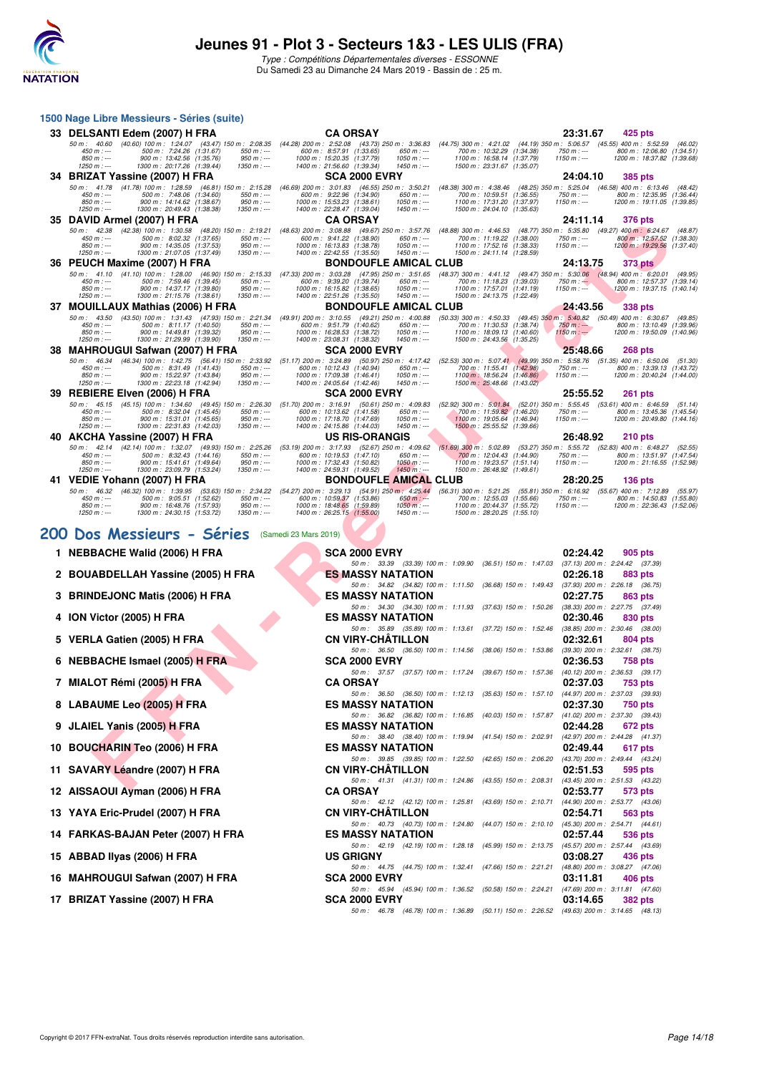

Type : Compétitions Départementales diverses - ESSONNE Du Samedi 23 au Dimanche 24 Mars 2019 - Bassin de : 25 m.

|    | 1500 Nage Libre Messieurs - Séries (suite)                                                                                                                                                                                                                                                            |                                                                                                                                                                                                              |                                                                                                                                                                                          |                                                                                                                                                                       |
|----|-------------------------------------------------------------------------------------------------------------------------------------------------------------------------------------------------------------------------------------------------------------------------------------------------------|--------------------------------------------------------------------------------------------------------------------------------------------------------------------------------------------------------------|------------------------------------------------------------------------------------------------------------------------------------------------------------------------------------------|-----------------------------------------------------------------------------------------------------------------------------------------------------------------------|
|    | 33 DELSANTI Edem (2007) H FRA                                                                                                                                                                                                                                                                         | <b>CA ORSAY</b>                                                                                                                                                                                              |                                                                                                                                                                                          | 23:31.67<br>425 pts                                                                                                                                                   |
|    | 50 m : 40.60 (40.60) 100 m : 1:24.07 (43.47) 150 m : 2:08.35 (44.28) 200 m : 2:52.08<br>500 m: 7:24.26 (1:31.67)<br>$450 m : -$<br>$550 m: -$<br>850 m : ---<br>900 m: 13:42.56 (1:35.76)<br>$950 m : -$<br>$1250 m : -$<br>1300 m: 20:17.26 (1:39.44)<br>$1350 m : -$                                | 600 m: 8:57.91 (1:33.65)<br>$650 m: -$<br>1000 m: 15:20.35 (1:37.79)<br>$1050 m$ : ---<br>1400 m: 21:56.60 (1:39.34)<br>$1450 m: -$                                                                          | (43.73) 250 m : 3:36.83 (44.75) 300 m : 4:21.02 (44.19) 350 m : 5:06.57 (45.55) 400 m : 5:52.59<br>700 m: 10:32.29 (1:34.38)<br>1100 m: 16:58.14 (1:37.79)<br>1500 m: 23:31.67 (1:35.07) | (46.02)<br>750 m : ---<br>800 m: 12:06.80 (1:34.51)<br>1200 m: 18:37.82 (1:39.68)<br>$1150 m: -$                                                                      |
|    | 34 BRIZAT Yassine (2007) H FRA                                                                                                                                                                                                                                                                        | <b>SCA 2000 EVRY</b>                                                                                                                                                                                         |                                                                                                                                                                                          | 24:04.10<br>385 pts                                                                                                                                                   |
|    | 50 m: 41.78 (41.78) 100 m: 1:28.59<br>(46.81) 150 m : 2:15.28<br>$450 m: -$<br>500 m: 7:48.06 (1:34.60)<br>$550 m: -$<br>$850 m: -$<br>900 m: 14:14.62 (1:38.67)<br>$950 m : -$<br>$1250 m : -$<br>1300 m: 20:49.43 (1:38.38)<br>$1350 m : -$                                                         | (46.69) 200 m : 3:01.83 (46.55) 250 m : 3:50.21 (48.38) 300 m : 4:38.46<br>600 m: 9:22.96 (1:34.90)<br>$650 m: -$<br>1000 m: 15:53.23 (1:38.61)<br>$1050 m : -$<br>1400 m: 22:28.47 (1:39.04)<br>$1450 m: -$ | 700 m: 10:59.51 (1:36.55)<br>1100 m: 17:31.20 (1:37.97)<br>1500 m: 24:04.10 (1:35.63)                                                                                                    | (48.25) 350 m: 5:25.04 (46.58) 400 m: 6:13.46 (48.42)<br>$750 m: -$<br>800 m: 12:35.95 (1:36.44)<br>$1150 m: -$<br>1200 m: 19:11.05 (1:39.85)                         |
|    | 35 DAVID Armel (2007) H FRA                                                                                                                                                                                                                                                                           | <b>CA ORSAY</b>                                                                                                                                                                                              |                                                                                                                                                                                          | 24:11.14<br><b>376 pts</b>                                                                                                                                            |
|    | 50 m: 42.38 (42.38) 100 m: 1:30.58 (48.20) 150 m: 2:19.21 (48.63) 200 m: 3:08.88<br>$450 m : -$<br>500 m: 8:02.32 (1:37.65)<br>$550 m: -$<br>$850 m$ : ---<br>900 m: 14:35.05 (1:37.53)<br>$950 m : -$<br>$1350 m : -$<br>$1250 m : -$<br>1300 m: 21:07.05 (1:37.49)                                  | (49.67) 250 m : 3:57.76<br>600 m: 9:41.22 (1:38.90)<br>$650 m$ : ---<br>$1050 m$ : ---<br>1000 m: 16:13.83 (1:38.78)<br>$1450 m: -$<br>1400 m: 22:42.55 (1:35.50)                                            | 700 m: 11:19.22 (1:38.00)<br>1100 m: 17:52.16 (1:38.33)<br>1500 m: 24:11.14 (1:28.59)                                                                                                    | (48.88) 300 m: 4:46.53 (48.77) 350 m: 5:35.80 (49.27) 400 m: 6:24.67 (48.87)<br>750 m : ---<br>800 m: 12:57.52 (1:38.30)<br>$1150 m: -$<br>1200 m: 19:29.56 (1:37.40) |
|    | 36 PEUCH Maxime (2007) H FRA                                                                                                                                                                                                                                                                          | <b>BONDOUFLE AMICAL CLUB</b>                                                                                                                                                                                 |                                                                                                                                                                                          | 24:13.75<br><b>373 pts</b>                                                                                                                                            |
|    | (41.10) 100 m : 1:28.00<br>50 m: 41.10<br>(46.90) 150 m : 2:15.33<br>500 m: 7:59.46 (1:39.45)<br>$450 m: -$<br>$550 m: -$<br>850 m : ---<br>900 m: 14:37.17 (1:39.80)<br>$950 m : -$<br>$1250 m : -$<br>1300 m: 21:15.76 (1:38.61)<br>$1350 m$ : ---                                                  | (47.33) 200 m : 3:03.28<br>(47.95) 250 m : 3:51.65<br>600 m: 9:39.20 (1:39.74)<br>$650 m$ : ---<br>$1050 m : -$<br>1000 m: 16:15.82 (1:38.65)<br>1400 m: 22:51.26 (1:35.50)<br>$1450 m$ : ---                | (48.37) 300 m : 4:41.12 (49.47) 350 m : 5:30.06 (48.94) 400 m : 6:20.01<br>700 m: 11:18.23 (1:39.03)<br>1100 m: 17:57.01 (1:41.19)<br>1500 m: 24:13.75 (1:22.49)                         | (49.95)<br>800 m: 12:57.37 (1:39.14)<br>$750 m: -$<br>1200 m: 19:37.15 (1:40.14)<br>$1150 m: -$                                                                       |
|    | 37 MOUILLAUX Mathias (2006) H FRA                                                                                                                                                                                                                                                                     | <b>BONDOUFLE AMICAL CLUB</b>                                                                                                                                                                                 |                                                                                                                                                                                          | 24:43.56<br>338 pts                                                                                                                                                   |
|    | 50 m: 43.50 (43.50) 100 m: 1:31.43 (47.93) 150 m: 2:21.34 (49.91) 200 m: 3:10.55 (49.21) 250 m: 4:00.88 (50.33) 300 m: 4:50.33 (49.45) 350 m: 5:40.82 (50.49) 400 m: 6:30.67 (49.85)<br>500 m: 8:11.17 (1:40.50)<br>$550 m: -$<br>$450 m: -$<br>900 m: 14:49.81 (1:39.32)<br>$850 m: -$<br>$950 m: -$ | 600 m: 9:51.79 (1:40.62)<br>$650 m: -$<br>$1050 m$ : ---<br>1000 m: 16:28.53 (1:38.72)                                                                                                                       | 700 m: 11:30.53 (1:38.74)<br>1100 m: 18:09.13 (1:40.60)                                                                                                                                  | 800 m: 13:10.49 (1:39.96)<br>750 m : ---<br>1200 m: 19:50.09 (1:40.96)<br>1150 m : ---                                                                                |
|    | $1250 m : -$<br>1300 m: 21:29.99 (1:39.90)<br>$1350 m : -$                                                                                                                                                                                                                                            | 1400 m: 23:08.31 (1:38.32)<br>$1450 m: -$                                                                                                                                                                    | 1500 m: 24:43.56 (1:35.25)                                                                                                                                                               |                                                                                                                                                                       |
|    | 38 MAHROUGUI Safwan (2007) H FRA                                                                                                                                                                                                                                                                      | <b>SCA 2000 EVRY</b>                                                                                                                                                                                         |                                                                                                                                                                                          | 25:48.66<br><b>268 pts</b>                                                                                                                                            |
|    | 50 m: 46.34 (46.34) 100 m: 1:42.75 (56.41) 150 m: 2:33.92 (51.17) 200 m: 3:24.89 (50.97) 250 m: 4:17.42<br>$450 m : -$<br>500 m: 8:31.49 (1:41.43)<br>$550 m: -$<br>$850 m : -$<br>900 m: 15:22.97 (1:43.84)<br>$950 m : -$<br>$1350 m : -$<br>$1250 m : -$<br>1300 m: 22:23.18 (1:42.94)             | 600 m: 10:12.43 (1:40.94)<br>$650 m$ : ---<br>$1050 m : -$<br>1000 m: 17:09.38 (1:46.41)<br>$1450 m : -$<br>1400 m: 24:05.64 (1:42.46)                                                                       | 700 m: 11:55.41 (1:42.98)<br>1100 m : 18:56.24 (1:46.86)<br>1500 m: 25:48.66 (1:43.02)                                                                                                   | (52.53) 300 m: 5:07.41 (49.99) 350 m: 5:58.76 (51.35) 400 m: 6:50.06 (51.30)<br>750 m : ---<br>800 m: 13:39.13 (1:43.72)<br>1200 m: 20:40.24 (1:44.00)<br>$1150 m: -$ |
|    | 39 REBIERE Elven (2006) H FRA                                                                                                                                                                                                                                                                         | <b>SCA 2000 EVRY</b>                                                                                                                                                                                         |                                                                                                                                                                                          | 25:55.52<br><b>261 pts</b>                                                                                                                                            |
|    | 50 m: 45.15<br>(45.15) 100 m : 1:34.60<br>(49.45) 150 m : 2:26.30                                                                                                                                                                                                                                     | (51.70) 200 m : 3:16.91<br>(50.61) 250 m : 4:09.83                                                                                                                                                           | $(52.92)$ 300 m : $5.01.84$                                                                                                                                                              | $(52.01)$ 350 m : 5:55.45<br>$(53.61)$ 400 m : 6:46.59<br>(51.14)                                                                                                     |
|    | $450 m : -$<br>500 m: 8:32.04 (1:45.45)<br>550 m : ---<br>850 m : ---<br>900 m: 15:31.01 (1:45.65)<br>$950 m : -$<br>1300 m: 22:31.83 (1:42.03)<br>$1250 m$ : ---<br>$1350 m : -$                                                                                                                     | 600 m: 10:13.62 (1:41.58)<br>$650 m$ : ---<br>$1050 m : -$<br>1000 m: 17:18.70 (1:47.69)<br>1400 m: 24:15.86 (1:44.03)<br>$1450 m: -$                                                                        | 700 m: 11:59.82 (1:46.20)<br>1100 m: 19:05.64 (1:46.94)<br>1500 m: 25:55.52 (1:39.66)                                                                                                    | 750 m : ---<br>800 m: 13:45.36 (1:45.54)<br>1200 m: 20:49.80 (1:44.16)<br>$1150 m: -$                                                                                 |
|    | 40 AKCHA Yassine (2007) H FRA                                                                                                                                                                                                                                                                         | <b>US RIS-ORANGIS</b>                                                                                                                                                                                        |                                                                                                                                                                                          | 26:48.92<br><b>210 pts</b>                                                                                                                                            |
|    | 50 m: 42.14 (42.14) 100 m: 1:32.07 (49.93) 150 m: 2:25.26<br>500 m: 8:32.43 (1:44.16)<br>$450 m: -$<br>$550 m: -$<br>$850 m: -$<br>900 m: 15:41.61 (1:49.64)<br>$950 m: -$<br>$1250 m : -$<br>1300 m: 23:09.79 (1:53.24)<br>$1350 m : -$                                                              | (53.19) 200 m : 3:17.93 (52.67) 250 m : 4:09.62<br>600 m: 10:19.53 (1:47.10)<br>$650 m: -$<br>1000 m: 17:32.43 (1:50.82)<br>$1050 m: -$<br>1400 m: 24:59.31 (1:49.52)<br>$1450 m: -$                         | $(51.69)$ 300 m : 5:02.89<br>700 m: 12:04.43 (1:44.90)<br>1100 m: 19:23.57 (1:51.14)<br>1500 m: 26:48.92 (1:49.61)                                                                       | (53.27) 350 m : 5:55.72 (52.83) 400 m : 6:48.27 (52.55)<br>800 m: 13:51.97 (1:47.54)<br>$750 m: -$<br>$1150 m: -$<br>1200 m: 21:16.55 (1:52.98)                       |
|    | 41 VEDIE Yohann (2007) H FRA                                                                                                                                                                                                                                                                          | <b>BONDOUFLE AMICAL CLUB</b>                                                                                                                                                                                 |                                                                                                                                                                                          | 28:20.25<br><b>136 pts</b>                                                                                                                                            |
|    | 50 m: 46.32 (46.32) 100 m: 1:39.95 (53.63) 150 m: 2:34.22 (54.27) 200 m: 3:29.13                                                                                                                                                                                                                      | $(54.91)$ 250 m : 4:25.44                                                                                                                                                                                    |                                                                                                                                                                                          | (56.31) 300 m: 5:21.25 (55.81) 350 m: 6:16.92 (55.67) 400 m: 7:12.89 (55.97                                                                                           |
|    | 500 m: 9:05.51 (1:52.62)<br>$450 m : -$<br>$550 m: -$<br>$850 m$ : ---<br>900 m: 16:48.76 (1:57.93)<br>$950 m : -$<br>1300 m: 24:30.15 (1:53.72)<br>$1350 m : -$<br>$1250 m : -$                                                                                                                      | 600 m: 10:59.37 (1:53.86)<br>$650 m: -$<br>1000 m: 18:48.65 (1:59.89)<br>$1050 m$ : ---<br>$1450 m$ : ---<br>1400 m: 26:25.15 (1:55.00)                                                                      | 700 m: 12:55.03 (1:55.66)<br>1100 m: 20:44.37 (1:55.72)<br>1500 m: 28:20.25 (1:55.10)                                                                                                    | $750 m: -$<br>800 m: 14:50.83 (1:55.80)<br>$1150 m: -$<br>1200 m: 22:36.43 (1:52.06)                                                                                  |
|    | 200 Dos Messieurs - Séries                                                                                                                                                                                                                                                                            | (Samedi 23 Mars 2019)                                                                                                                                                                                        |                                                                                                                                                                                          |                                                                                                                                                                       |
|    | 1 NEBBACHE Walid (2006) H FRA                                                                                                                                                                                                                                                                         | <b>SCA 2000 EVRY</b>                                                                                                                                                                                         |                                                                                                                                                                                          | 02:24.42<br>905 pts                                                                                                                                                   |
|    |                                                                                                                                                                                                                                                                                                       |                                                                                                                                                                                                              | 50 m: 33.39 (33.39) 100 m: 1:09.90 (36.51) 150 m: 1:47.03                                                                                                                                | (37.13) 200 m : 2:24.42 (37.39)                                                                                                                                       |
| 2  | <b>BOUABDELLAH Yassine (2005) H FRA</b>                                                                                                                                                                                                                                                               | <b>ES MASSY NATATION</b>                                                                                                                                                                                     |                                                                                                                                                                                          | 02:26.18<br><b>883 pts</b>                                                                                                                                            |
|    | 3 BRINDEJONC Matis (2006) H FRA                                                                                                                                                                                                                                                                       | <b>ES MASSY NATATION</b>                                                                                                                                                                                     | 50 m: 34.82 (34.82) 100 m: 1:11.50 (36.68) 150 m: 1:49.43                                                                                                                                | $(37.93)$ 200 m : 2:26.18 $(36.75)$<br>02:27.75<br><b>863 pts</b>                                                                                                     |
|    |                                                                                                                                                                                                                                                                                                       |                                                                                                                                                                                                              | 50 m: 34.30 (34.30) 100 m: 1:11.93 (37.63) 150 m: 1:50.26                                                                                                                                | (38.33) 200 m : 2:27.75 (37.49)                                                                                                                                       |
|    | 4 ION Victor (2005) H FRA                                                                                                                                                                                                                                                                             | <b>ES MASSY NATATION</b>                                                                                                                                                                                     | 50 m: 35.89 (35.89) 100 m: 1:13.61 (37.72) 150 m: 1:52.46                                                                                                                                | 02:30.46<br>830 pts<br>$(38.85)$ 200 m : 2:30.46 $(38.00)$                                                                                                            |
|    | 5 VERLA Gatien (2005) H FRA                                                                                                                                                                                                                                                                           | <b>CN VIRY-CHATILLON</b>                                                                                                                                                                                     | 50 m: 36.50 (36.50) 100 m: 1:14.56 (38.06) 150 m: 1:53.86                                                                                                                                | 02:32.61<br>804 pts<br>$(39.30)$ 200 m : 2:32.61 $(38.75)$                                                                                                            |
|    | 6 NEBBACHE Ismael (2005) H FRA                                                                                                                                                                                                                                                                        | SCA 2000 EVRY                                                                                                                                                                                                |                                                                                                                                                                                          | 02:36.53<br>758 pts                                                                                                                                                   |
|    | 7 MIALOT Rémi (2005) H FRA                                                                                                                                                                                                                                                                            | <b>CA ORSAY</b>                                                                                                                                                                                              | 50 m: 37.57 (37.57) 100 m: 1:17.24 (39.67) 150 m: 1:57.36                                                                                                                                | $(40.12)$ 200 m : 2:36.53 $(39.17)$<br>02:37.03<br><b>753 pts</b>                                                                                                     |
|    |                                                                                                                                                                                                                                                                                                       |                                                                                                                                                                                                              | 50 m: 36.50 (36.50) 100 m: 1:12.13 (35.63) 150 m: 1:57.10                                                                                                                                | $(44.97)$ 200 m : 2:37.03 (39.93)                                                                                                                                     |
|    | 8 LABAUME Leo (2005) H FRA                                                                                                                                                                                                                                                                            | <b>ES MASSY NATATION</b>                                                                                                                                                                                     | 50 m: 36.82 (36.82) 100 m: 1:16.85 (40.03) 150 m: 1:57.87 (41.02) 200 m: 2:37.30 (39.43)                                                                                                 | 02:37.30<br>750 pts                                                                                                                                                   |
|    | 9 JLAIEL Yanis (2005) H FRA                                                                                                                                                                                                                                                                           | <b>ES MASSY NATATION</b>                                                                                                                                                                                     | 50 m : 38.40 (38.40) 100 m : 1:19.94 (41.54) 150 m : 2:02.91                                                                                                                             | 02:44.28<br>672 pts<br>(42.97) 200 m : 2:44.28 (41.37)                                                                                                                |
| 10 | <b>BOUCHARIN Teo (2006) H FRA</b>                                                                                                                                                                                                                                                                     | <b>ES MASSY NATATION</b>                                                                                                                                                                                     |                                                                                                                                                                                          | 02:49.44<br>617 pts                                                                                                                                                   |
|    | 11 SAVARY Léandre (2007) H FRA                                                                                                                                                                                                                                                                        | <b>CN VIRY-CHATILLON</b>                                                                                                                                                                                     | 50 m : 39.85 (39.85) 100 m : 1:22.50 (42.65) 150 m : 2:06.20                                                                                                                             | (43.70) 200 m : 2:49.44 (43.24)<br>02:51.53<br>595 pts                                                                                                                |
|    | 10. AICCAOULAUMAN (000C) LI EDA                                                                                                                                                                                                                                                                       | <b>CA ODCAV</b>                                                                                                                                                                                              | 50 m: 41.31 (41.31) 100 m: 1:24.86 (43.55) 150 m: 2:08.31                                                                                                                                | (43.45) 200 m : 2:51.53 (43.22)<br>00.5077                                                                                                                            |

50 m : 42.19 (42.19) 100 m : 1:28.18 (45.99) 150 m : 2:13.75 (45.57) 200 m : 2:57.44 (43.6<br>US GRIGNY 03:08.27 436 pts

50 m : 44.75 (44.75) 100 m : 1:32.41 (47.66) 150 m : 2:21.21 (48.80) 200 m : 3:08.27 (47.06)<br>**SCA 2000 EVRY** 03:11.81 406 pts

50 m : 45.94 (45.94) 100 m : 1:36.52 (50.58) 150 m : 2:24.21 (47.69) 200 m : 3:11.81 (47.60)<br> **SCA 2000 EVRY** 03:14.65 382 pts

50 m : 46.78 (46.78) 100 m : 1:36.89 (50.11) 150 m : 2:26.52 (49.63) 200 m : 3:14.65 (48.13)

 $50 m$ : 41.31 (41.31) 100 m : 1:24.86 (43.55) 150 m : 2:08.31 (43.45) 200 m : <br>CA ORSAY 02:53.77

-<br>42.12 (42.12) 100 m : 1:25.81 (43.69) 150 m : 2:10.71

50 m : 40.73 (40.73) 100 m : 1:24.80 (44.07) 150 m : 2:10.10<br>**ES MASSY NATATION** 

- **6 NEBBACHE Ismael (2005) H FRA SCA 2000 EVRY 6 2000 EVRY** 02:36.53 758 pts
- **7 MIALOT Rémi (2005) H FRA CA ORSAY 02:37.03 753 pts**
- **8 LABAUME Leo (2005) H FRA** ES MASSY NATATION **02:37.30 750 pts**<br>  $50 m: 36.82$  (36.82) 100 m: 1:16.85 (40.03) 150 m: 1:57.87 (41.02) 200 m: 2:37.30 (39.43)
- **9 JLAIEL Yanis (2005) H FRA** ES MASSY NATATION **02:44.28** 672 pts 50 m : 38.40 (38.40) 100 m : 1:19.94 (41.54) 150 m : 2:02.91 (42.97) 200 m : 2:44.28 (41.37)
- **10 BOUCHARIN Teo (2006) H FRA ES MASSY NATATION 02:49.44 617 pts**
- **11 SAVARY Léandre (2007) H FRA CN VIRY-CHÂTILLON 02:51.53 595 pts 695 pts 595 pts 596 pts 596 pts 596 pts 596 pts 596 pts 596 pts 596 pts 596 pts 596 pts 60 pt**: **41.31 (41.31) 100 m**: **1**
- **12 AISSAOUI Ayman (2006) H FRA CA ORSAY 12.12 (42.12) 100 m: 1:25.81 (43.69) 150 m: 2:10.71 <b>02:53.77 573 pts**<br> **60 m:** 42.12 (42.12) 100 m: 1:25.81 (43.69) 150 m: 2:10.71 (44.90) 200 m: 2:53.77 (43.06)
- **13 YAYA Eric-Prudel (2007) H FRA** CN VIRY-CHÂTILLON **02:54.71** 563 pts<br>
50 m: 40.73 (40.73) 100 m: 1:24.80 (44.07) 150 m: 2:10.10 (45.30) 200 m: 2:54.71 (44.61)
- **14 FARKAS-BAJAN Peter (2007) H FRA** ES MASSY NATATION **02:57.44** 536 pts<br>
536 pts 536 pts 576 pts 57.44 536 pts 57.44 536 pts 57.44 536 pts 57.44 536 pts 57.44 536 pts 57.44 536 pts 57.44 536 pts 57.44 536 pts 57.44 536 p
- **15 ABBAD IIyas (2006) H FRA 15 ABBAD IIYas (2006) H FRA 15 ABBAD IIVas (2006) 2011 1:32 11 Altr** 50 m: 44.75 (44.75) 100 m: 1:32.41 (47.66) 150 m: 2:21.21 (48.80) 200 m: 3:08.27 (47.06)
- 16 MAHROUGUI Safwan (2007) H FRA
- **17 BRIZAT Yassine (2007) H FRA SCA 2000 EVRY 03:14.65 382 pts**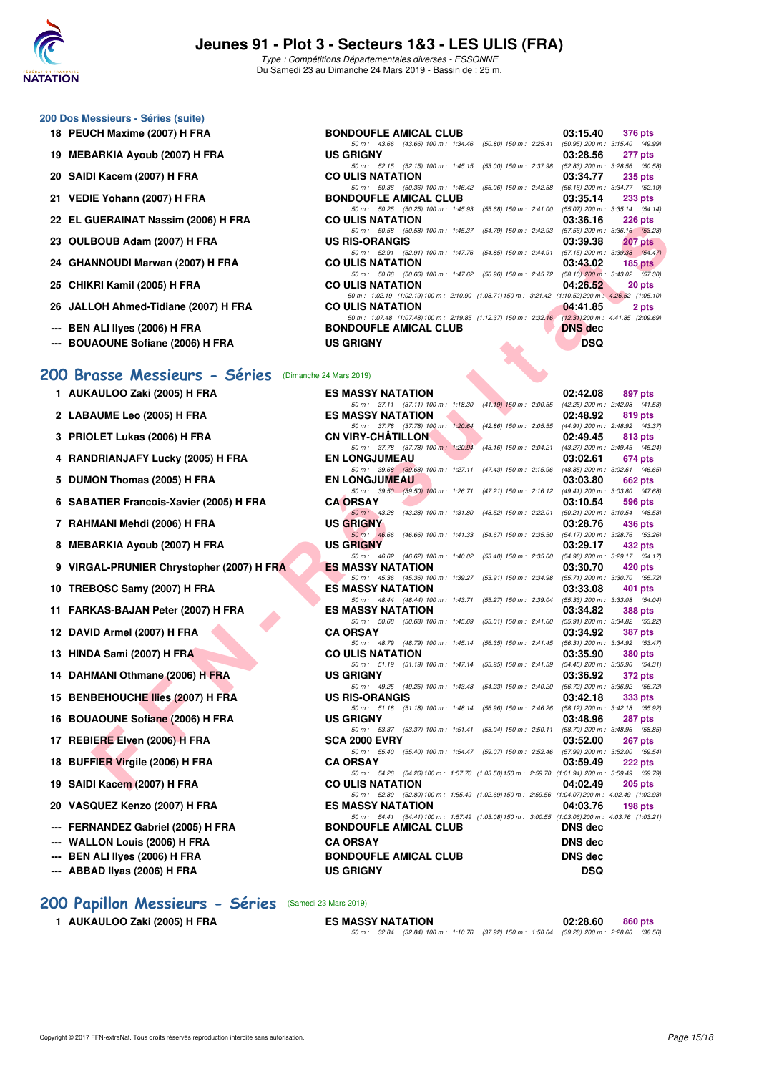

Type : Compétitions Départementales diverses - ESSONNE Du Samedi 23 au Dimanche 24 Mars 2019 - Bassin de : 25 m.

#### **200 Dos Messieurs - Séries (suite)**

- 
- 19 **MEBARKIA Ayoub (2007) H FRA** U
- **20 SAIDI Kacem (2007) H FRA CO ULIS NATATION 03:34.77 PTS**
- **21 VEDIE Yohann (2007) H FRA BONDOUF**
- **22 EL GUERAINAT Nassim (2006) H FRA CO**
- **23 OULBOUB Adam (2007) H FRA US RIS-ORANGIS ON RIS-**
- **24 GHANNOUDI Marwan (2007) H FRA CO**
- **25 CHIKRI Kamil (2005) H FRA CO ULIS NATA CO ULIS NATA CO ULIS NATA CO ULIS NATA CO ULIS NATA CO ULIS NATA CO**
- 26 JALLOH Ahmed-Tidiane (2007) H FRA C
- **--- BEN ALI IIyes (2006) H FRA BONDOW BOOTS**
- **--- BOUAOUNE Sofiane (2006) H FRA** U

#### **[200 Brasse Messieurs - Séries](http://www.ffnatation.fr/webffn/resultats.php?idact=nat&go=epr&idcpt=59529&idepr=73)** (Dimanche 24 Mars 2019)

- **1 AUKAULOO Zaki (2005) H FRA**
- **2 LABAUME Leo (2005) H FRA ES MASSY NATATION 02:48.92 819 pts**
- **3 PRIOLET Lukas (2006) H FRA**
- **4 RANDRIANJAFY Lucky (2005) H FRA**
- 5 DUMON Thomas (2005) H FRA
- **6 SABATIER Francois-Xavier (2005) H FRA**
- **7 RAHMANI Mehdi (2006) H FRA**
- 8 MEBARKIA Ayoub (2007) **H FRA**
- **9 VIRGAL-PRUNIER Chrystopher (2007) H FRA**
- **10 TREBOSC Samy (2007) H FRA**
- 11 FARKAS-BAJAN Peter (2007) H FRA
- **12 DAVID Armel (2007) H FRA**
- **13 HINDA Sami (2007) H FRA**
- **14 DAHMANI Othmane (2006) H FRA**
- **15 BENBEHOUCHE Ilies (2007) H FRA**
- **16 BOUAOUNE Sofiane (2006) H FRA**
- **17 REBIERE Elven (2006) H FRA**
- **18 BUFFIER Virgile (2006) H FRA**
- **19 SAIDI Kacem (2007) H FRA**
- 20 VASQUEZ Kenzo (2007) H FRA
- **--- FERNANDEZ Gabriel (2005) H FRA**
- **--- WALLON Louis (2006) H FRA**
- **--- BEN ALI IIves (2006) H FRA**
- 

#### **[200 Papillon Messieurs - Séries](http://www.ffnatation.fr/webffn/resultats.php?idact=nat&go=epr&idcpt=59529&idepr=83)** (Samedi 23 Mars 2019)

| 18 PEUCH Maxime (2007) H FRA         | <b>BONDOUFLE AMICAL CLUB</b>                                                                      |                   | 03:15.40       | 376 pts                        |
|--------------------------------------|---------------------------------------------------------------------------------------------------|-------------------|----------------|--------------------------------|
|                                      | 50 m: 43.66 (43.66) 100 m: 1:34.46 (50.80) 150 m: 2:25.41 (50.95) 200 m: 3:15.40 (49.99           |                   |                |                                |
| 19 MEBARKIA Ayoub (2007) H FRA       | <b>US GRIGNY</b>                                                                                  |                   | 03:28.56       | 277 pts                        |
|                                      | 50 m: 52.15 (52.15) 100 m: 1:45.15 (53.00) 150 m: 2:37.98 (52.83) 200 m: 3:28.56 (50.58           |                   |                |                                |
| 20 SAIDI Kacem (2007) H FRA          | <b>CO ULIS NATATION</b>                                                                           |                   | 03:34.77       | 235 pts                        |
|                                      | 50 m : 50.36 (50.36) 100 m : 1:46.42 (56.06) 150 m : 2:42.58                                      |                   |                | (56.16) 200 m : 3:34.77 (52.19 |
| 21 VEDIE Yohann (2007) H FRA         | <b>BONDOUFLE AMICAL CLUB</b>                                                                      |                   |                | $03:35.14$ 233 pts             |
|                                      | 50 m: 50.25 (50.25) 100 m: 1:45.93 (55.68) 150 m: 2:41.00 (55.07) 200 m: 3:35.14 (54.14           |                   |                |                                |
| 22 EL GUERAINAT Nassim (2006) H FRA  | <b>CO ULIS NATATION</b>                                                                           |                   | 03:36.16       | 226 pts                        |
|                                      | 50 m: 50.58 (50.58) 100 m: 1:45.37 (54.79) 150 m: 2:42.93 (57.56) 200 m: 3:36.16 (53.23           |                   |                |                                |
| 23 OULBOUB Adam (2007) H FRA         | <b>US RIS-ORANGIS</b>                                                                             |                   | 03:39.38       | <b>207 pts</b>                 |
|                                      | 50 m: 52.91 (52.91) 100 m: 1:47.76 (54.85) 150 m: 2:44.91 (57.15) 200 m: 3:39.38 (54.47           |                   |                |                                |
| 24 GHANNOUDI Marwan (2007) H FRA     | <b>CO ULIS NATATION</b>                                                                           |                   | 03:43.02       | <b>185 pts</b>                 |
|                                      | 50 m: 50.66 (50.66) 100 m: 1:47.62 (56.96) 150 m: 2:45.72 (58.10) 200 m: 3:43.02 (57.30           |                   |                |                                |
| 25 CHIKRI Kamil (2005) H FRA         | <b>CO ULIS NATATION</b>                                                                           |                   | 04:26.52       | 20 pts                         |
|                                      | 50 m: 1:02.19 (1:02.19) 100 m: 2:10.90 (1:08.71) 150 m: 3:21.42 (1:10.52) 200 m: 4:26.52 (1:05.10 |                   |                |                                |
| 26 JALLOH Ahmed-Tidiane (2007) H FRA | <b>CO ULIS NATATION</b>                                                                           |                   | 04:41.85       | 2 pts                          |
|                                      | 50 m: 1:07.48 (1:07.48) 100 m: 2:19.85 (1:12.37) 150 m: 2:32.16 (12.31) 200 m: 4:41.85 (2:09.69   |                   |                |                                |
| --- BEN ALI Ilyes (2006) H FRA       | <b>BONDOUFLE AMICAL CLUB</b>                                                                      |                   | <b>DNS</b> dec |                                |
| --- BOUAOUNE Sofiane (2006) H FRA    | <b>US GRIGNY</b>                                                                                  | <b>CONTRACTOR</b> | <b>DSQ</b>     |                                |

| ZZ EL GUENAINAT NASSIIII (ZUUO) ITENA                | <u>UU ULIJ INATATIUN</u><br>03.30.IU                                                                                                             | ZZU DIS        |
|------------------------------------------------------|--------------------------------------------------------------------------------------------------------------------------------------------------|----------------|
| 23 OULBOUB Adam (2007) H FRA                         | 50 m: 50.58 (50.58) 100 m: 1:45.37 (54.79) 150 m: 2:42.93 (57.56) 200 m: 3:36.16 (53.23)<br><b>US RIS-ORANGIS</b><br>03:39.38                    | <b>207 pts</b> |
| 24   GHANNOUDI Marwan (2007) H FRA                   | 50 m: 52.91 (52.91) 100 m: 1:47.76 (54.85) 150 m: 2:44.91 (57.15) 200 m: 3:39.38 (54.47)<br><b>CO ULIS NATATION</b><br>03:43.02                  | $185$ pts      |
|                                                      | 50 m: 50.66 (50.66) 100 m: 1:47.62 (56.96) 150 m: 2:45.72 (58.10) 200 m: 3:43.02 (57.30)                                                         |                |
| 25 CHIKRI Kamil (2005) H FRA                         | <b>CO ULIS NATATION</b><br>04:26.52                                                                                                              | 20 pts         |
| 26 JALLOH Ahmed-Tidiane (2007) H FRA                 | 50 m: 1:02.19 (1:02.19) 100 m: 2:10.90 (1:08.71) 150 m: 3:21.42 (1:10.52) 200 m: 4:26.52 (1:05.10)<br><b>CO ULIS NATATION</b><br>04:41.85        | 2 pts          |
|                                                      | 50 m: 1:07.48 (1:07.48) 100 m: 2:19.85 (1:12.37) 150 m: 2:32.16 (12.31) 200 m: 4:41.85 (2:09.69)                                                 |                |
| --- BEN ALI Ilyes (2006) H FRA                       | <b>BONDOUFLE AMICAL CLUB</b><br><b>DNS</b> dec                                                                                                   |                |
| --- BOUAOUNE Sofiane (2006) H FRA                    | <b>US GRIGNY</b><br><b>DSQ</b>                                                                                                                   |                |
| 00 Brasse Messieurs - Séries (Dimanche 24 Mars 2019) |                                                                                                                                                  |                |
| 1 AUKAULOO Zaki (2005) H FRA                         | <b>ES MASSY NATATION</b><br>02:42.08                                                                                                             | 897 pts        |
|                                                      | 50 m: 37.11 (37.11) 100 m: 1:18.30 (41.19) 150 m: 2:00.55 (42.25) 200 m: 2:42.08 (41.53)                                                         |                |
| 2 LABAUME Leo (2005) H FRA                           | <b>ES MASSY NATATION</b><br>02:48.92<br>(42.86) 150 m : 2:05.55 (44.91) 200 m : 2:48.92 (43.37)<br>50 m: 37.78 (37.78) 100 m: 1:20.64            | 819 pts        |
| 3 PRIOLET Lukas (2006) H FRA                         | <b>CN VIRY-CHATILLON</b><br>02:49.45                                                                                                             | <b>813 pts</b> |
|                                                      | 50 m: 37.78 (37.78) 100 m: 1:20.94<br>(43.16) 150 m : 2:04.21<br>(43.27) 200 m : 2:49.45 (45.24)                                                 |                |
| 4 RANDRIANJAFY Lucky (2005) H FRA                    | <b>EN LONGJUMEAU</b><br>03:02.61<br>50 m: 39.68 (39.68) 100 m: 1:27.11 (47.43) 150 m: 2:15.96<br>$(48.85)$ 200 m : 3:02.61 $(46.65)$             | 674 pts        |
| 5 DUMON Thomas (2005) H FRA                          | <b>EN LONGJUMEAU</b><br>03:03.80                                                                                                                 | 662 pts        |
|                                                      | 50 m: 39.50 (39.50) 100 m: 1:26.71 (47.21) 150 m: 2:16.12<br>$(49.41)$ 200 m : 3:03.80 $(47.68)$                                                 |                |
| 6 SABATIER Francois-Xavier (2005) H FRA              | <b>CA ORSAY</b><br>03:10.54                                                                                                                      | 596 pts        |
| 7 RAHMANI Mehdi (2006) H FRA                         | 50 m: 43.28 (43.28) 100 m: 1:31.80<br>(48.52) 150 m : 2:22.01<br>$(50.21)$ 200 m : 3:10.54 $(48.53)$<br><b>US GRIGNY</b><br>03:28.76             | 436 pts        |
|                                                      | $50 m$ : 46.66<br>(46.66) 100 m : 1:41.33<br>$(54.67)$ 150 m : 2:35.50<br>(54.17) 200 m : 3:28.76 (53.26)                                        |                |
| 8 MEBARKIA Ayoub (2007) H FRA                        | <b>US GRIGNY</b><br>03:29.17                                                                                                                     | 432 pts        |
|                                                      | 50 m: 46.62 (46.62) 100 m: 1:40.02<br>$(53.40)$ 150 m : 2:35.00<br>$(54.98)$ 200 m : 3:29.17 $(54.17)$                                           |                |
| 9 VIRGAL-PRUNIER Chrystopher (2007) H FRA            | <b>ES MASSY NATATION</b><br>03:30.70<br>50 m: 45.36 (45.36) 100 m: 1:39.27<br>$(53.91)$ 150 m : 2:34.98<br>(55.71) 200 m : 3:30.70 (55.72)       | 420 pts        |
| 10 TREBOSC Samy (2007) H FRA                         | <b>ES MASSY NATATION</b><br>03:33.08                                                                                                             | 401 pts        |
|                                                      | 50 m: 48.44 (48.44) 100 m: 1:43.71 (55.27) 150 m: 2:39.04 (55.33) 200 m: 3:33.08 (54.04)                                                         |                |
| 11 FARKAS-BAJAN Peter (2007) H FRA                   | <b>ES MASSY NATATION</b><br>03:34.82<br>50 m: 50.68 (50.68) 100 m: 1:45.69<br>$(55.01)$ 150 m : 2:41.60<br>$(55.91)$ 200 m : 3:34.82 $(53.22)$   | <b>388 pts</b> |
| 12 DAVID Armel (2007) H FRA                          | <b>CA ORSAY</b><br>03:34.92                                                                                                                      | <b>387 pts</b> |
|                                                      | 50 m: 48.79 (48.79) 100 m: 1:45.14 (56.35) 150 m: 2:41.45 (56.31) 200 m: 3:34.92 (53.47)                                                         |                |
| 13 HINDA Sami (2007) H FRA                           | <b>CO ULIS NATATION</b><br>03:35.90<br>50 m: 51.19 (51.19) 100 m: 1.47.14 (55.95) 150 m: 2.41.59 (54.45) 200 m: 3.35.90 (54.31)                  | <b>380 pts</b> |
| 14 DAHMANI Othmane (2006) H FRA                      | <b>US GRIGNY</b><br>03:36.92                                                                                                                     | 372 pts        |
|                                                      | 50 m: 49.25 (49.25) 100 m: 1:43.48 (54.23) 150 m: 2:40.20 (56.72) 200 m: 3:36.92 (56.72)                                                         |                |
| 15 BENBEHOUCHE Ilies (2007) H FRA                    | <b>US RIS-ORANGIS</b><br>03:42.18                                                                                                                | 333 pts        |
| 16 BOUAOUNE Sofiane (2006) H FRA                     | 50 m: 51.18 (51.18) 100 m: 1:48.14 (56.96) 150 m: 2:46.26<br>(58.12) 200 m : 3:42.18 (55.92)<br><b>US GRIGNY</b><br>03:48.96                     | <b>287 pts</b> |
|                                                      | 50 m: 53.37 (53.37) 100 m: 1:51.41 (58.04) 150 m: 2:50.11 (58.70) 200 m: 3:48.96 (58.85)                                                         |                |
| 17 REBIERE Elven (2006) H FRA                        | <b>SCA 2000 EVRY</b><br>03:52.00                                                                                                                 | 267 pts        |
| 18 BUFFIER Virgile (2006) H FRA                      | 50 m: 55.40 (55.40) 100 m: 1:54.47 (59.07) 150 m: 2:52.46 (57.99) 200 m: 3:52.00 (59.54)<br><b>CA ORSAY</b><br>03:59.49                          | 222 pts        |
|                                                      | 50 m: 54.26 (54.26) 100 m: 1:57.76 (1:03.50) 150 m: 2:59.70 (1:01.94) 200 m: 3:59.49 (59.79)                                                     |                |
| 19 SAIDI Kacem (2007) H FRA                          | <b>CO ULIS NATATION</b><br>04:02.49                                                                                                              | $205$ pts      |
| 20 VASQUEZ Kenzo (2007) H FRA                        | 50 m: 52.80 (52.80) 100 m: 1:55.49 (1:02.69) 150 m: 2:59.56 (1:04.07) 200 m: 4:02.49 (1:02.93)<br><b>ES MASSY NATATION</b><br>04:03.76           | 198 $pts$      |
| --- FERNANDEZ Gabriel (2005) H FRA                   | 50 m: 54.41 (54.41) 100 m: 1:57.49 (1:03.08) 150 m: 3:00.55 (1:03.06) 200 m: 4:03.76 (1:03.21)<br><b>BONDOUFLE AMICAL CLUB</b><br><b>DNS</b> dec |                |
| --- WALLON Louis (2006) H FRA                        | <b>CA ORSAY</b><br><b>DNS</b> dec                                                                                                                |                |
| --- BEN ALI Ilyes (2006) H FRA                       | <b>BONDOUFLE AMICAL CLUB</b><br><b>DNS dec</b>                                                                                                   |                |
| --- ABBAD IIyas (2006) H FRA                         | <b>US GRIGNY</b><br><b>DSQ</b>                                                                                                                   |                |
|                                                      |                                                                                                                                                  |                |

**1 AUKAULOO Zaki (2005) H FRA ES MASSY NATATION 02:28.60 860 pts**

50 m : 32.84 (32.84) 100 m : 1:10.76 (37.92) 150 m : 1:50.04 (39.28) 200 m : 2:28.60 (38.56)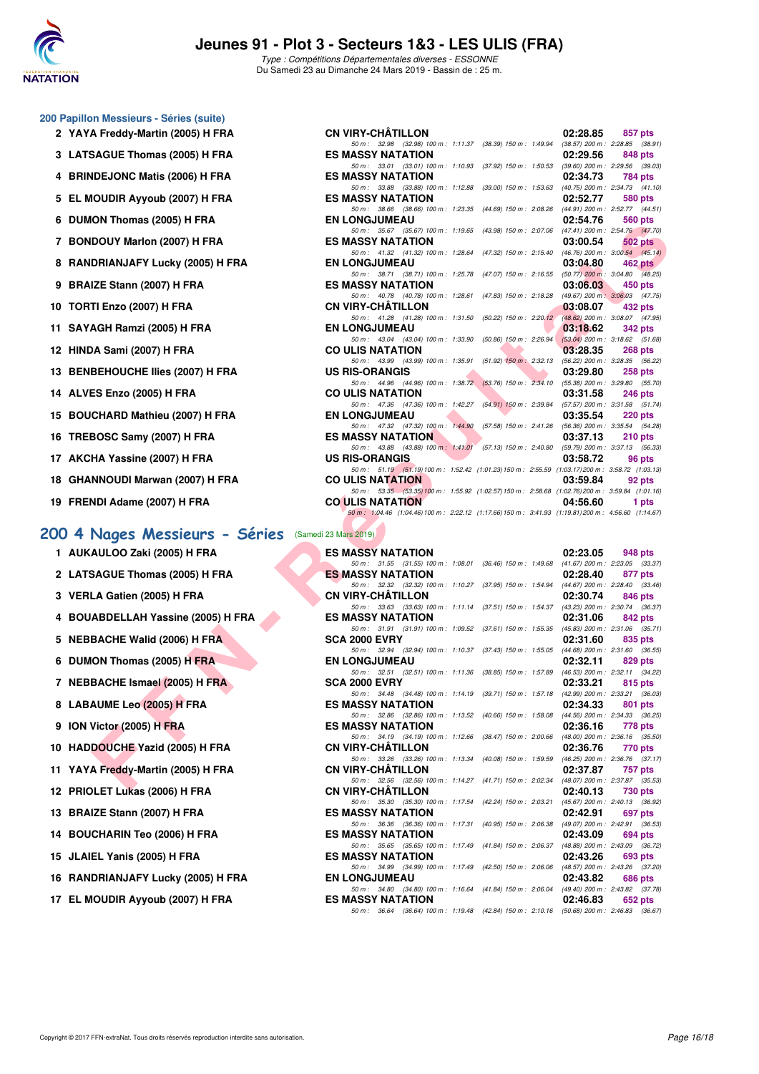

#### **200 Papillon Messieurs - Séries (suite)**

- 2 YAYA Freddy-Martin (2005) H FRA
- **3 LATSAGUE Thomas (2005) H FRA**
- **4 BRINDEJONC Matis (2006) H FRA**
- 5 EL MOUDIR Ayyoub (2007) H FRA
- **6 DUMON Thomas (2005) H FRA**
- 7 BONDOUY Marlon (2007) H FRA
- **8 RANDRIANJAFY Lucky (2005) H FRA**
- **9 BRAIZE Stann (2007) H FRA**
- **10 TORTI Enzo (2007) H FRA**
- **11 SAYAGH Ramzi (2005) H FRA**
- **12 HINDA Sami (2007) H FRA**
- **13 BENBEHOUCHE Ilies (2007) H FRA**
- **14 ALVES Enzo (2005) H FRA**
- 15 BOUCHARD Mathieu (2007) H FRA
- **16 TREBOSC Samy (2007) H FRA**
- 17 AKCHA Yassine (2007) H FRA
- **18 GHANNOUDI Marwan (2007) H FRA**
- **19 FRENDI Adame (2007) H FRA**

#### **[200 4 Nages Messieurs - Séries](http://www.ffnatation.fr/webffn/resultats.php?idact=nat&go=epr&idcpt=59529&idepr=91)** (Samedi 23 Mars 2019)

| 1 AUKAULOO Zaki (2005) H FRA  |
|-------------------------------|
| 2 LATSAGUE Thomas (2005) H FR |

- **3 VERLA Gatien (2005) H FRA**
- **4 BOUABDELLAH Yassine (2005) H FRA**
- **5 NEBBACHE Walid (2006) H FRA**
- **6 DUMON Thomas (2005) H FRA**
- **7 NEBBACHE Ismael (2005) H FRA**
- **8 LABAUME Leo (2005) H FRA**
- **9 ION Victor (2005) H FRA**
- **10 HADDOUCHE Yazid (2005) H FRA**
- 11 YAYA Freddy-Martin (2005) H FRA
- **12 PRIOLET Lukas (2006) H FRA**
- **13 BRAIZE Stann (2007) H FRA**
- 14 BOUCHARIN Teo (2006) H FRA
- **15 JLAIEL Yanis (2005) H FRA**
- **16 RANDRIANJAFY Lucky (2005) H FRA**
- 17 EL MOUDIR Ayyoub (2007) H FRA

| <b>n Messieurs - Series (suite)</b>                                                     |                                                                                                                               |                                                        |
|-----------------------------------------------------------------------------------------|-------------------------------------------------------------------------------------------------------------------------------|--------------------------------------------------------|
| A Freddy-Martin (2005) H FRA                                                            | <b>CN VIRY-CHATILLON</b>                                                                                                      | 02:28.85<br>857 pts                                    |
| SAGUE Thomas (2005) H FRA                                                               | 50 m: 32.98 (32.98) 100 m: 1:11.37 (38.39) 150 m: 1:49.94 (38.57) 200 m: 2:28.85 (38.91)<br><b>ES MASSY NATATION</b>          | 02:29.56<br>848 pts                                    |
|                                                                                         | 50 m: 33.01 (33.01) 100 m: 1:10.93 (37.92) 150 m: 1:50.53 (39.60) 200 m: 2:29.56 (39.03)                                      |                                                        |
| IDEJONC Matis (2006) H FRA                                                              | <b>ES MASSY NATATION</b><br>50 m: 33.88 (33.88) 100 m: 1:12.88 (39.00) 150 m: 1:53.63 (40.75) 200 m: 2:34.73 (41.10)          | 02:34.73<br>784 pts                                    |
| IOUDIR Ayyoub (2007) H FRA                                                              | <b>ES MASSY NATATION</b>                                                                                                      | 02:52.77<br>580 pts                                    |
|                                                                                         | 50 m: 38.66 (38.66) 100 m: 1:23.35 (44.69) 150 m: 2:08.26 (44.91) 200 m: 2:52.77 (44.51)                                      |                                                        |
| ION Thomas (2005) H FRA                                                                 | <b>EN LONGJUMEAU</b><br>50 m: 35.67 (35.67) 100 m: 1:19.65 (43.98) 150 m: 2:07.06 (47.41) 200 m: 2:54.76 (47.70)              | 02:54.76<br>560 pts                                    |
| DOUY Marlon (2007) H FRA                                                                | <b>ES MASSY NATATION</b>                                                                                                      | 03:00.54<br>502 pts                                    |
| DRIANJAFY Lucky (2005) H FRA                                                            | 50 m: 41.32 (41.32) 100 m: 1:28.64 (47.32) 150 m: 2:15.40 (46.76) 200 m: 3:00.54 (45.14)<br><b>EN LONGJUMEAU</b>              | 03:04.80<br>$462 \text{ pts}$                          |
|                                                                                         | 50 m: 38.71 (38.71) 100 m: 1:25.78 (47.07) 150 m: 2:16.55 (50.77) 200 m: 3:04.80 (48.25)                                      |                                                        |
| IZE Stann (2007) H FRA                                                                  | <b>ES MASSY NATATION</b><br>50 m: 40.78 (40.78) 100 m: 1:28.61 (47.83) 150 m: 2:18.28 (49.67) 200 m: 3:06.03 (47.75)          | 03:06.03<br>450 pts                                    |
| TI Enzo (2007) H FRA                                                                    | <b>CN VIRY-CHATILLON</b>                                                                                                      | 03:08.07<br>432 pts                                    |
|                                                                                         | 50 m: 41.28 (41.28) 100 m: 1:31.50 (50.22) 150 m: 2:20.12 (48.62) 200 m: 3:08.07 (47.95)                                      |                                                        |
| AGH Ramzi (2005) H FRA                                                                  | <b>EN LONGJUMEAU</b><br>50 m: 43.04 (43.04) 100 m: 1:33.90 (50.86) 150 m: 2:26.94 (53.04) 200 m: 3:18.62 (51.68)              | 03:18.62<br>342 pts                                    |
| )A Sami (2007) H FRA                                                                    | <b>CO ULIS NATATION</b>                                                                                                       | 03:28.35<br>268 pts                                    |
| <b>BEHOUCHE Ilies (2007) H FRA</b>                                                      | 50 m: 43.99 (43.99) 100 m: 1:35.91 (51.92) 150 m: 2:32.13 (56.22) 200 m: 3:28.35 (56.22)<br><b>US RIS-ORANGIS</b>             | 03:29.80<br>258 pts                                    |
|                                                                                         | 50 m: 44.96 (44.96) 100 m: 1:38.72 (53.76) 150 m: 2:34.10 (55.38) 200 m: 3:29.80 (55.70)                                      |                                                        |
| ES Enzo (2005) H FRA                                                                    | <b>CO ULIS NATATION</b>                                                                                                       | 03:31.58<br>246 pts                                    |
| CHARD Mathieu (2007) H FRA                                                              | 50 m: 47.36 (47.36) 100 m: 1:42.27 (54.91) 150 m: 2:39.84 (57.57) 200 m: 3:31.58 (51.74)<br><b>EN LONGJUMEAU</b>              | 03:35.54<br><b>220 pts</b>                             |
|                                                                                         | 50 m: 47.32 (47.32) 100 m: 1:44.90 (57.58) 150 m: 2:41.26 (56.36) 200 m: 3:35.54 (54.28)                                      |                                                        |
| BOSC Samy (2007) H FRA                                                                  | <b>ES MASSY NATATION</b><br>50 m: 43.88 (43.88) 100 m: 1.41.01 (57.13) 150 m: 2.40.80 (59.79) 200 m: 3.37.13 (56.33)          | 03:37.13<br>$210$ pts                                  |
| HA Yassine (2007) H FRA                                                                 | <b>US RIS-ORANGIS</b>                                                                                                         | 03:58.72<br>96 pts                                     |
| NNOUDI Marwan (2007) H FRA                                                              | 50 m: 51.19 (51.19) 100 m: 1:52.42 (1:01.23) 150 m: 2:55.59 (1:03.17) 200 m: 3:58.72 (1:03.13)<br><b>CO ULIS NATATION</b>     | 03:59.84<br>92 pts                                     |
|                                                                                         | 50 m: 53.35 (53.35) 100 m: 1:55.92 (1:02.57) 150 m: 2:58.68 (1:02.76) 200 m: 3:59.84 (1:01.16)                                |                                                        |
| NDI Adame (2007) H FRA                                                                  | <b>CO ULIS NATATION</b><br>50 m: 1:04.46 (1:04.46) 100 m: 2:22.12 (1:17.66) 150 m: 3:41.93 (1:19.81) 200 m: 4:56.60 (1:14.67) | 04:56.60<br>1 pts                                      |
|                                                                                         |                                                                                                                               |                                                        |
| Nages Messieurs - Séries (Samedi 23 Mars 2019)                                          |                                                                                                                               |                                                        |
| AULOO Zaki (2005) H FRA                                                                 | <b>ES MASSY NATATION</b>                                                                                                      | 02:23.05<br>948 pts                                    |
| SAGUE Thomas (2005) H FRA                                                               | 50 m: 31.55 (31.55) 100 m: 1:08.01 (36.46) 150 m: 1:49.68 (41.67) 200 m: 2:23.05 (33.37)<br><b>ES MASSY NATATION</b>          | 02:28.40<br>877 pts                                    |
|                                                                                         | 50 m: 32.32 (32.32) 100 m: 1:10.27 (37.95) 150 m: 1:54.94 (44.67) 200 m: 2:28.40 (33.46)                                      |                                                        |
| LA Gatien (2005) H FRA                                                                  | <b>CN VIRY-CHATILLON</b><br>50 m: 33.63 (33.63) 100 m: 1:11.14 (37.51) 150 m: 1:54.37 (43.23) 200 m: 2:30.74 (36.37)          | 02:30.74<br>846 pts                                    |
| ABDELLAH Yassine (2005) H FRA                                                           | <b>ES MASSY NATATION</b>                                                                                                      | 02:31.06<br>842 pts                                    |
|                                                                                         | 50 m: 31.91 (31.91) 100 m: 1:09.52 (37.61) 150 m: 1:55.35 (45.83) 200 m: 2:31.06 (35.71)                                      |                                                        |
| BACHE Walid (2006) H FRA                                                                | <b>SCA 2000 EVRY</b><br>50 m: 32.94 (32.94) 100 m: 1:10.37 (37.43) 150 m: 1:55.05 (44.68) 200 m: 2:31.60 (36.55)              | 02:31.60<br>835 pts                                    |
| ION Thomas (2005) H FRA                                                                 | <b>EN LONGJUMEAU</b>                                                                                                          | 02:32.11<br>829 pts                                    |
| BACHE Ismael (2005) H FRA                                                               | 50 m: 32.51 (32.51) 100 m: 1:11.36 (38.85) 150 m: 1:57.89 (46.53) 200 m: 2:32.11 (34.22)<br><b>SCA 2000 EVRY</b>              | 02:33.21<br>815 pts                                    |
|                                                                                         | 50 m: 34.48 (34.48) 100 m: 1:14.19 (39.71) 150 m: 1:57.18                                                                     | (42.99) 200 m : 2:33.21 (36.03)                        |
| <b>AUME Leo (2005) H FRA</b>                                                            | <b>ES MASSY NATATION</b>                                                                                                      | 02:34.33<br>801 pts                                    |
| Victor (2005) H FRA                                                                     | 50 m: 32.86 (32.86) 100 m: 1:13.52 (40.66) 150 m: 1:58.08 (44.56) 200 m: 2:34.33 (36.25)<br><b>ES MASSY NATATION</b>          | 02:36.16<br>778 pts                                    |
|                                                                                         | 50 m: 34.19 (34.19) 100 m: 1:12.66 (38.47) 150 m: 2:00.66                                                                     | $(48.00)$ 200 m : 2:36.16 $(35.50)$                    |
| DOUCHE Yazid (2005) H FRA                                                               | <b>CN VIRY-CHATILLON</b><br>50 m: 33.26 (33.26) 100 m: 1:13.34 (40.08) 150 m: 1:59.59                                         | 02:36.76<br>770 pts<br>(46.25) 200 m : 2:36.76 (37.17) |
| A Freddy-Martin (2005) H FRA                                                            | <b>CN VIRY-CHATILLON</b>                                                                                                      | 02:37.87<br>757 pts                                    |
| $\mathbf{H}$ $\mathbf{F}$ to $\mathbf{H}$ and $\mathbf{H}$ (0.000) If $\mathbf{F}$ D.A. | 50 m: 32.56 (32.56) 100 m: 1:14.27 (41.71) 150 m: 2:02.34<br>CH VIDY CHÂTILI ON                                               | (48.07) 200 m : 2:37.87 (35.53)<br>00.40.40<br>700     |

| 1 AUKAULOO Zaki (2005) H FRA                                                                                                                                                                                                                                                                    | <b>ES MASSY NATATION</b>                                                                                             | 02:23.05           | 948 pts |
|-------------------------------------------------------------------------------------------------------------------------------------------------------------------------------------------------------------------------------------------------------------------------------------------------|----------------------------------------------------------------------------------------------------------------------|--------------------|---------|
|                                                                                                                                                                                                                                                                                                 | 50 m: 31.55 (31.55) 100 m: 1:08.01 (36.46) 150 m: 1:49.68 (41.67) 200 m: 2:23.05 (33.37,                             |                    |         |
| 2 LATSAGUE Thomas (2005) H FRA                                                                                                                                                                                                                                                                  | <b>ES MASSY NATATION</b>                                                                                             | 02:28.40           | 877 pts |
|                                                                                                                                                                                                                                                                                                 | 50 m: 32.32 (32.32) 100 m: 1:10.27 (37.95) 150 m: 1:54.94 (44.67) 200 m: 2:28.40 (33.46)                             |                    |         |
| 3 VERLA Gatien (2005) H FRA                                                                                                                                                                                                                                                                     | <b>CN VIRY-CHATILLON</b>                                                                                             | 02:30.74           | 846 pts |
|                                                                                                                                                                                                                                                                                                 | 50 m: 33.63 (33.63) 100 m: 1:11.14 (37.51) 150 m: 1:54.37 (43.23) 200 m: 2:30.74 (36.37,                             |                    |         |
| 4 BOUABDELLAH Yassine (2005) H FRA                                                                                                                                                                                                                                                              | <b>ES MASSY NATATION</b>                                                                                             | 02:31.06           | 842 pts |
|                                                                                                                                                                                                                                                                                                 | 50 m: 31.91 (31.91) 100 m: 1:09.52 (37.61) 150 m: 1:55.35 (45.83) 200 m: 2:31.06 (35.71)<br><b>SCA 2000 EVRY</b>     | $02:31.60$ 835 pts |         |
| 5 NEBBACHE Walid (2006) H FRA                                                                                                                                                                                                                                                                   | 50 m: 32.94 (32.94) 100 m: 1:10.37 (37.43) 150 m: 1:55.05 (44.68) 200 m: 2:31.60 (36.55)                             |                    |         |
| 6 DUMON Thomas (2005) H FRA                                                                                                                                                                                                                                                                     | <b>EN LONGJUMEAU</b>                                                                                                 | 02:32.11 829 pts   |         |
|                                                                                                                                                                                                                                                                                                 | 50 m: 32.51 (32.51) 100 m: 1:11.36 (38.85) 150 m: 1:57.89 (46.53) 200 m: 2:32.11 (34.22)                             |                    |         |
| 7 NEBBACHE Ismael (2005) H FRA                                                                                                                                                                                                                                                                  |                                                                                                                      | $02:33.21$ 815 pts |         |
|                                                                                                                                                                                                                                                                                                 | 50 m: 34.48 (34.48) 100 m: 1:14.19 (39.71) 150 m: 1:57.18 (42.99) 200 m: 2:33.21 (36.03)                             |                    |         |
| <b>A</b><br><b>SCA 2000 EVRY</b><br>$\begin{array}{r} 50 \text{ m} : 34.48 \text{ m} \\ 50 \text{ m} : 34.48 \text{ m} \\ \text{ES MASSY NATP} \\ 50 \text{ m} : 32.86 \text{ m} \\ 50 \text{ m} : 34.19 \text{ m} \\ 50 \text{ m} : 34.19 \text{ m} \end{array}$<br>8 LABAUME Leo (2005) H FRA | ES MASSY NATATION <b>EXAMPLES</b>                                                                                    | 02:34.33 801 pts   |         |
|                                                                                                                                                                                                                                                                                                 | 50 m: 32.86 (32.86) 100 m: 1:13.52 (40.66) 150 m: 1:58.08 (44.56) 200 m: 2:34.33 (36.25,                             |                    |         |
| 9 ION Victor (2005) H FRA                                                                                                                                                                                                                                                                       | <b>ES MASSY NATATION</b>                                                                                             | 02:36.16           | 778 pts |
|                                                                                                                                                                                                                                                                                                 | 50 m: 34.19 (34.19) 100 m: 1:12.66 (38.47) 150 m: 2:00.66 (48.00) 200 m: 2:36.16 (35.50)                             |                    |         |
| 0 HADDOUCHE Yazid (2005) H FRA                                                                                                                                                                                                                                                                  | CN VIRY-CHÂTILLON                                                                                                    | 02:36.76 770 pts   |         |
|                                                                                                                                                                                                                                                                                                 | 50 m: 33.26 (33.26) 100 m: 1:13.34 (40.08) 150 m: 1:59.59 (46.25) 200 m: 2:36.76 (37.17)                             |                    |         |
| 1 YAYA Freddy-Martin (2005) H FRA                                                                                                                                                                                                                                                               | CN VIRY-CHÂTILLON                                                                                                    | 02:37.87           | 757 pts |
|                                                                                                                                                                                                                                                                                                 | 50 m: 32.56 (32.56) 100 m: 1:14.27 (41.71) 150 m: 2:02.34 (48.07) 200 m: 2:37.87 (35.53)                             |                    |         |
| 2 PRIOLET Lukas (2006) H FRA                                                                                                                                                                                                                                                                    | CN VIRY-CHÂTILLON DE LA CONTROLLATION DE LA CONTROLLATION DE LA CONTROLLATION DE LA CONTROLLATION DE LA CONTRO       | 02:40.13 730 pts   |         |
|                                                                                                                                                                                                                                                                                                 | 50 m: 35.30 (35.30) 100 m: 1:17.54 (42.24) 150 m: 2:03.21 (45.67) 200 m: 2:40.13 (36.92)                             |                    |         |
| 3 BRAIZE Stann (2007) H FRA                                                                                                                                                                                                                                                                     | <b>ES MASSY NATATION</b>                                                                                             | 02:42.91           | 697 pts |
|                                                                                                                                                                                                                                                                                                 | 50 m: 36.36 (36.36) 100 m: 1:17.31 (40.95) 150 m: 2:06.38 (49.07) 200 m: 2:42.91 (36.53)                             |                    |         |
| 4 BOUCHARIN Teo (2006) H FRA                                                                                                                                                                                                                                                                    | <b>ES MASSY NATATION</b>                                                                                             | 02:43.09           | 694 pts |
|                                                                                                                                                                                                                                                                                                 | 50 m: 35.65 (35.65) 100 m: 1:17.49 (41.84) 150 m: 2:06.37 (48.88) 200 m: 2:43.09 (36.72)                             |                    |         |
| 5 JLAIEL Yanis (2005) H FRA                                                                                                                                                                                                                                                                     | <b>ES MASSY NATATION</b><br>50 m: 34.99 (34.99) 100 m: 1:17.49 (42.50) 150 m: 2:06.06 (48.57) 200 m: 2:43.26 (37.20) | 02:43.26           | 693 pts |
| 6 RANDRIANJAFY Lucky (2005) H FRA EN LONGJUMEAU                                                                                                                                                                                                                                                 |                                                                                                                      | 02:43.82           |         |
|                                                                                                                                                                                                                                                                                                 | 50 m: 34.80 (34.80) 100 m: 1:16.64 (41.84) 150 m: 2:06.04 (49.40) 200 m: 2:43.82 (37.78)                             |                    | 686 pts |
| 7 EL MOUDIR Ayyoub (2007) H FRA                                                                                                                                                                                                                                                                 | <b>ES MASSY NATATION ESTATE</b>                                                                                      | $02:46.83$ 652 pts |         |
|                                                                                                                                                                                                                                                                                                 | 50 m: 36.64 (36.64) 100 m: 1:19.48 (42.84) 150 m: 2:10.16 (50.68) 200 m: 2:46.83 (36.67)                             |                    |         |
|                                                                                                                                                                                                                                                                                                 |                                                                                                                      |                    |         |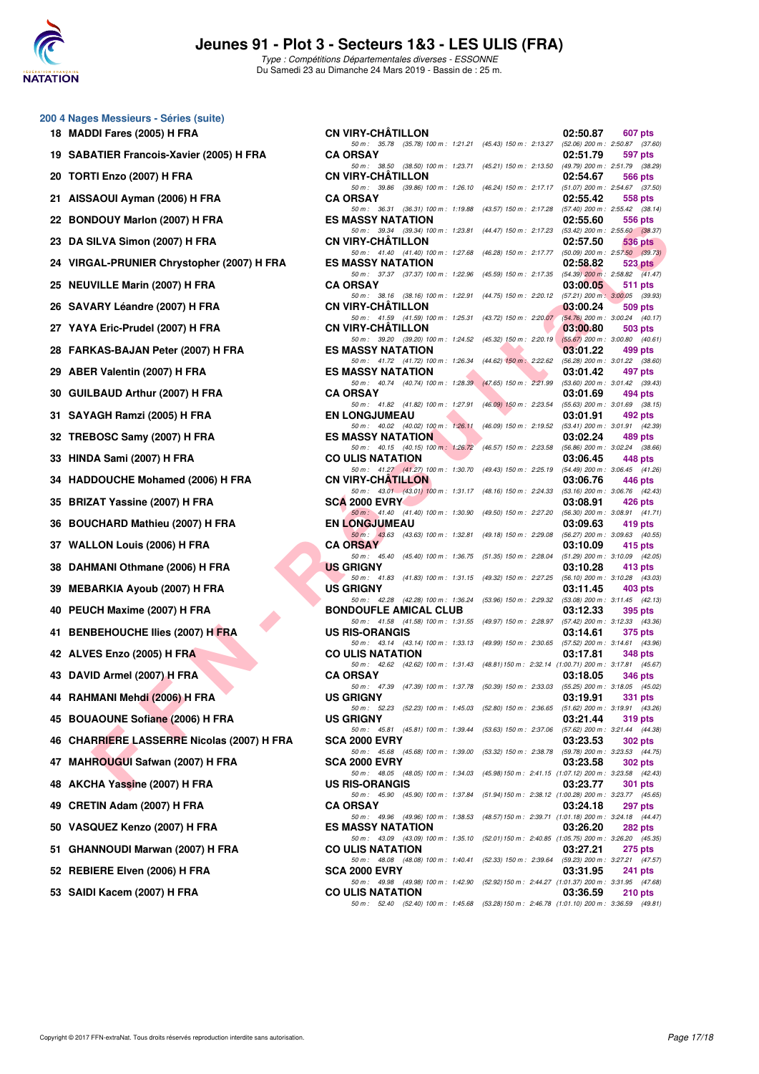

**200 4 Nages Messieurs - Séries (suite)**

# **Jeunes 91 - Plot 3 - Secteurs 1&3 - LES ULIS (FRA)**

Type : Compétitions Départementales diverses - ESSONNE Du Samedi 23 au Dimanche 24 Mars 2019 - Bassin de : 25 m.

| 18 | <b>MADDI Fares (2005) H FRA</b>                |
|----|------------------------------------------------|
|    | 19 SABATIER Francois-Xavier (2005) H FRA       |
| 20 | TORTI Enzo (2007) H FRA                        |
|    | 21 AISSAOUI Ayman (2006) H FRA                 |
|    | 22 BONDOUY Marlon (2007) H FRA                 |
|    | 23 DA SILVA Simon (2007) H FRA                 |
|    | 24 VIRGAL-PRUNIER Chrystopher (2007) H FRA     |
| 25 | <b>NEUVILLE Marin (2007) H FRA</b>             |
|    | 26 SAVARY Léandre (2007) H FRA                 |
|    | 27 YAYA Eric-Prudel (2007) H FRA               |
|    | 28 FARKAS-BAJAN Peter (2007) H FRA             |
|    | 29 ABER Valentin (2007) H FRA                  |
|    | 30 GUILBAUD Arthur (2007) H FRA                |
|    | 31 SAYAGH Ramzi (2005) H FRA                   |
|    | 32 TREBOSC Samy (2007) H FRA                   |
|    | 33 HINDA Sami (2007) H FRA                     |
|    | 34 HADDOUCHE Mohamed (2006) H FRA              |
|    | 35 BRIZAT Yassine (2007) H FRA                 |
|    | 36 BOUCHARD Mathieu (2007) H FRA               |
|    | 37 WALLON Louis (2006) H FRA                   |
|    | 38 DAHMANI Othmane (2006) H FRA                |
|    | 39 MEBARKIA Ayoub (2007) H FRA                 |
|    | 40 PEUCH Maxime (2007) H FRA                   |
|    | 41 BENBEHOUCHE Ilies (2007) H FRA              |
|    | 42 ALVES Enzo (2005) H FRA                     |
|    | 43 DAVID Armel (2007) H FRA                    |
|    | 44 RAHMANI Mehdi (2006) H FRA                  |
|    | 45 BOUAOUNE Sofiane (2006) H FRA               |
| 46 | <b>CHARRIERE LASSERRE Nicolas (2007) H FRA</b> |
|    | 47 MAHROUGUI Safwan (2007) H FRA               |
| 48 | AKCHA Yassine (2007) H FRA                     |
|    | 49 CRETIN Adam (2007) H FRA                    |
|    | 50 VASQUEZ Kenzo (2007) H FRA                  |
|    | 51 GHANNOUDI Marwan (2007) H FRA               |
|    | 52 REBIERE Elven (2006) H FRA                  |

| 0   4 Nages Messieurs - Series (suite)       |                                                                                                                          |                                                               |          |                                                   |
|----------------------------------------------|--------------------------------------------------------------------------------------------------------------------------|---------------------------------------------------------------|----------|---------------------------------------------------|
| 18 MADDI Fares (2005) H FRA                  | <b>CN VIRY-CHATILLON</b>                                                                                                 |                                                               | 02:50.87 | 607 pts                                           |
| 19 SABATIER Francois-Xavier (2005) H FRA     | 50 m: 35.78 (35.78) 100 m: 1:21.21 (45.43) 150 m: 2:13.27 (52.06) 200 m: 2:50.87 (37.60)<br><b>CA ORSAY</b>              |                                                               | 02:51.79 | 597 pts                                           |
| 20 TORTI Enzo (2007) H FRA                   | 50 m: 38.50 (38.50) 100 m: 1:23.71 (45.21) 150 m: 2:13.50 (49.79) 200 m: 2:51.79 (38.29)<br><b>CN VIRY-CHATILLON</b>     |                                                               | 02:54.67 | 566 pts                                           |
| 21 AISSAOUI Ayman (2006) H FRA               | 50 m: 39.86 (39.86) 100 m: 1:26.10 (46.24) 150 m: 2:17.17 (51.07) 200 m: 2:54.67 (37.50)<br><b>CA ORSAY</b>              |                                                               | 02:55.42 | 558 pts                                           |
| 22 BONDOUY Marlon (2007) H FRA               | 50 m: 36.31 (36.31) 100 m: 1:19.88<br><b>ES MASSY NATATION</b>                                                           | (43.57) 150 m : 2:17.28 (57.40) 200 m : 2:55.42 (38.14)       | 02:55.60 | 556 pts                                           |
| 23 DA SILVA Simon (2007) H FRA               | 50 m: 39.34 (39.34) 100 m: 1:23.81<br><b>CN VIRY-CHATILLON</b>                                                           | (44.47) 150 m : 2:17.23 (53.42) 200 m : 2:55.60 (38.37)       | 02:57.50 | 536 pts                                           |
| 24 VIRGAL-PRUNIER Chrystopher (2007) H FRA   | 50 m: 41.40 (41.40) 100 m: 1:27.68<br><b>ES MASSY NATATION</b>                                                           | (46.28) 150 m : 2:17.77 (50.09) 200 m : 2:57.50 (39.73)       | 02:58.82 |                                                   |
|                                              | 50 m: 37.37 (37.37) 100 m: 1:22.96                                                                                       | $(45.59)$ 150 m : 2:17.35 $(54.39)$ 200 m : 2:58.82 $(41.47)$ |          | $523$ pts                                         |
| 25 NEUVILLE Marin (2007) H FRA               | <b>CA ORSAY</b><br>50 m: 38.16 (38.16) 100 m: 1:22.91                                                                    | (44.75) 150 m : 2:20.12 (57.21) 200 m : 3:00.05 (39.93)       | 03:00.05 | 511 pts                                           |
| 26 SAVARY Léandre (2007) H FRA               | <b>CN VIRY-CHATILLON</b><br>50 m: 41.59 (41.59) 100 m: 1:25.31 (43.72) 150 m: 2:20.07 (54.76) 200 m: 3:00.24 (40.17)     |                                                               | 03:00.24 | 509 pts                                           |
| 27 YAYA Eric-Prudel (2007) H FRA             | <b>CN VIRY-CHATILLON</b><br>50 m: 39.20 (39.20) 100 m: 1:24.52                                                           | $(45.32)$ 150 m : 2:20.19 $(55.67)$ 200 m : 3:00.80 $(40.61)$ | 03:00.80 | 503 pts                                           |
| 28 FARKAS-BAJAN Peter (2007) H FRA           | <b>ES MASSY NATATION</b><br>50 m: 41.72 (41.72) 100 m: 1:26.34 (44.62) 150 m: 2:22.62 (56.28) 200 m: 3:01.22 (38.60)     |                                                               | 03:01.22 | 499 pts                                           |
| 29 ABER Valentin (2007) H FRA                | <b>ES MASSY NATATION</b><br>50 m: 40.74 (40.74) 100 m: 1:28.39 (47.65) 150 m: 2:21.99 (53.60) 200 m: 3:01.42 (39.43)     |                                                               | 03:01.42 | 497 pts                                           |
| 30 GUILBAUD Arthur (2007) H FRA              | <b>CA ORSAY</b>                                                                                                          |                                                               | 03:01.69 | 494 pts                                           |
| 31 SAYAGH Ramzi (2005) H FRA                 | 50 m: 41.82 (41.82) 100 m: 1:27.91<br><b>EN LONGJUMEAU</b>                                                               | $(46.09)$ 150 m : 2:23.54 $(55.63)$ 200 m : 3:01.69 $(38.15)$ | 03:01.91 | 492 pts                                           |
| 32 TREBOSC Samy (2007) H FRA                 | 50 m : 40.02 (40.02) 100 m : 1:26.11<br><b>ES MASSY NATATION</b>                                                         | (46.09) 150 m : 2:19.52 (53.41) 200 m : 3:01.91 (42.39)       | 03:02.24 | 489 pts                                           |
| 33 HINDA Sami (2007) H FRA                   | 50 m: 40.15 (40.15) 100 m: 1:26.72<br><b>CO ULIS NATATION</b>                                                            | (46.57) 150 m : 2:23.58 (56.86) 200 m : 3:02.24 (38.66)       | 03:06.45 | 448 pts                                           |
| 34 HADDOUCHE Mohamed (2006) H FRA            | 50 m: 41.27 (41.27) 100 m: 1:30.70<br><b>CN VIRY-CHATILLON</b>                                                           | (49.43) 150 m : 2:25.19 (54.49) 200 m : 3:06.45 (41.26)       | 03:06.76 | 446 pts                                           |
| 35 BRIZAT Yassine (2007) H FRA               | 50 m: 43.01 (43.01) 100 m: 1:31.17 (48.16) 150 m: 2:24.33 (53.16) 200 m: 3:06.76 (42.43)<br><b>SCA 2000 EVRY</b>         |                                                               | 03:08.91 | 426 pts                                           |
|                                              | 50 m: 41.40 (41.40) 100 m: 1:30.90 (49.50) 150 m: 2:27.20 (56.30) 200 m: 3:08.91 (41.71)                                 |                                                               |          |                                                   |
| 36 BOUCHARD Mathieu (2007) H FRA             | <b>EN LONGJUMEAU</b><br>50 m: 43.63 (43.63) 100 m: 1:32.81 (49.18) 150 m: 2:29.08 (56.27) 200 m: 3:09.63 (40.55)         |                                                               | 03:09.63 | 419 pts                                           |
| 37 WALLON Louis (2006) H FRA                 | <b>CA ORSAY</b><br>50 m: 45.40 (45.40) 100 m: 1:36.75 (51.35) 150 m: 2:28.04 (51.29) 200 m: 3:10.09 (42.05)              |                                                               | 03:10.09 | 415 pts                                           |
| 38 DAHMANI Othmane (2006) H FRA              | <b>US GRIGNY</b><br>50 m: 41.83 (41.83) 100 m: 1:31.15 (49.32) 150 m: 2:27.25 (56.10) 200 m: 3:10.28 (43.03)             |                                                               | 03:10.28 | 413 pts                                           |
| 39   MEBARKIA Ayoub (2007) H FRA             | <b>US GRIGNY</b><br>50 m : 42.28 (42.28) 100 m : 1:36.24 (53.96) 150 m : 2:29.32 (53.08) 200 m : 3:11.45 (42.13)         |                                                               | 03:11.45 | 403 pts                                           |
| 40 PEUCH Maxime (2007) H FRA                 | <b>BONDOUFLE AMICAL CLUB</b><br>50 m: 41.58 (41.58) 100 m: 1:31.55 (49.97) 150 m: 2:28.97 (57.42) 200 m: 3:12.33 (43.36) |                                                               | 03:12.33 | 395 pts                                           |
| 41 BENBEHOUCHE Ilies (2007) H FRA            | <b>US RIS-ORANGIS</b>                                                                                                    |                                                               | 03:14.61 | 375 pts                                           |
| 42 ALVES Enzo (2005) H FRA                   | 50 m: 43.14 (43.14) 100 m: 1:33.13 (49.99) 150 m: 2:30.65 (57.52) 200 m: 3:14.61 (43.96)<br><b>CO ULIS NATATION</b>      |                                                               | 03:17.81 | 348 pts                                           |
| 43 DAVID Armel (2007) H FRA                  | 50 m: 42.62 (42.62) 100 m: 1:31.43 (48.81) 150 m: 2:32.14 (1:00.71) 200 m: 3:17.81 (45.67)<br><b>CA ORSAY</b>            |                                                               | 03:18.05 | <b>346 pts</b>                                    |
| 44   RAHMANI Mehdi (2006) H FRA              | 50 m: 47.39 (47.39) 100 m: 1:37.78 (50.39) 150 m: 2:33.03 (55.25) 200 m: 3:18.05 (45.02)<br><b>US GRIGNY</b>             |                                                               | 03:19.91 | 331 pts                                           |
| 45 BOUAOUNE Sofiane (2006) H FRA             | 50 m: 52.23 (52.23) 100 m: 1:45.03 (52.80) 150 m: 2:36.65<br><b>US GRIGNY</b>                                            |                                                               | 03:21.44 | $(51.62)$ 200 m : 3:19.91 $(43.26)$<br>319 pts    |
| 46   CHARRIERE LASSERRE Nicolas (2007) H FRA | 50 m: 45.81 (45.81) 100 m: 1:39.44<br><b>SCA 2000 EVRY</b>                                                               | $(53.63)$ 150 m : 2:37.06                                     | 03:23.53 | (57.62) 200 m : 3:21.44 (44.38)<br><b>302 pts</b> |
| 47 MAHROUGUI Safwan (2007) H FRA             | 50 m: 45.68 (45.68) 100 m: 1:39.00<br><b>SCA 2000 EVRY</b>                                                               | $(53.32)$ 150 m : 2:38.78                                     | 03:23.58 | (59.78) 200 m : 3:23.53 (44.75)<br>302 pts        |
| 48 AKCHA Yassine (2007) H FRA                | 50 m: 48.05 (48.05) 100 m: 1:34.03<br><b>US RIS-ORANGIS</b>                                                              | (45.98) 150 m : 2:41.15 (1:07.12) 200 m : 3:23.58 (42.43)     | 03:23.77 | 301 pts                                           |
|                                              | 50 m: 45.90 (45.90) 100 m: 1:37.84                                                                                       | (51.94) 150 m : 2:38.12 (1:00.28) 200 m : 3:23.77 (45.65)     |          |                                                   |
| 49 CRETIN Adam (2007) H FRA                  | <b>CA ORSAY</b><br>50 m: 49.96 (49.96) 100 m: 1:38.53                                                                    | (48.57) 150 m : 2:39.71 (1:01.18) 200 m : 3:24.18 (44.47)     | 03:24.18 | <b>297 pts</b>                                    |
| 50 VASQUEZ Kenzo (2007) H FRA                | <b>ES MASSY NATATION</b><br>50 m: 43.09 (43.09) 100 m: 1:35.10                                                           | (52.01) 150 m: 2:40.85 (1:05.75) 200 m: 3:26.20 (45.35)       | 03:26.20 | 282 pts                                           |
| 51 GHANNOUDI Marwan (2007) H FRA             | <b>CO ULIS NATATION</b><br>50 m: 48.08 (48.08) 100 m: 1:40.41                                                            | (52.33) 150 m : 2:39.64 (59.23) 200 m : 3:27.21 (47.57)       | 03:27.21 | 275 pts                                           |
| 52 REBIERE Elven (2006) H FRA                | <b>SCA 2000 EVRY</b><br>50 m: 49.98 (49.98) 100 m: 1:42.90                                                               | (52.92) 150 m: 2:44.27 (1:01.37) 200 m: 3:31.95 (47.68)       | 03:31.95 | 241 pts                                           |
| 53 SAIDI Kacem (2007) H FRA                  | <b>CO ULIS NATATION</b><br>50 m: 52.40 (52.40) 100 m: 1:45.68                                                            | (53.28) 150 m : 2:46.78 (1:01.10) 200 m : 3:36.59 (49.81)     | 03:36.59 | 210 pts                                           |
|                                              |                                                                                                                          |                                                               |          |                                                   |